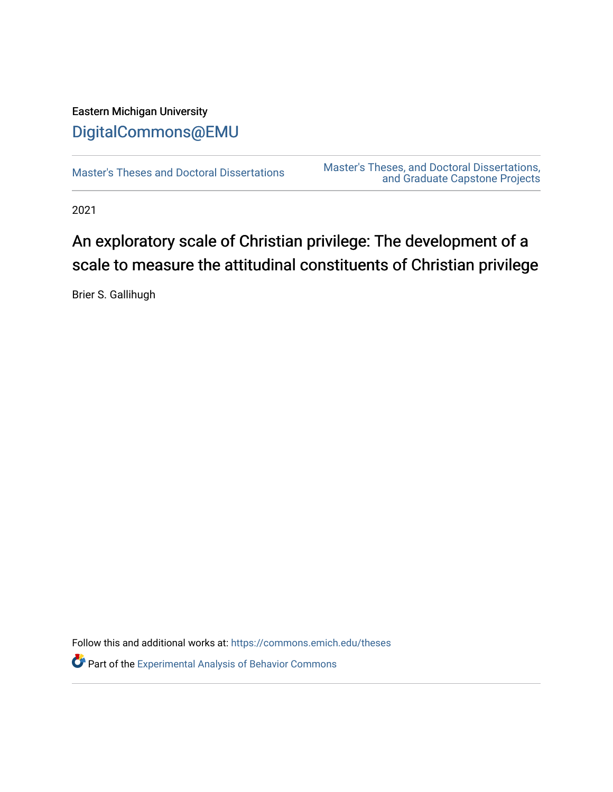## Eastern Michigan University [DigitalCommons@EMU](https://commons.emich.edu/)

[Master's Theses and Doctoral Dissertations](https://commons.emich.edu/theses) Master's Theses, and Doctoral Dissertations, [and Graduate Capstone Projects](https://commons.emich.edu/etd) 

2021

# An exploratory scale of Christian privilege: The development of a scale to measure the attitudinal constituents of Christian privilege

Brier S. Gallihugh

Follow this and additional works at: [https://commons.emich.edu/theses](https://commons.emich.edu/theses?utm_source=commons.emich.edu%2Ftheses%2F1137&utm_medium=PDF&utm_campaign=PDFCoverPages) 

Part of the [Experimental Analysis of Behavior Commons](https://network.bepress.com/hgg/discipline/1236?utm_source=commons.emich.edu%2Ftheses%2F1137&utm_medium=PDF&utm_campaign=PDFCoverPages)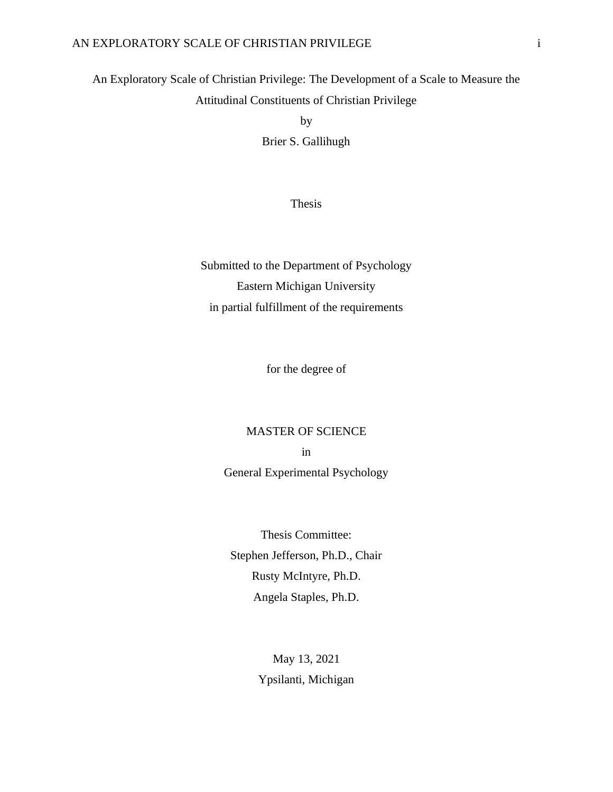#### AN EXPLORATORY SCALE OF CHRISTIAN PRIVILEGE i

## An Exploratory Scale of Christian Privilege: The Development of a Scale to Measure the Attitudinal Constituents of Christian Privilege

by Brier S. Gallihugh

Thesis

Submitted to the Department of Psychology Eastern Michigan University in partial fulfillment of the requirements

for the degree of

#### MASTER OF SCIENCE

in

General Experimental Psychology

Thesis Committee: Stephen Jefferson, Ph.D., Chair Rusty McIntyre, Ph.D. Angela Staples, Ph.D.

> May 13, 2021 Ypsilanti, Michigan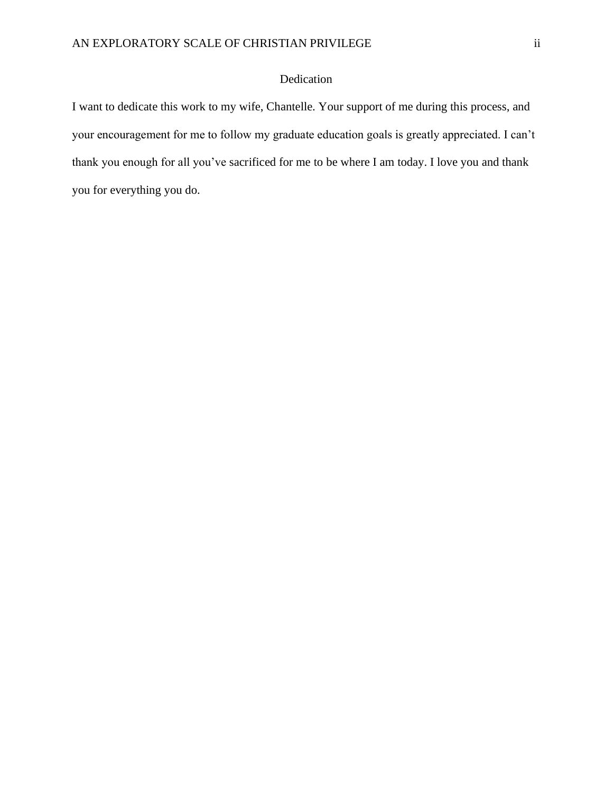#### Dedication

<span id="page-2-0"></span>I want to dedicate this work to my wife, Chantelle. Your support of me during this process, and your encouragement for me to follow my graduate education goals is greatly appreciated. I can't thank you enough for all you've sacrificed for me to be where I am today. I love you and thank you for everything you do.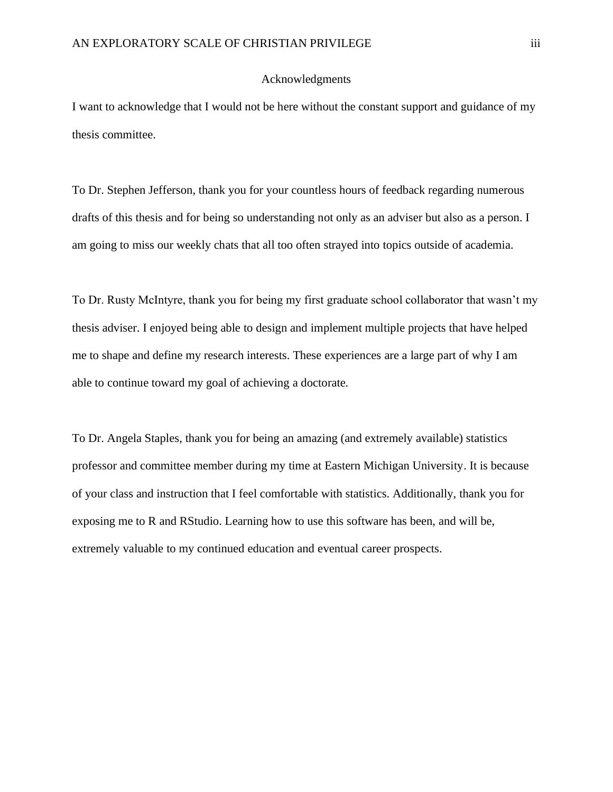#### Acknowledgments

<span id="page-3-0"></span>I want to acknowledge that I would not be here without the constant support and guidance of my thesis committee.

To Dr. Stephen Jefferson, thank you for your countless hours of feedback regarding numerous drafts of this thesis and for being so understanding not only as an adviser but also as a person. I am going to miss our weekly chats that all too often strayed into topics outside of academia.

To Dr. Rusty McIntyre, thank you for being my first graduate school collaborator that wasn't my thesis adviser. I enjoyed being able to design and implement multiple projects that have helped me to shape and define my research interests. These experiences are a large part of why I am able to continue toward my goal of achieving a doctorate.

To Dr. Angela Staples, thank you for being an amazing (and extremely available) statistics professor and committee member during my time at Eastern Michigan University. It is because of your class and instruction that I feel comfortable with statistics. Additionally, thank you for exposing me to R and RStudio. Learning how to use this software has been, and will be, extremely valuable to my continued education and eventual career prospects.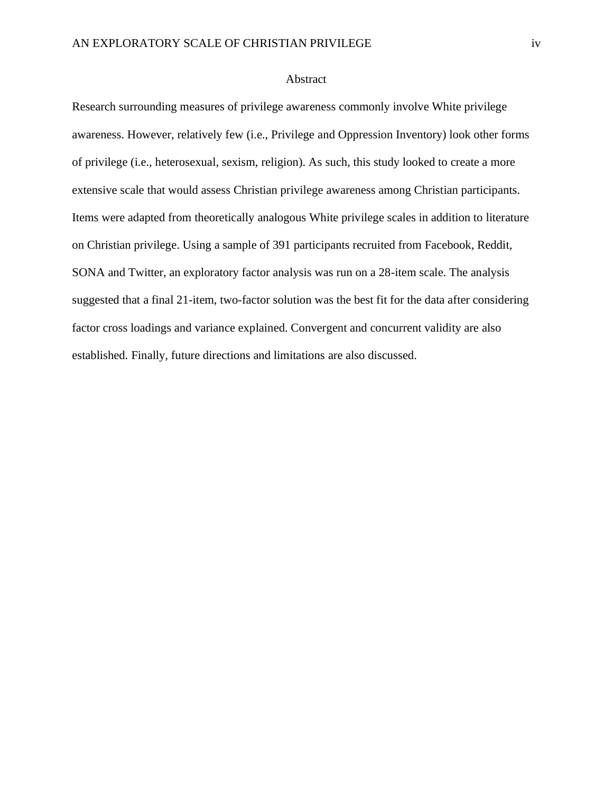#### Abstract

<span id="page-4-0"></span>Research surrounding measures of privilege awareness commonly involve White privilege awareness. However, relatively few (i.e., Privilege and Oppression Inventory) look other forms of privilege (i.e., heterosexual, sexism, religion). As such, this study looked to create a more extensive scale that would assess Christian privilege awareness among Christian participants. Items were adapted from theoretically analogous White privilege scales in addition to literature on Christian privilege. Using a sample of 391 participants recruited from Facebook, Reddit, SONA and Twitter, an exploratory factor analysis was run on a 28-item scale. The analysis suggested that a final 21-item, two-factor solution was the best fit for the data after considering factor cross loadings and variance explained. Convergent and concurrent validity are also established. Finally, future directions and limitations are also discussed.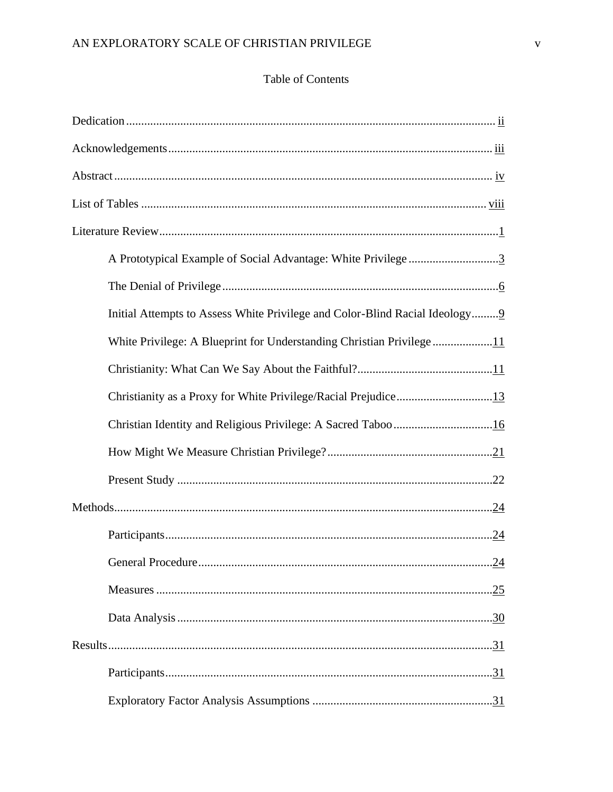### Table of Contents

| A Prototypical Example of Social Advantage: White Privilege3                |     |
|-----------------------------------------------------------------------------|-----|
|                                                                             |     |
| Initial Attempts to Assess White Privilege and Color-Blind Racial Ideology9 |     |
| White Privilege: A Blueprint for Understanding Christian Privilege11        |     |
|                                                                             |     |
| Christianity as a Proxy for White Privilege/Racial Prejudice13              |     |
|                                                                             |     |
|                                                                             |     |
|                                                                             |     |
|                                                                             |     |
|                                                                             |     |
|                                                                             | .24 |
|                                                                             |     |
|                                                                             |     |
|                                                                             |     |
|                                                                             |     |
|                                                                             |     |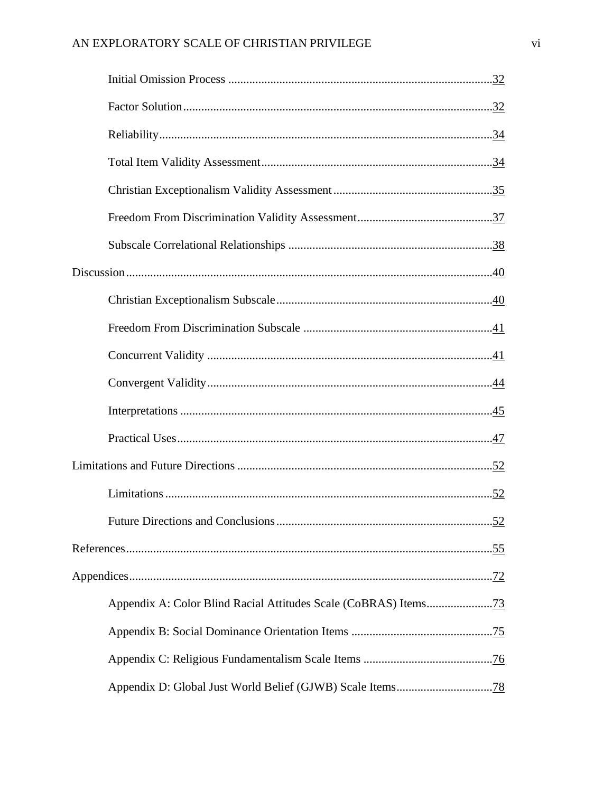| .52 |
|-----|
|     |
|     |
|     |
|     |
|     |
|     |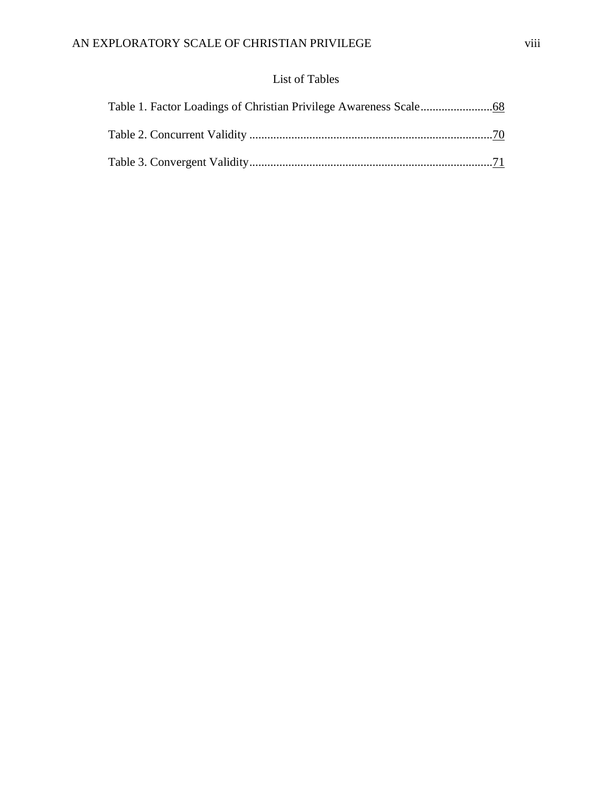### List of Tables

<span id="page-8-0"></span>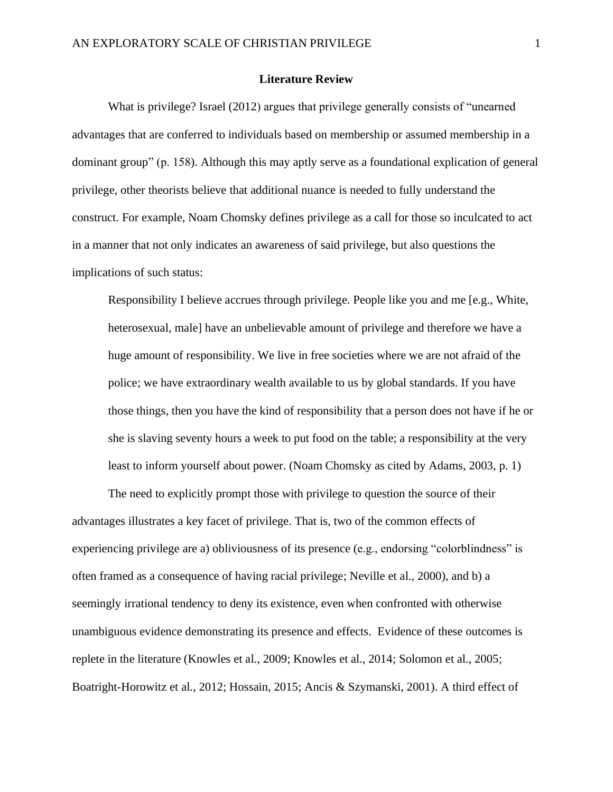#### **Literature Review**

<span id="page-9-0"></span>What is privilege? Israel (2012) argues that privilege generally consists of "unearned advantages that are conferred to individuals based on membership or assumed membership in a dominant group" (p. 158). Although this may aptly serve as a foundational explication of general privilege, other theorists believe that additional nuance is needed to fully understand the construct. For example, Noam Chomsky defines privilege as a call for those so inculcated to act in a manner that not only indicates an awareness of said privilege, but also questions the implications of such status:

Responsibility I believe accrues through privilege. People like you and me [e.g., White, heterosexual, male] have an unbelievable amount of privilege and therefore we have a huge amount of responsibility. We live in free societies where we are not afraid of the police; we have extraordinary wealth available to us by global standards. If you have those things, then you have the kind of responsibility that a person does not have if he or she is slaving seventy hours a week to put food on the table; a responsibility at the very least to inform yourself about power. (Noam Chomsky as cited by Adams, 2003, p. 1)

The need to explicitly prompt those with privilege to question the source of their advantages illustrates a key facet of privilege. That is, two of the common effects of experiencing privilege are a) obliviousness of its presence (e.g., endorsing "colorblindness" is often framed as a consequence of having racial privilege; Neville et al., 2000), and b) a seemingly irrational tendency to deny its existence, even when confronted with otherwise unambiguous evidence demonstrating its presence and effects. Evidence of these outcomes is replete in the literature (Knowles et al., 2009; Knowles et al., 2014; Solomon et al., 2005; Boatright-Horowitz et al., 2012; Hossain, 2015; Ancis & Szymanski, 2001). A third effect of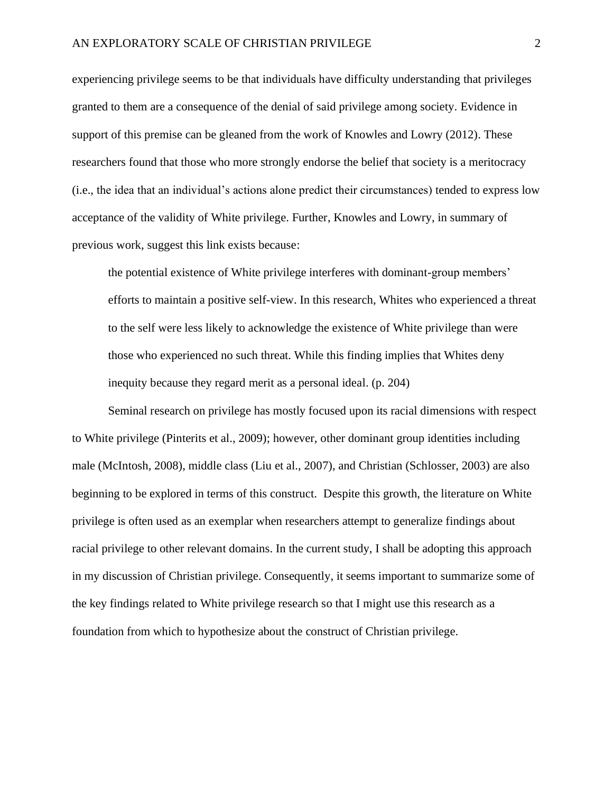experiencing privilege seems to be that individuals have difficulty understanding that privileges granted to them are a consequence of the denial of said privilege among society. Evidence in support of this premise can be gleaned from the work of Knowles and Lowry (2012). These researchers found that those who more strongly endorse the belief that society is a meritocracy (i.e., the idea that an individual's actions alone predict their circumstances) tended to express low acceptance of the validity of White privilege. Further, Knowles and Lowry, in summary of previous work, suggest this link exists because:

the potential existence of White privilege interferes with dominant-group members' efforts to maintain a positive self-view. In this research, Whites who experienced a threat to the self were less likely to acknowledge the existence of White privilege than were those who experienced no such threat. While this finding implies that Whites deny inequity because they regard merit as a personal ideal. (p. 204)

<span id="page-10-0"></span>Seminal research on privilege has mostly focused upon its racial dimensions with respect to White privilege (Pinterits et al., 2009); however, other dominant group identities including male (McIntosh, 2008), middle class (Liu et al., 2007), and Christian (Schlosser, 2003) are also beginning to be explored in terms of this construct. Despite this growth, the literature on White privilege is often used as an exemplar when researchers attempt to generalize findings about racial privilege to other relevant domains. In the current study, I shall be adopting this approach in my discussion of Christian privilege. Consequently, it seems important to summarize some of the key findings related to White privilege research so that I might use this research as a foundation from which to hypothesize about the construct of Christian privilege.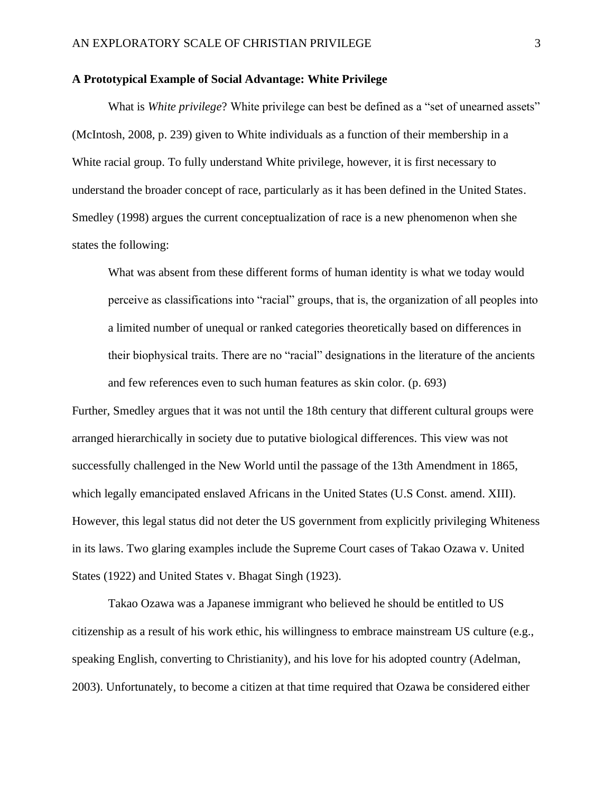#### **A Prototypical Example of Social Advantage: White Privilege**

What is *White privilege*? White privilege can best be defined as a "set of unearned assets" (McIntosh, 2008, p. 239) given to White individuals as a function of their membership in a White racial group. To fully understand White privilege, however, it is first necessary to understand the broader concept of race, particularly as it has been defined in the United States. Smedley (1998) argues the current conceptualization of race is a new phenomenon when she states the following:

What was absent from these different forms of human identity is what we today would perceive as classifications into "racial" groups, that is, the organization of all peoples into a limited number of unequal or ranked categories theoretically based on differences in their biophysical traits. There are no "racial" designations in the literature of the ancients and few references even to such human features as skin color. (p. 693)

Further, Smedley argues that it was not until the 18th century that different cultural groups were arranged hierarchically in society due to putative biological differences. This view was not successfully challenged in the New World until the passage of the 13th Amendment in 1865, which legally emancipated enslaved Africans in the United States (U.S Const. amend. XIII). However, this legal status did not deter the US government from explicitly privileging Whiteness in its laws. Two glaring examples include the Supreme Court cases of Takao Ozawa v. United States (1922) and United States v. Bhagat Singh (1923).

Takao Ozawa was a Japanese immigrant who believed he should be entitled to US citizenship as a result of his work ethic, his willingness to embrace mainstream US culture (e.g., speaking English, converting to Christianity), and his love for his adopted country (Adelman, 2003). Unfortunately, to become a citizen at that time required that Ozawa be considered either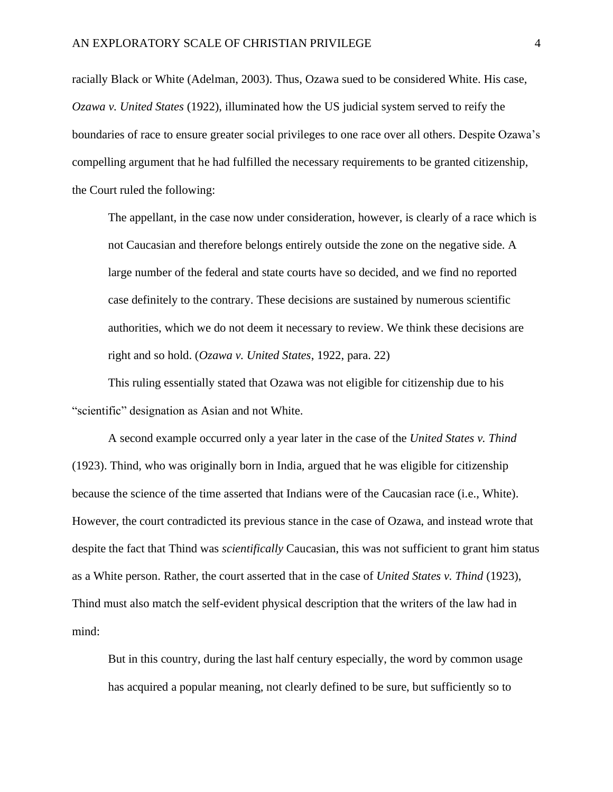racially Black or White (Adelman, 2003). Thus, Ozawa sued to be considered White. His case, *Ozawa v. United States* (1922), illuminated how the US judicial system served to reify the boundaries of race to ensure greater social privileges to one race over all others. Despite Ozawa's compelling argument that he had fulfilled the necessary requirements to be granted citizenship, the Court ruled the following:

The appellant, in the case now under consideration, however, is clearly of a race which is not Caucasian and therefore belongs entirely outside the zone on the negative side. A large number of the federal and state courts have so decided, and we find no reported case definitely to the contrary. These decisions are sustained by numerous scientific authorities, which we do not deem it necessary to review. We think these decisions are right and so hold. (*Ozawa v. United States*, 1922, para. 22)

This ruling essentially stated that Ozawa was not eligible for citizenship due to his "scientific" designation as Asian and not White.

A second example occurred only a year later in the case of the *United States v. Thind* (1923). Thind, who was originally born in India, argued that he was eligible for citizenship because the science of the time asserted that Indians were of the Caucasian race (i.e., White). However, the court contradicted its previous stance in the case of Ozawa, and instead wrote that despite the fact that Thind was *scientifically* Caucasian, this was not sufficient to grant him status as a White person. Rather, the court asserted that in the case of *United States v. Thind* (1923), Thind must also match the self-evident physical description that the writers of the law had in mind:

But in this country, during the last half century especially, the word by common usage has acquired a popular meaning, not clearly defined to be sure, but sufficiently so to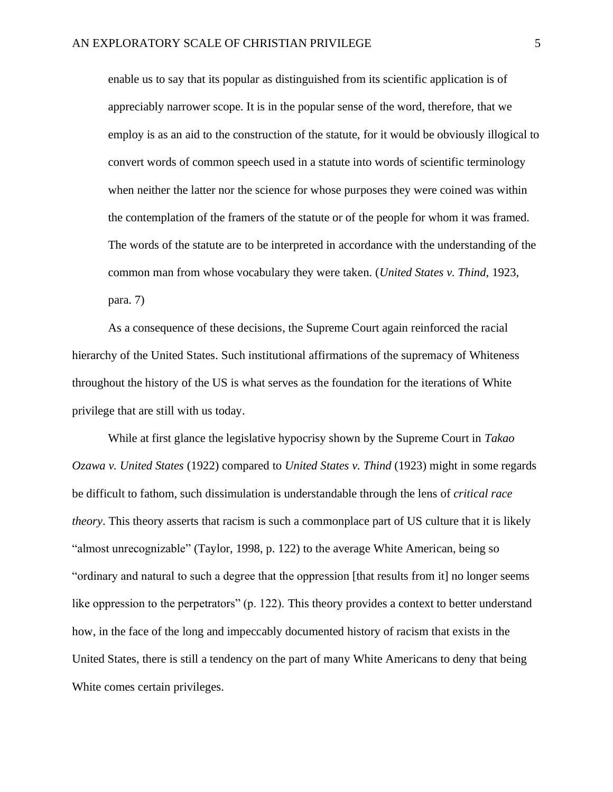enable us to say that its popular as distinguished from its scientific application is of appreciably narrower scope. It is in the popular sense of the word, therefore, that we employ is as an aid to the construction of the statute, for it would be obviously illogical to convert words of common speech used in a statute into words of scientific terminology when neither the latter nor the science for whose purposes they were coined was within the contemplation of the framers of the statute or of the people for whom it was framed. The words of the statute are to be interpreted in accordance with the understanding of the common man from whose vocabulary they were taken. (*United States v. Thind,* 1923, para. 7)

As a consequence of these decisions, the Supreme Court again reinforced the racial hierarchy of the United States. Such institutional affirmations of the supremacy of Whiteness throughout the history of the US is what serves as the foundation for the iterations of White privilege that are still with us today.

While at first glance the legislative hypocrisy shown by the Supreme Court in *Takao Ozawa v. United States* (1922) compared to *United States v. Thind* (1923) might in some regards be difficult to fathom, such dissimulation is understandable through the lens of *critical race theory*. This theory asserts that racism is such a commonplace part of US culture that it is likely "almost unrecognizable" (Taylor, 1998, p. 122) to the average White American, being so "ordinary and natural to such a degree that the oppression [that results from it] no longer seems like oppression to the perpetrators" (p. 122). This theory provides a context to better understand how, in the face of the long and impeccably documented history of racism that exists in the United States, there is still a tendency on the part of many White Americans to deny that being White comes certain privileges.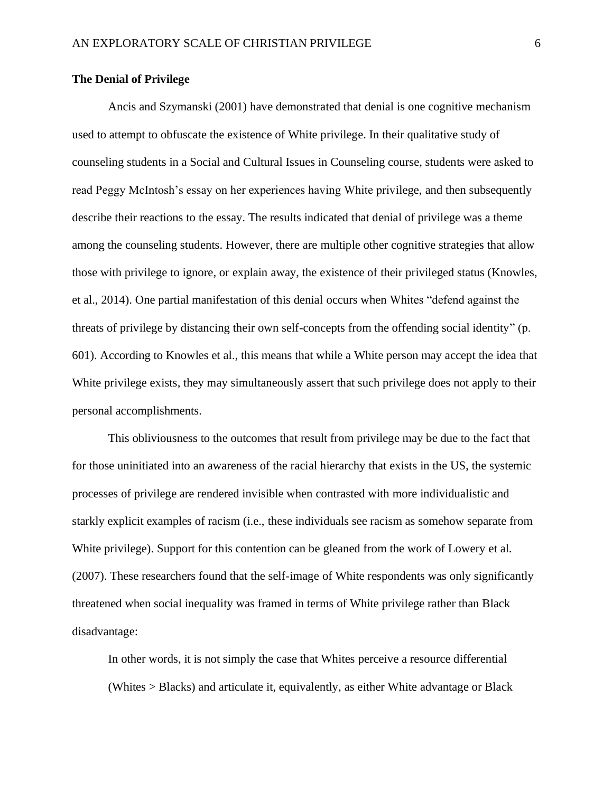#### <span id="page-14-0"></span>**The Denial of Privilege**

Ancis and Szymanski (2001) have demonstrated that denial is one cognitive mechanism used to attempt to obfuscate the existence of White privilege. In their qualitative study of counseling students in a Social and Cultural Issues in Counseling course, students were asked to read Peggy McIntosh's essay on her experiences having White privilege, and then subsequently describe their reactions to the essay. The results indicated that denial of privilege was a theme among the counseling students. However, there are multiple other cognitive strategies that allow those with privilege to ignore, or explain away, the existence of their privileged status (Knowles, et al., 2014). One partial manifestation of this denial occurs when Whites "defend against the threats of privilege by distancing their own self-concepts from the offending social identity" (p. 601). According to Knowles et al., this means that while a White person may accept the idea that White privilege exists, they may simultaneously assert that such privilege does not apply to their personal accomplishments.

This obliviousness to the outcomes that result from privilege may be due to the fact that for those uninitiated into an awareness of the racial hierarchy that exists in the US, the systemic processes of privilege are rendered invisible when contrasted with more individualistic and starkly explicit examples of racism (i.e., these individuals see racism as somehow separate from White privilege). Support for this contention can be gleaned from the work of Lowery et al. (2007). These researchers found that the self-image of White respondents was only significantly threatened when social inequality was framed in terms of White privilege rather than Black disadvantage:

In other words, it is not simply the case that Whites perceive a resource differential (Whites > Blacks) and articulate it, equivalently, as either White advantage or Black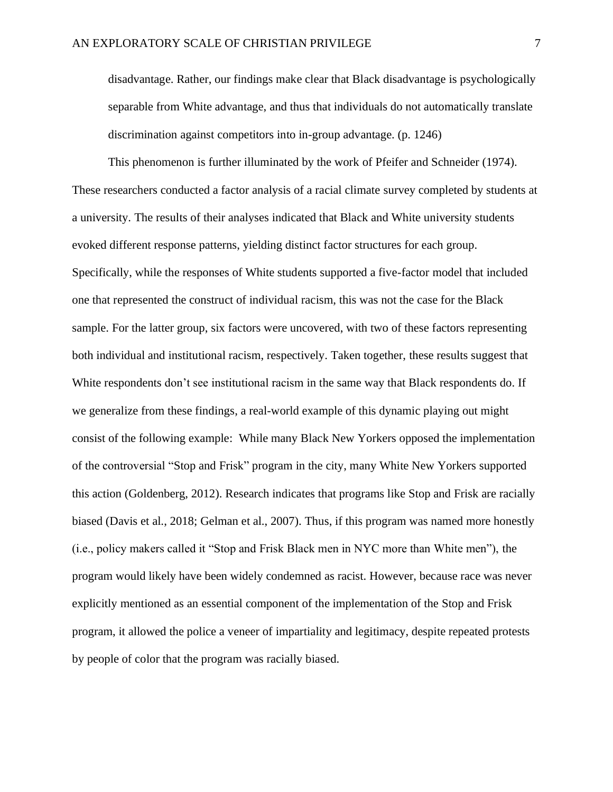disadvantage. Rather, our findings make clear that Black disadvantage is psychologically separable from White advantage, and thus that individuals do not automatically translate discrimination against competitors into in-group advantage. (p. 1246)

This phenomenon is further illuminated by the work of Pfeifer and Schneider (1974). These researchers conducted a factor analysis of a racial climate survey completed by students at a university. The results of their analyses indicated that Black and White university students evoked different response patterns, yielding distinct factor structures for each group. Specifically, while the responses of White students supported a five-factor model that included one that represented the construct of individual racism, this was not the case for the Black sample. For the latter group, six factors were uncovered, with two of these factors representing both individual and institutional racism, respectively. Taken together, these results suggest that White respondents don't see institutional racism in the same way that Black respondents do. If we generalize from these findings, a real-world example of this dynamic playing out might consist of the following example: While many Black New Yorkers opposed the implementation of the controversial "Stop and Frisk" program in the city, many White New Yorkers supported this action (Goldenberg, 2012). Research indicates that programs like Stop and Frisk are racially biased (Davis et al., 2018; Gelman et al., 2007). Thus, if this program was named more honestly (i.e., policy makers called it "Stop and Frisk Black men in NYC more than White men"), the program would likely have been widely condemned as racist. However, because race was never explicitly mentioned as an essential component of the implementation of the Stop and Frisk program, it allowed the police a veneer of impartiality and legitimacy, despite repeated protests by people of color that the program was racially biased.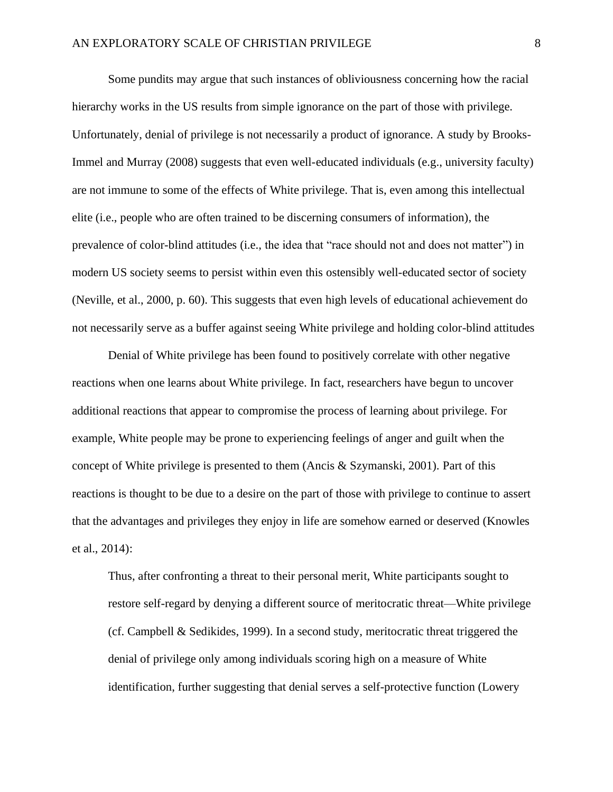Some pundits may argue that such instances of obliviousness concerning how the racial hierarchy works in the US results from simple ignorance on the part of those with privilege. Unfortunately, denial of privilege is not necessarily a product of ignorance. A study by Brooks-Immel and Murray (2008) suggests that even well-educated individuals (e.g., university faculty) are not immune to some of the effects of White privilege. That is, even among this intellectual elite (i.e., people who are often trained to be discerning consumers of information), the prevalence of color-blind attitudes (i.e., the idea that "race should not and does not matter") in modern US society seems to persist within even this ostensibly well-educated sector of society (Neville, et al., 2000, p. 60). This suggests that even high levels of educational achievement do not necessarily serve as a buffer against seeing White privilege and holding color-blind attitudes

Denial of White privilege has been found to positively correlate with other negative reactions when one learns about White privilege. In fact, researchers have begun to uncover additional reactions that appear to compromise the process of learning about privilege. For example, White people may be prone to experiencing feelings of anger and guilt when the concept of White privilege is presented to them (Ancis & Szymanski, 2001). Part of this reactions is thought to be due to a desire on the part of those with privilege to continue to assert that the advantages and privileges they enjoy in life are somehow earned or deserved (Knowles et al., 2014):

Thus, after confronting a threat to their personal merit, White participants sought to restore self-regard by denying a different source of meritocratic threat—White privilege (cf. Campbell & Sedikides, 1999). In a second study, meritocratic threat triggered the denial of privilege only among individuals scoring high on a measure of White identification, further suggesting that denial serves a self-protective function (Lowery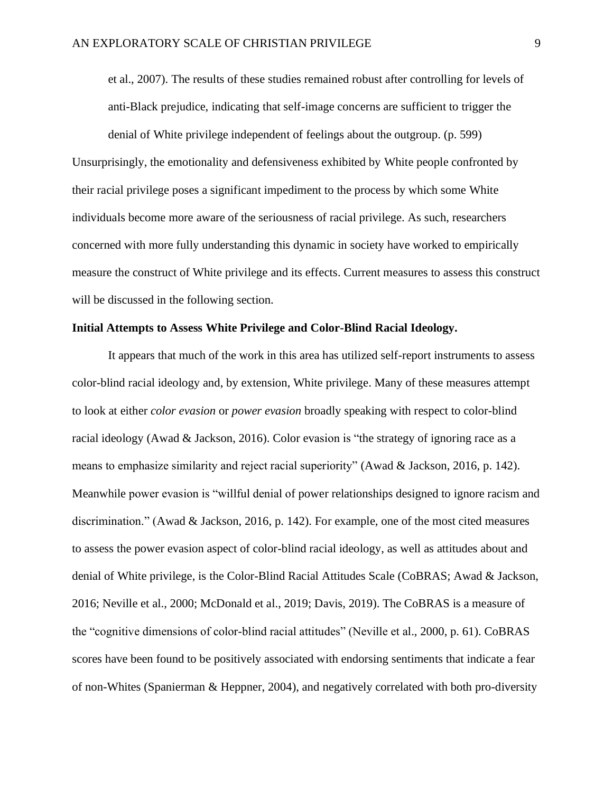et al., 2007). The results of these studies remained robust after controlling for levels of anti-Black prejudice, indicating that self-image concerns are sufficient to trigger the

denial of White privilege independent of feelings about the outgroup. (p. 599) Unsurprisingly, the emotionality and defensiveness exhibited by White people confronted by their racial privilege poses a significant impediment to the process by which some White individuals become more aware of the seriousness of racial privilege. As such, researchers concerned with more fully understanding this dynamic in society have worked to empirically measure the construct of White privilege and its effects. Current measures to assess this construct will be discussed in the following section.

#### <span id="page-17-0"></span>**Initial Attempts to Assess White Privilege and Color-Blind Racial Ideology.**

It appears that much of the work in this area has utilized self-report instruments to assess color-blind racial ideology and, by extension, White privilege. Many of these measures attempt to look at either *color evasion* or *power evasion* broadly speaking with respect to color-blind racial ideology (Awad & Jackson, 2016). Color evasion is "the strategy of ignoring race as a means to emphasize similarity and reject racial superiority" (Awad & Jackson, 2016, p. 142). Meanwhile power evasion is "willful denial of power relationships designed to ignore racism and discrimination." (Awad & Jackson, 2016, p. 142). For example, one of the most cited measures to assess the power evasion aspect of color-blind racial ideology, as well as attitudes about and denial of White privilege, is the Color-Blind Racial Attitudes Scale (CoBRAS; Awad & Jackson, 2016; Neville et al., 2000; McDonald et al., 2019; Davis, 2019). The CoBRAS is a measure of the "cognitive dimensions of color-blind racial attitudes" (Neville et al., 2000, p. 61). CoBRAS scores have been found to be positively associated with endorsing sentiments that indicate a fear of non-Whites (Spanierman & Heppner, 2004), and negatively correlated with both pro-diversity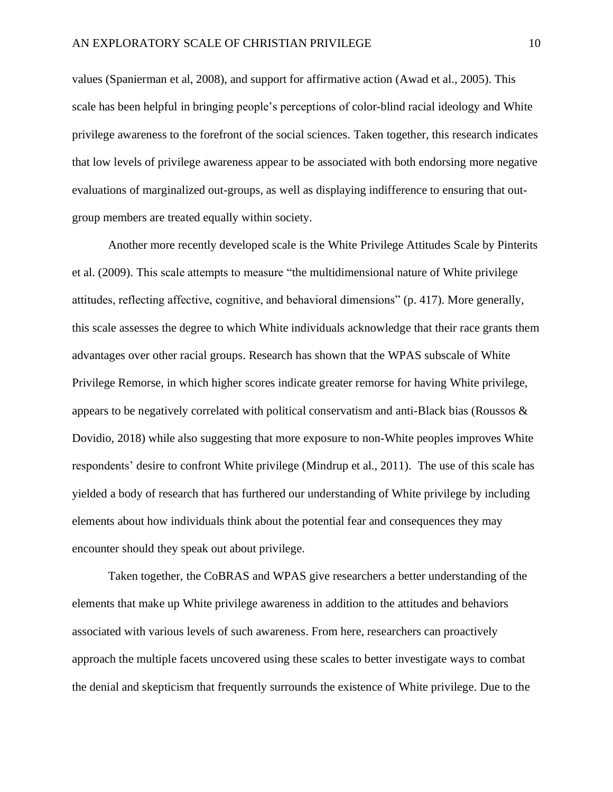values (Spanierman et al, 2008), and support for affirmative action (Awad et al., 2005). This scale has been helpful in bringing people's perceptions of color-blind racial ideology and White privilege awareness to the forefront of the social sciences. Taken together, this research indicates that low levels of privilege awareness appear to be associated with both endorsing more negative evaluations of marginalized out-groups, as well as displaying indifference to ensuring that outgroup members are treated equally within society.

Another more recently developed scale is the White Privilege Attitudes Scale by Pinterits et al. (2009). This scale attempts to measure "the multidimensional nature of White privilege attitudes, reflecting affective, cognitive, and behavioral dimensions" (p. 417). More generally, this scale assesses the degree to which White individuals acknowledge that their race grants them advantages over other racial groups. Research has shown that the WPAS subscale of White Privilege Remorse, in which higher scores indicate greater remorse for having White privilege, appears to be negatively correlated with political conservatism and anti-Black bias (Roussos  $\&$ Dovidio, 2018) while also suggesting that more exposure to non-White peoples improves White respondents' desire to confront White privilege (Mindrup et al., 2011). The use of this scale has yielded a body of research that has furthered our understanding of White privilege by including elements about how individuals think about the potential fear and consequences they may encounter should they speak out about privilege.

Taken together, the CoBRAS and WPAS give researchers a better understanding of the elements that make up White privilege awareness in addition to the attitudes and behaviors associated with various levels of such awareness. From here, researchers can proactively approach the multiple facets uncovered using these scales to better investigate ways to combat the denial and skepticism that frequently surrounds the existence of White privilege. Due to the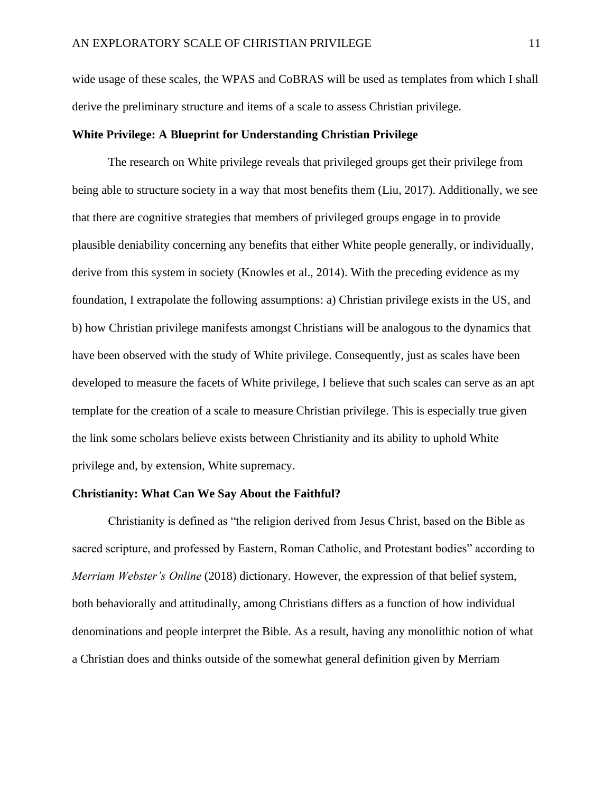wide usage of these scales, the WPAS and CoBRAS will be used as templates from which I shall derive the preliminary structure and items of a scale to assess Christian privilege.

#### <span id="page-19-0"></span>**White Privilege: A Blueprint for Understanding Christian Privilege**

The research on White privilege reveals that privileged groups get their privilege from being able to structure society in a way that most benefits them (Liu, 2017). Additionally, we see that there are cognitive strategies that members of privileged groups engage in to provide plausible deniability concerning any benefits that either White people generally, or individually, derive from this system in society (Knowles et al., 2014). With the preceding evidence as my foundation, I extrapolate the following assumptions: a) Christian privilege exists in the US, and b) how Christian privilege manifests amongst Christians will be analogous to the dynamics that have been observed with the study of White privilege. Consequently, just as scales have been developed to measure the facets of White privilege, I believe that such scales can serve as an apt template for the creation of a scale to measure Christian privilege. This is especially true given the link some scholars believe exists between Christianity and its ability to uphold White privilege and, by extension, White supremacy.

#### <span id="page-19-1"></span>**Christianity: What Can We Say About the Faithful?**

Christianity is defined as "the religion derived from Jesus Christ, based on the Bible as sacred scripture, and professed by Eastern, Roman Catholic, and Protestant bodies" according to *Merriam Webster's Online* (2018) dictionary. However, the expression of that belief system, both behaviorally and attitudinally, among Christians differs as a function of how individual denominations and people interpret the Bible. As a result, having any monolithic notion of what a Christian does and thinks outside of the somewhat general definition given by Merriam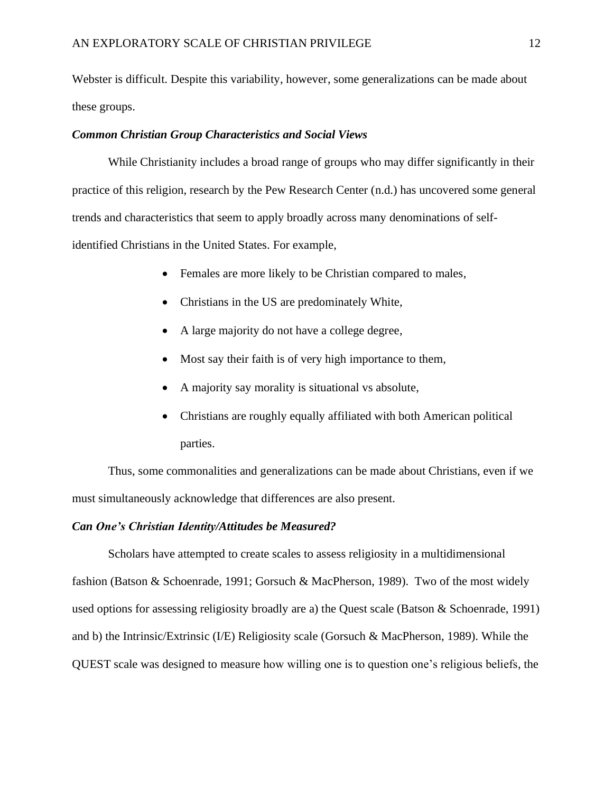Webster is difficult. Despite this variability, however, some generalizations can be made about these groups.

#### *Common Christian Group Characteristics and Social Views*

While Christianity includes a broad range of groups who may differ significantly in their practice of this religion, research by the Pew Research Center (n.d.) has uncovered some general trends and characteristics that seem to apply broadly across many denominations of selfidentified Christians in the United States. For example,

- Females are more likely to be Christian compared to males,
- Christians in the US are predominately White,
- A large majority do not have a college degree,
- Most say their faith is of very high importance to them,
- A majority say morality is situational vs absolute,
- Christians are roughly equally affiliated with both American political parties.

Thus, some commonalities and generalizations can be made about Christians, even if we must simultaneously acknowledge that differences are also present.

#### *Can One's Christian Identity/Attitudes be Measured?*

Scholars have attempted to create scales to assess religiosity in a multidimensional fashion (Batson & Schoenrade, 1991; Gorsuch & MacPherson, 1989). Two of the most widely used options for assessing religiosity broadly are a) the Quest scale (Batson & Schoenrade, 1991) and b) the Intrinsic/Extrinsic (I/E) Religiosity scale (Gorsuch & MacPherson, 1989). While the QUEST scale was designed to measure how willing one is to question one's religious beliefs, the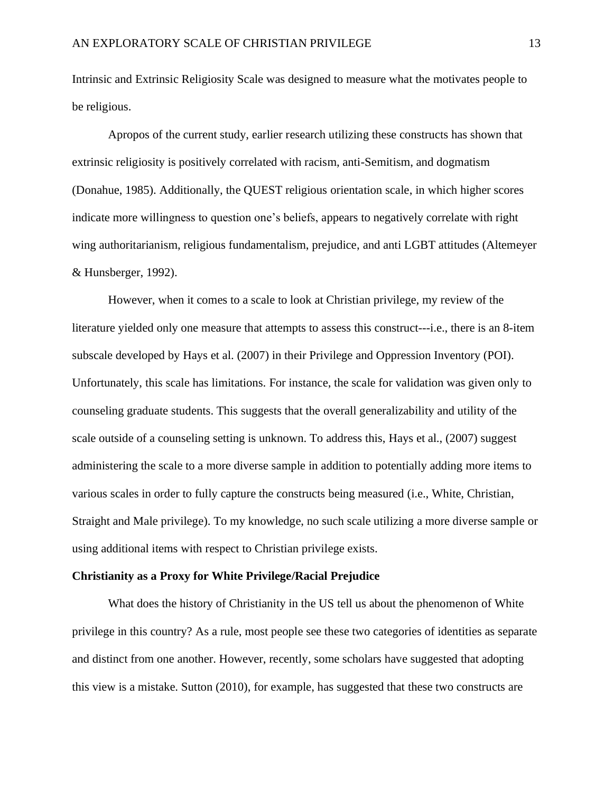Intrinsic and Extrinsic Religiosity Scale was designed to measure what the motivates people to be religious.

Apropos of the current study, earlier research utilizing these constructs has shown that extrinsic religiosity is positively correlated with racism, anti-Semitism, and dogmatism (Donahue, 1985). Additionally, the QUEST religious orientation scale, in which higher scores indicate more willingness to question one's beliefs, appears to negatively correlate with right wing authoritarianism, religious fundamentalism, prejudice, and anti LGBT attitudes (Altemeyer & Hunsberger, 1992).

However, when it comes to a scale to look at Christian privilege, my review of the literature yielded only one measure that attempts to assess this construct---i.e., there is an 8-item subscale developed by Hays et al. (2007) in their Privilege and Oppression Inventory (POI). Unfortunately, this scale has limitations. For instance, the scale for validation was given only to counseling graduate students. This suggests that the overall generalizability and utility of the scale outside of a counseling setting is unknown. To address this, Hays et al., (2007) suggest administering the scale to a more diverse sample in addition to potentially adding more items to various scales in order to fully capture the constructs being measured (i.e., White, Christian, Straight and Male privilege). To my knowledge, no such scale utilizing a more diverse sample or using additional items with respect to Christian privilege exists.

#### <span id="page-21-0"></span>**Christianity as a Proxy for White Privilege/Racial Prejudice**

What does the history of Christianity in the US tell us about the phenomenon of White privilege in this country? As a rule, most people see these two categories of identities as separate and distinct from one another. However, recently, some scholars have suggested that adopting this view is a mistake. Sutton (2010), for example, has suggested that these two constructs are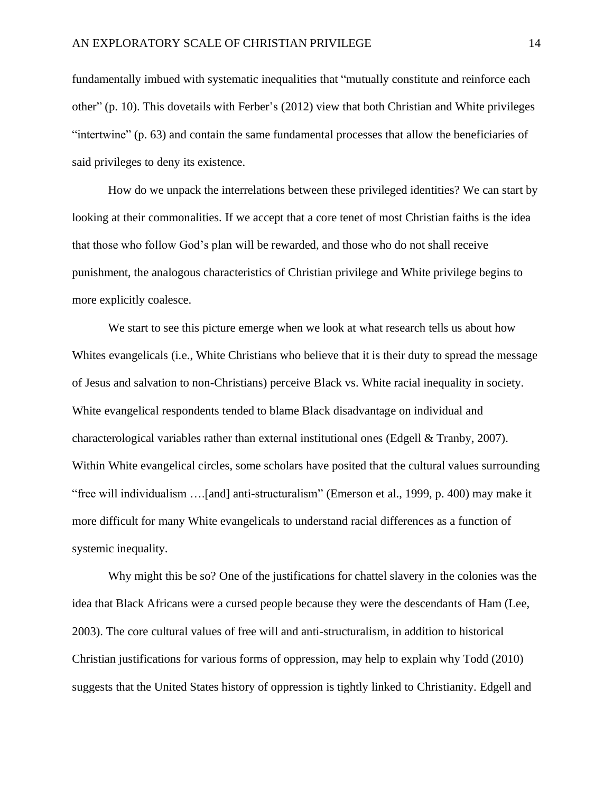fundamentally imbued with systematic inequalities that "mutually constitute and reinforce each other" (p. 10). This dovetails with Ferber's (2012) view that both Christian and White privileges "intertwine" (p. 63) and contain the same fundamental processes that allow the beneficiaries of said privileges to deny its existence.

How do we unpack the interrelations between these privileged identities? We can start by looking at their commonalities. If we accept that a core tenet of most Christian faiths is the idea that those who follow God's plan will be rewarded, and those who do not shall receive punishment, the analogous characteristics of Christian privilege and White privilege begins to more explicitly coalesce.

We start to see this picture emerge when we look at what research tells us about how Whites evangelicals (i.e., White Christians who believe that it is their duty to spread the message of Jesus and salvation to non-Christians) perceive Black vs. White racial inequality in society. White evangelical respondents tended to blame Black disadvantage on individual and characterological variables rather than external institutional ones (Edgell & Tranby, 2007). Within White evangelical circles, some scholars have posited that the cultural values surrounding "free will individualism ….[and] anti-structuralism" (Emerson et al., 1999, p. 400) may make it more difficult for many White evangelicals to understand racial differences as a function of systemic inequality.

Why might this be so? One of the justifications for chattel slavery in the colonies was the idea that Black Africans were a cursed people because they were the descendants of Ham (Lee, 2003). The core cultural values of free will and anti-structuralism, in addition to historical Christian justifications for various forms of oppression, may help to explain why Todd (2010) suggests that the United States history of oppression is tightly linked to Christianity. Edgell and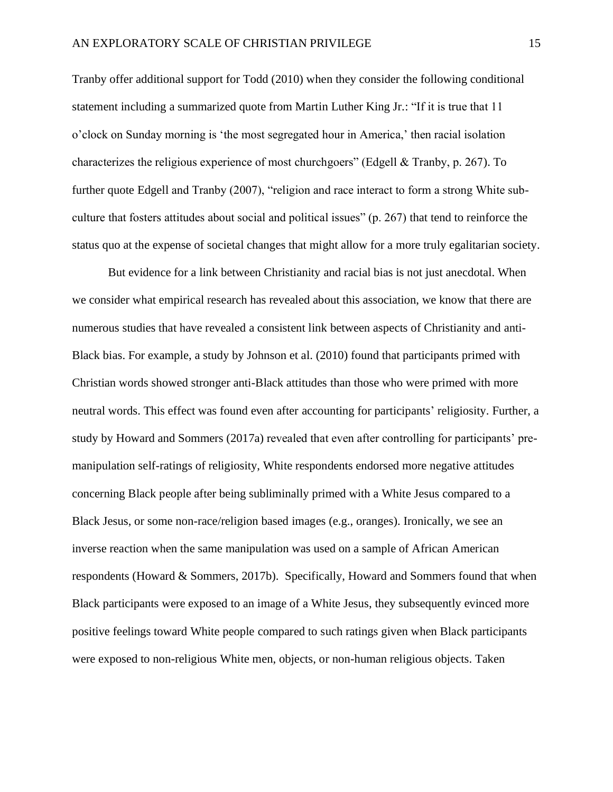Tranby offer additional support for Todd (2010) when they consider the following conditional statement including a summarized quote from Martin Luther King Jr.: "If it is true that 11 o'clock on Sunday morning is 'the most segregated hour in America,' then racial isolation characterizes the religious experience of most churchgoers" (Edgell & Tranby, p. 267). To further quote Edgell and Tranby (2007), "religion and race interact to form a strong White subculture that fosters attitudes about social and political issues" (p. 267) that tend to reinforce the status quo at the expense of societal changes that might allow for a more truly egalitarian society.

But evidence for a link between Christianity and racial bias is not just anecdotal. When we consider what empirical research has revealed about this association, we know that there are numerous studies that have revealed a consistent link between aspects of Christianity and anti-Black bias. For example, a study by Johnson et al. (2010) found that participants primed with Christian words showed stronger anti-Black attitudes than those who were primed with more neutral words. This effect was found even after accounting for participants' religiosity. Further, a study by Howard and Sommers (2017a) revealed that even after controlling for participants' premanipulation self-ratings of religiosity, White respondents endorsed more negative attitudes concerning Black people after being subliminally primed with a White Jesus compared to a Black Jesus, or some non-race/religion based images (e.g., oranges). Ironically, we see an inverse reaction when the same manipulation was used on a sample of African American respondents (Howard & Sommers, 2017b). Specifically, Howard and Sommers found that when Black participants were exposed to an image of a White Jesus, they subsequently evinced more positive feelings toward White people compared to such ratings given when Black participants were exposed to non-religious White men, objects, or non-human religious objects. Taken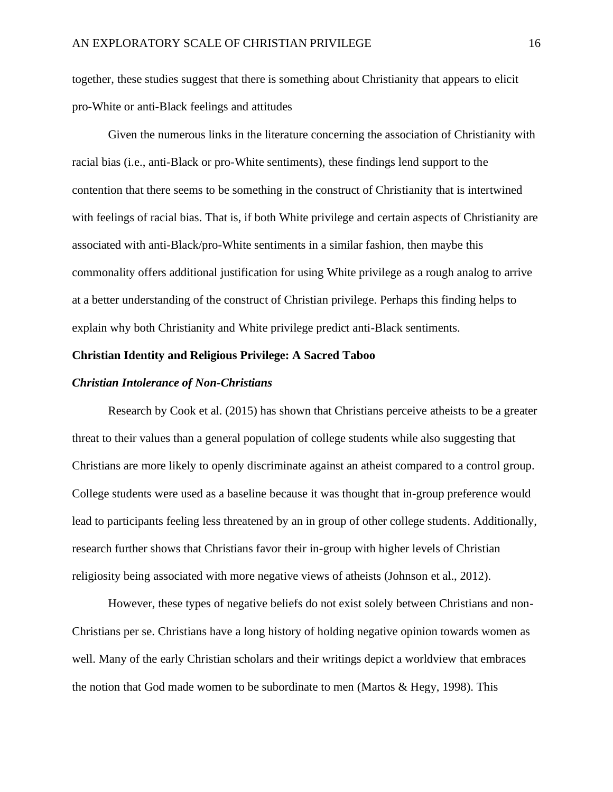together, these studies suggest that there is something about Christianity that appears to elicit pro-White or anti-Black feelings and attitudes

Given the numerous links in the literature concerning the association of Christianity with racial bias (i.e., anti-Black or pro-White sentiments), these findings lend support to the contention that there seems to be something in the construct of Christianity that is intertwined with feelings of racial bias. That is, if both White privilege and certain aspects of Christianity are associated with anti-Black/pro-White sentiments in a similar fashion, then maybe this commonality offers additional justification for using White privilege as a rough analog to arrive at a better understanding of the construct of Christian privilege. Perhaps this finding helps to explain why both Christianity and White privilege predict anti-Black sentiments.

#### <span id="page-24-0"></span>**Christian Identity and Religious Privilege: A Sacred Taboo**

#### *Christian Intolerance of Non-Christians*

Research by Cook et al. (2015) has shown that Christians perceive atheists to be a greater threat to their values than a general population of college students while also suggesting that Christians are more likely to openly discriminate against an atheist compared to a control group. College students were used as a baseline because it was thought that in-group preference would lead to participants feeling less threatened by an in group of other college students. Additionally, research further shows that Christians favor their in-group with higher levels of Christian religiosity being associated with more negative views of atheists (Johnson et al., 2012).

However, these types of negative beliefs do not exist solely between Christians and non-Christians per se. Christians have a long history of holding negative opinion towards women as well. Many of the early Christian scholars and their writings depict a worldview that embraces the notion that God made women to be subordinate to men (Martos & Hegy, 1998). This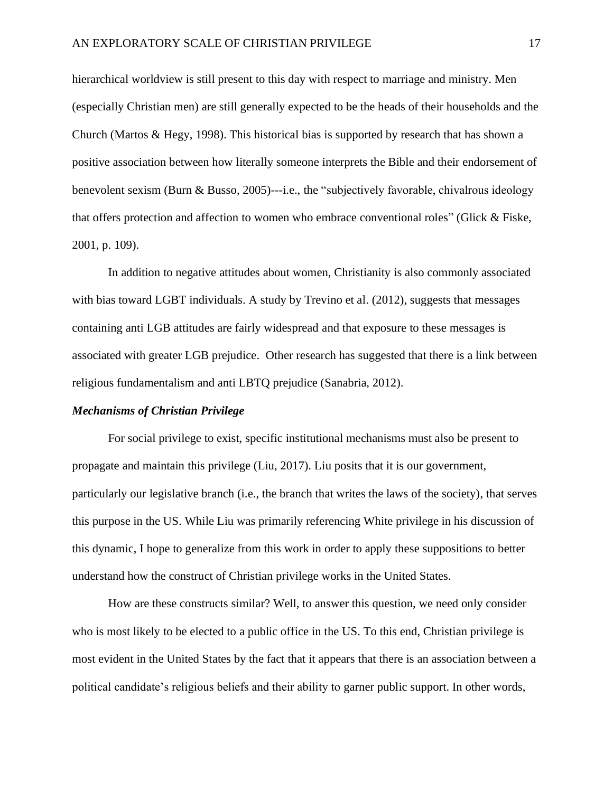hierarchical worldview is still present to this day with respect to marriage and ministry. Men (especially Christian men) are still generally expected to be the heads of their households and the Church (Martos  $\&$  Hegy, 1998). This historical bias is supported by research that has shown a positive association between how literally someone interprets the Bible and their endorsement of benevolent sexism (Burn & Busso, 2005)---i.e., the "subjectively favorable, chivalrous ideology that offers protection and affection to women who embrace conventional roles" (Glick & Fiske, 2001, p. 109).

In addition to negative attitudes about women, Christianity is also commonly associated with bias toward LGBT individuals. A study by Trevino et al. (2012), suggests that messages containing anti LGB attitudes are fairly widespread and that exposure to these messages is associated with greater LGB prejudice. Other research has suggested that there is a link between religious fundamentalism and anti LBTQ prejudice (Sanabria, 2012).

#### *Mechanisms of Christian Privilege*

For social privilege to exist, specific institutional mechanisms must also be present to propagate and maintain this privilege (Liu, 2017). Liu posits that it is our government, particularly our legislative branch (i.e., the branch that writes the laws of the society), that serves this purpose in the US. While Liu was primarily referencing White privilege in his discussion of this dynamic, I hope to generalize from this work in order to apply these suppositions to better understand how the construct of Christian privilege works in the United States.

How are these constructs similar? Well, to answer this question, we need only consider who is most likely to be elected to a public office in the US. To this end, Christian privilege is most evident in the United States by the fact that it appears that there is an association between a political candidate's religious beliefs and their ability to garner public support. In other words,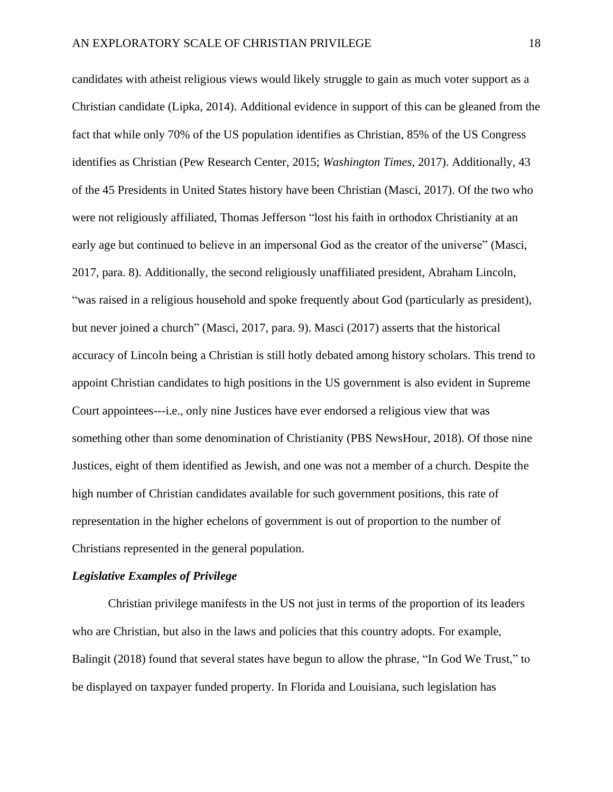candidates with atheist religious views would likely struggle to gain as much voter support as a Christian candidate (Lipka, 2014). Additional evidence in support of this can be gleaned from the fact that while only 70% of the US population identifies as Christian, 85% of the US Congress identifies as Christian (Pew Research Center, 2015; *Washington Times*, 2017). Additionally, 43 of the 45 Presidents in United States history have been Christian (Masci, 2017). Of the two who were not religiously affiliated, Thomas Jefferson "lost his faith in orthodox Christianity at an early age but continued to believe in an impersonal God as the creator of the universe" (Masci, 2017, para. 8). Additionally, the second religiously unaffiliated president, Abraham Lincoln, "was raised in a religious household and spoke frequently about God (particularly as president), but never joined a church" (Masci, 2017, para. 9). Masci (2017) asserts that the historical accuracy of Lincoln being a Christian is still hotly debated among history scholars. This trend to appoint Christian candidates to high positions in the US government is also evident in Supreme Court appointees---i.e., only nine Justices have ever endorsed a religious view that was something other than some denomination of Christianity (PBS NewsHour, 2018). Of those nine Justices, eight of them identified as Jewish, and one was not a member of a church. Despite the high number of Christian candidates available for such government positions, this rate of representation in the higher echelons of government is out of proportion to the number of Christians represented in the general population.

#### *Legislative Examples of Privilege*

Christian privilege manifests in the US not just in terms of the proportion of its leaders who are Christian, but also in the laws and policies that this country adopts. For example, Balingit (2018) found that several states have begun to allow the phrase, "In God We Trust," to be displayed on taxpayer funded property. In Florida and Louisiana, such legislation has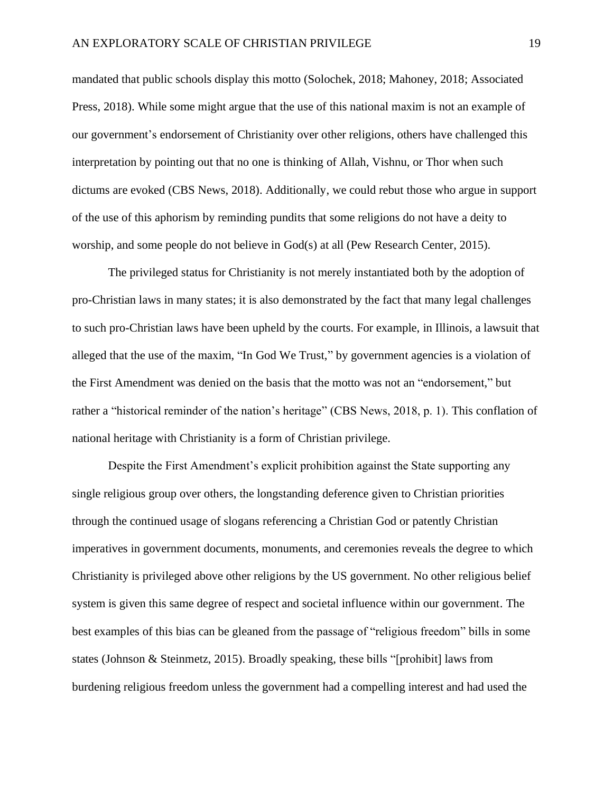mandated that public schools display this motto (Solochek, 2018; Mahoney, 2018; Associated Press, 2018). While some might argue that the use of this national maxim is not an example of our government's endorsement of Christianity over other religions, others have challenged this interpretation by pointing out that no one is thinking of Allah, Vishnu, or Thor when such dictums are evoked (CBS News, 2018). Additionally, we could rebut those who argue in support of the use of this aphorism by reminding pundits that some religions do not have a deity to worship, and some people do not believe in God(s) at all (Pew Research Center, 2015).

The privileged status for Christianity is not merely instantiated both by the adoption of pro-Christian laws in many states; it is also demonstrated by the fact that many legal challenges to such pro-Christian laws have been upheld by the courts. For example, in Illinois, a lawsuit that alleged that the use of the maxim, "In God We Trust," by government agencies is a violation of the First Amendment was denied on the basis that the motto was not an "endorsement," but rather a "historical reminder of the nation's heritage" (CBS News, 2018, p. 1). This conflation of national heritage with Christianity is a form of Christian privilege.

Despite the First Amendment's explicit prohibition against the State supporting any single religious group over others, the longstanding deference given to Christian priorities through the continued usage of slogans referencing a Christian God or patently Christian imperatives in government documents, monuments, and ceremonies reveals the degree to which Christianity is privileged above other religions by the US government. No other religious belief system is given this same degree of respect and societal influence within our government. The best examples of this bias can be gleaned from the passage of "religious freedom" bills in some states (Johnson & Steinmetz, 2015). Broadly speaking, these bills "[prohibit] laws from burdening religious freedom unless the government had a compelling interest and had used the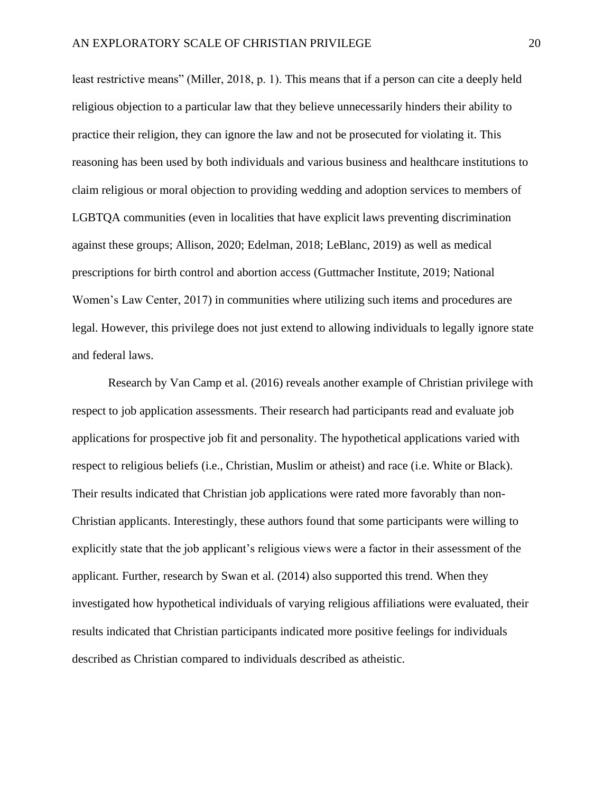least restrictive means" (Miller, 2018, p. 1). This means that if a person can cite a deeply held religious objection to a particular law that they believe unnecessarily hinders their ability to practice their religion, they can ignore the law and not be prosecuted for violating it. This reasoning has been used by both individuals and various business and healthcare institutions to claim religious or moral objection to providing wedding and adoption services to members of LGBTQA communities (even in localities that have explicit laws preventing discrimination against these groups; Allison, 2020; Edelman, 2018; LeBlanc, 2019) as well as medical prescriptions for birth control and abortion access (Guttmacher Institute, 2019; National Women's Law Center, 2017) in communities where utilizing such items and procedures are legal. However, this privilege does not just extend to allowing individuals to legally ignore state and federal laws.

Research by Van Camp et al. (2016) reveals another example of Christian privilege with respect to job application assessments. Their research had participants read and evaluate job applications for prospective job fit and personality. The hypothetical applications varied with respect to religious beliefs (i.e., Christian, Muslim or atheist) and race (i.e. White or Black). Their results indicated that Christian job applications were rated more favorably than non-Christian applicants. Interestingly, these authors found that some participants were willing to explicitly state that the job applicant's religious views were a factor in their assessment of the applicant. Further, research by Swan et al. (2014) also supported this trend. When they investigated how hypothetical individuals of varying religious affiliations were evaluated, their results indicated that Christian participants indicated more positive feelings for individuals described as Christian compared to individuals described as atheistic.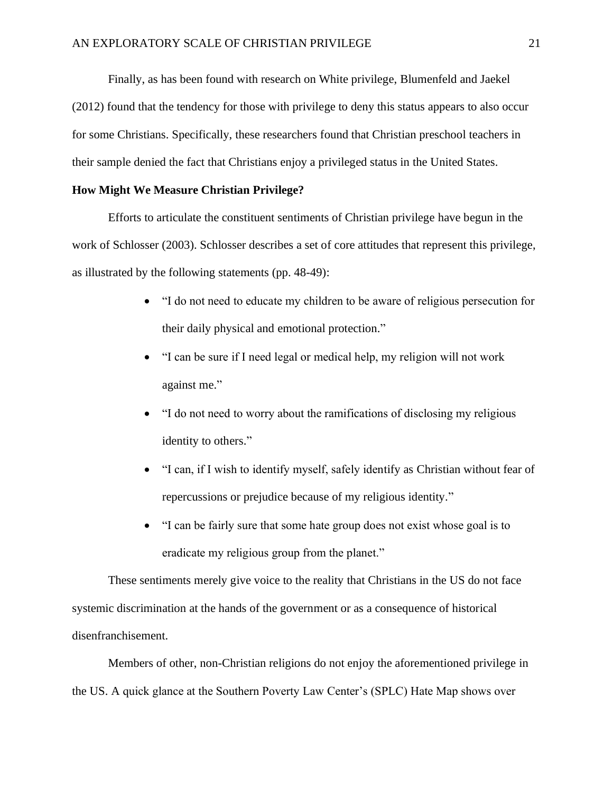Finally, as has been found with research on White privilege, Blumenfeld and Jaekel (2012) found that the tendency for those with privilege to deny this status appears to also occur for some Christians. Specifically, these researchers found that Christian preschool teachers in their sample denied the fact that Christians enjoy a privileged status in the United States.

#### <span id="page-29-0"></span>**How Might We Measure Christian Privilege?**

Efforts to articulate the constituent sentiments of Christian privilege have begun in the work of Schlosser (2003). Schlosser describes a set of core attitudes that represent this privilege, as illustrated by the following statements (pp. 48-49):

- "I do not need to educate my children to be aware of religious persecution for their daily physical and emotional protection."
- "I can be sure if I need legal or medical help, my religion will not work against me."
- "I do not need to worry about the ramifications of disclosing my religious identity to others."
- "I can, if I wish to identify myself, safely identify as Christian without fear of repercussions or prejudice because of my religious identity."
- "I can be fairly sure that some hate group does not exist whose goal is to eradicate my religious group from the planet."

These sentiments merely give voice to the reality that Christians in the US do not face systemic discrimination at the hands of the government or as a consequence of historical disenfranchisement.

Members of other, non-Christian religions do not enjoy the aforementioned privilege in the US. A quick glance at the Southern Poverty Law Center's (SPLC) Hate Map shows over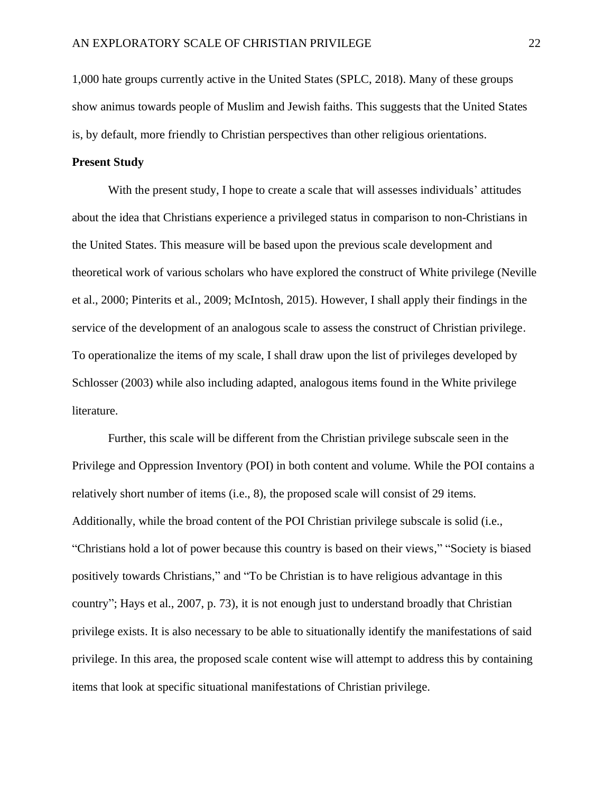1,000 hate groups currently active in the United States (SPLC, 2018). Many of these groups show animus towards people of Muslim and Jewish faiths. This suggests that the United States is, by default, more friendly to Christian perspectives than other religious orientations.

#### **Present Study**

With the present study, I hope to create a scale that will assesses individuals' attitudes about the idea that Christians experience a privileged status in comparison to non-Christians in the United States. This measure will be based upon the previous scale development and theoretical work of various scholars who have explored the construct of White privilege (Neville et al., 2000; Pinterits et al., 2009; McIntosh, 2015). However, I shall apply their findings in the service of the development of an analogous scale to assess the construct of Christian privilege. To operationalize the items of my scale, I shall draw upon the list of privileges developed by Schlosser (2003) while also including adapted, analogous items found in the White privilege literature.

Further, this scale will be different from the Christian privilege subscale seen in the Privilege and Oppression Inventory (POI) in both content and volume. While the POI contains a relatively short number of items (i.e., 8), the proposed scale will consist of 29 items. Additionally, while the broad content of the POI Christian privilege subscale is solid (i.e., "Christians hold a lot of power because this country is based on their views," "Society is biased positively towards Christians," and "To be Christian is to have religious advantage in this country"; Hays et al., 2007, p. 73), it is not enough just to understand broadly that Christian privilege exists. It is also necessary to be able to situationally identify the manifestations of said privilege. In this area, the proposed scale content wise will attempt to address this by containing items that look at specific situational manifestations of Christian privilege.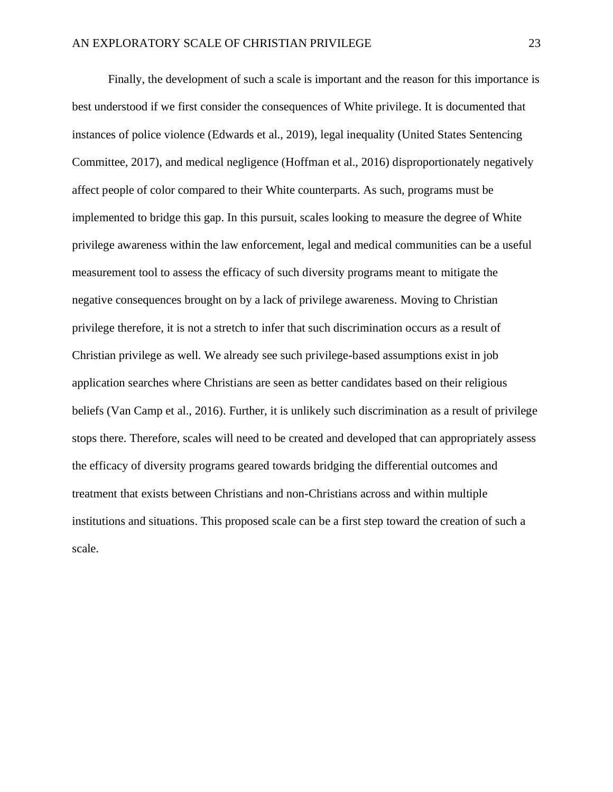Finally, the development of such a scale is important and the reason for this importance is best understood if we first consider the consequences of White privilege. It is documented that instances of police violence (Edwards et al., 2019), legal inequality (United States Sentencing Committee, 2017), and medical negligence (Hoffman et al., 2016) disproportionately negatively affect people of color compared to their White counterparts. As such, programs must be implemented to bridge this gap. In this pursuit, scales looking to measure the degree of White privilege awareness within the law enforcement, legal and medical communities can be a useful measurement tool to assess the efficacy of such diversity programs meant to mitigate the negative consequences brought on by a lack of privilege awareness. Moving to Christian privilege therefore, it is not a stretch to infer that such discrimination occurs as a result of Christian privilege as well. We already see such privilege-based assumptions exist in job application searches where Christians are seen as better candidates based on their religious beliefs (Van Camp et al., 2016). Further, it is unlikely such discrimination as a result of privilege stops there. Therefore, scales will need to be created and developed that can appropriately assess the efficacy of diversity programs geared towards bridging the differential outcomes and treatment that exists between Christians and non-Christians across and within multiple institutions and situations. This proposed scale can be a first step toward the creation of such a scale.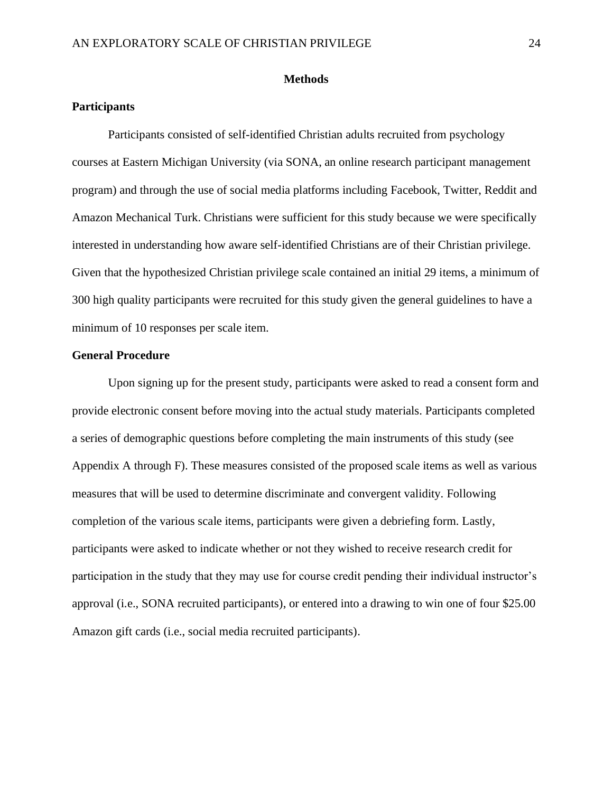#### **Methods**

#### <span id="page-32-1"></span><span id="page-32-0"></span>**Participants**

Participants consisted of self-identified Christian adults recruited from psychology courses at Eastern Michigan University (via SONA, an online research participant management program) and through the use of social media platforms including Facebook, Twitter, Reddit and Amazon Mechanical Turk. Christians were sufficient for this study because we were specifically interested in understanding how aware self-identified Christians are of their Christian privilege. Given that the hypothesized Christian privilege scale contained an initial 29 items, a minimum of 300 high quality participants were recruited for this study given the general guidelines to have a minimum of 10 responses per scale item.

#### <span id="page-32-2"></span>**General Procedure**

Upon signing up for the present study, participants were asked to read a consent form and provide electronic consent before moving into the actual study materials. Participants completed a series of demographic questions before completing the main instruments of this study (see Appendix A through F). These measures consisted of the proposed scale items as well as various measures that will be used to determine discriminate and convergent validity. Following completion of the various scale items, participants were given a debriefing form. Lastly, participants were asked to indicate whether or not they wished to receive research credit for participation in the study that they may use for course credit pending their individual instructor's approval (i.e., SONA recruited participants), or entered into a drawing to win one of four \$25.00 Amazon gift cards (i.e., social media recruited participants).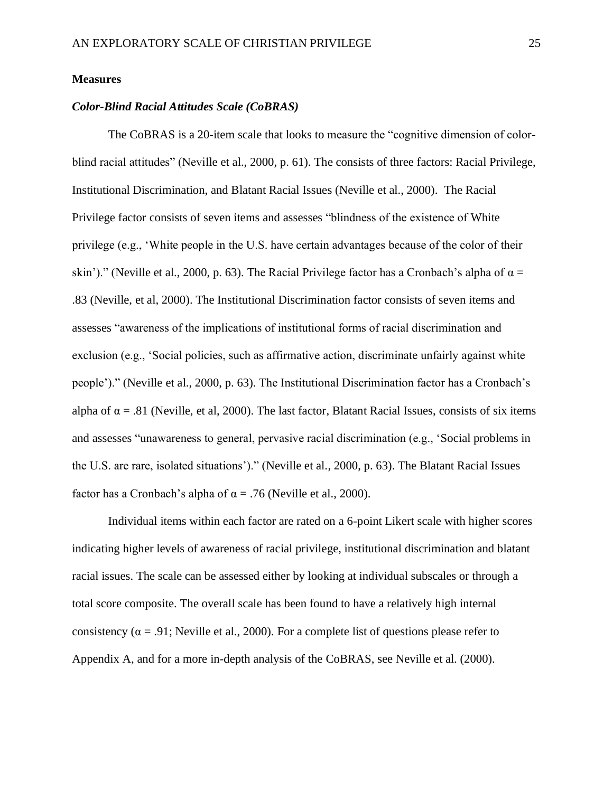#### <span id="page-33-0"></span>**Measures**

#### *Color-Blind Racial Attitudes Scale (CoBRAS)*

The CoBRAS is a 20-item scale that looks to measure the "cognitive dimension of colorblind racial attitudes" (Neville et al., 2000, p. 61). The consists of three factors: Racial Privilege, Institutional Discrimination, and Blatant Racial Issues (Neville et al., 2000). The Racial Privilege factor consists of seven items and assesses "blindness of the existence of White privilege (e.g., 'White people in the U.S. have certain advantages because of the color of their skin')." (Neville et al., 2000, p. 63). The Racial Privilege factor has a Cronbach's alpha of  $\alpha =$ .83 (Neville, et al, 2000). The Institutional Discrimination factor consists of seven items and assesses "awareness of the implications of institutional forms of racial discrimination and exclusion (e.g., 'Social policies, such as affirmative action, discriminate unfairly against white people')." (Neville et al., 2000, p. 63). The Institutional Discrimination factor has a Cronbach's alpha of  $\alpha = .81$  (Neville, et al, 2000). The last factor, Blatant Racial Issues, consists of six items and assesses "unawareness to general, pervasive racial discrimination (e.g., 'Social problems in the U.S. are rare, isolated situations')." (Neville et al., 2000, p. 63). The Blatant Racial Issues factor has a Cronbach's alpha of  $\alpha = .76$  (Neville et al., 2000).

Individual items within each factor are rated on a 6-point Likert scale with higher scores indicating higher levels of awareness of racial privilege, institutional discrimination and blatant racial issues. The scale can be assessed either by looking at individual subscales or through a total score composite. The overall scale has been found to have a relatively high internal consistency ( $\alpha$  = .91; Neville et al., 2000). For a complete list of questions please refer to Appendix A, and for a more in-depth analysis of the CoBRAS, see Neville et al. (2000).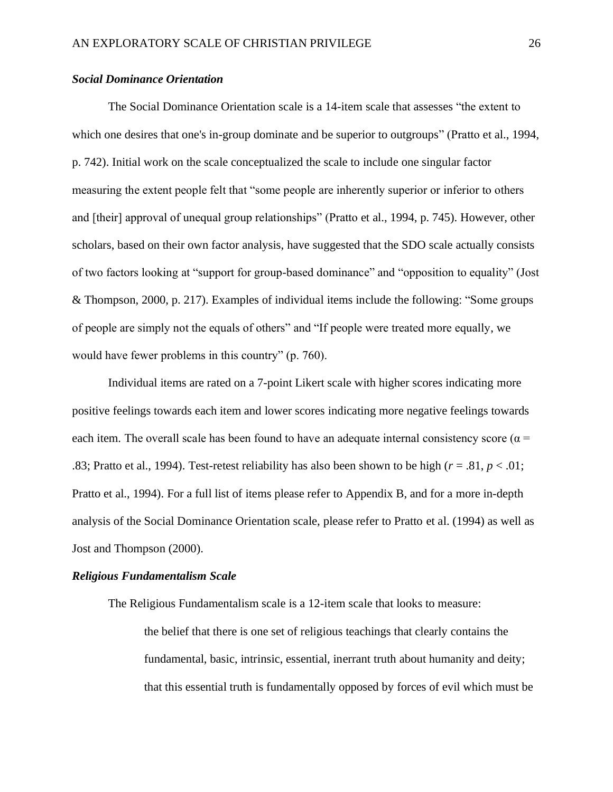#### *Social Dominance Orientation*

The Social Dominance Orientation scale is a 14-item scale that assesses "the extent to which one desires that one's in-group dominate and be superior to outgroups" (Pratto et al., 1994, p. 742). Initial work on the scale conceptualized the scale to include one singular factor measuring the extent people felt that "some people are inherently superior or inferior to others and [their] approval of unequal group relationships" (Pratto et al., 1994, p. 745). However, other scholars, based on their own factor analysis, have suggested that the SDO scale actually consists of two factors looking at "support for group-based dominance" and "opposition to equality" (Jost & Thompson, 2000, p. 217). Examples of individual items include the following: "Some groups of people are simply not the equals of others" and "If people were treated more equally, we would have fewer problems in this country" (p. 760).

Individual items are rated on a 7-point Likert scale with higher scores indicating more positive feelings towards each item and lower scores indicating more negative feelings towards each item. The overall scale has been found to have an adequate internal consistency score ( $\alpha$  = .83; Pratto et al., 1994). Test-retest reliability has also been shown to be high ( $r = .81$ ,  $p < .01$ ; Pratto et al., 1994). For a full list of items please refer to Appendix B, and for a more in-depth analysis of the Social Dominance Orientation scale, please refer to Pratto et al. (1994) as well as Jost and Thompson (2000).

#### *Religious Fundamentalism Scale*

The Religious Fundamentalism scale is a 12-item scale that looks to measure: the belief that there is one set of religious teachings that clearly contains the fundamental, basic, intrinsic, essential, inerrant truth about humanity and deity; that this essential truth is fundamentally opposed by forces of evil which must be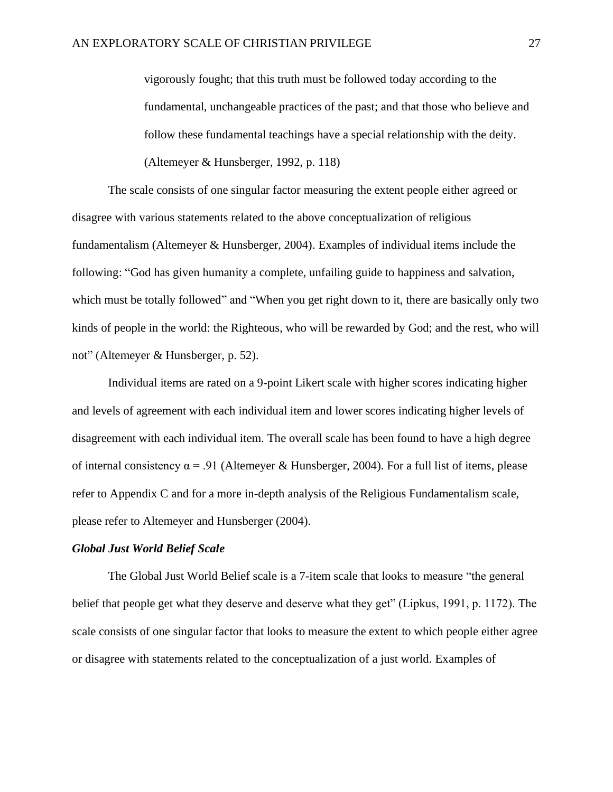vigorously fought; that this truth must be followed today according to the fundamental, unchangeable practices of the past; and that those who believe and follow these fundamental teachings have a special relationship with the deity. (Altemeyer & Hunsberger, 1992, p. 118)

The scale consists of one singular factor measuring the extent people either agreed or disagree with various statements related to the above conceptualization of religious fundamentalism (Altemeyer & Hunsberger, 2004). Examples of individual items include the following: "God has given humanity a complete, unfailing guide to happiness and salvation, which must be totally followed" and "When you get right down to it, there are basically only two kinds of people in the world: the Righteous, who will be rewarded by God; and the rest, who will not" (Altemeyer & Hunsberger, p. 52).

Individual items are rated on a 9-point Likert scale with higher scores indicating higher and levels of agreement with each individual item and lower scores indicating higher levels of disagreement with each individual item. The overall scale has been found to have a high degree of internal consistency  $\alpha$  = .91 (Altemeyer & Hunsberger, 2004). For a full list of items, please refer to Appendix C and for a more in-depth analysis of the Religious Fundamentalism scale, please refer to Altemeyer and Hunsberger (2004).

#### *Global Just World Belief Scale*

The Global Just World Belief scale is a 7-item scale that looks to measure "the general belief that people get what they deserve and deserve what they get" (Lipkus, 1991, p. 1172). The scale consists of one singular factor that looks to measure the extent to which people either agree or disagree with statements related to the conceptualization of a just world. Examples of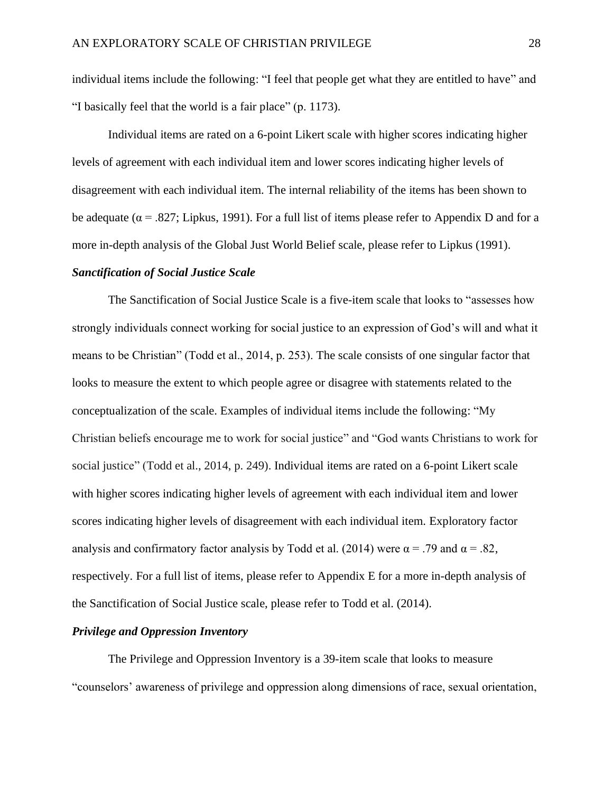individual items include the following: "I feel that people get what they are entitled to have" and "I basically feel that the world is a fair place" (p. 1173).

Individual items are rated on a 6-point Likert scale with higher scores indicating higher levels of agreement with each individual item and lower scores indicating higher levels of disagreement with each individual item. The internal reliability of the items has been shown to be adequate ( $\alpha$  = .827; Lipkus, 1991). For a full list of items please refer to Appendix D and for a more in-depth analysis of the Global Just World Belief scale, please refer to Lipkus (1991).

### *Sanctification of Social Justice Scale*

The Sanctification of Social Justice Scale is a five-item scale that looks to "assesses how strongly individuals connect working for social justice to an expression of God's will and what it means to be Christian" (Todd et al., 2014, p. 253). The scale consists of one singular factor that looks to measure the extent to which people agree or disagree with statements related to the conceptualization of the scale. Examples of individual items include the following: "My Christian beliefs encourage me to work for social justice" and "God wants Christians to work for social justice" (Todd et al., 2014, p. 249). Individual items are rated on a 6-point Likert scale with higher scores indicating higher levels of agreement with each individual item and lower scores indicating higher levels of disagreement with each individual item. Exploratory factor analysis and confirmatory factor analysis by Todd et al. (2014) were  $\alpha$  = .79 and  $\alpha$  = .82, respectively. For a full list of items, please refer to Appendix E for a more in-depth analysis of the Sanctification of Social Justice scale, please refer to Todd et al. (2014).

# *Privilege and Oppression Inventory*

The Privilege and Oppression Inventory is a 39-item scale that looks to measure "counselors' awareness of privilege and oppression along dimensions of race, sexual orientation,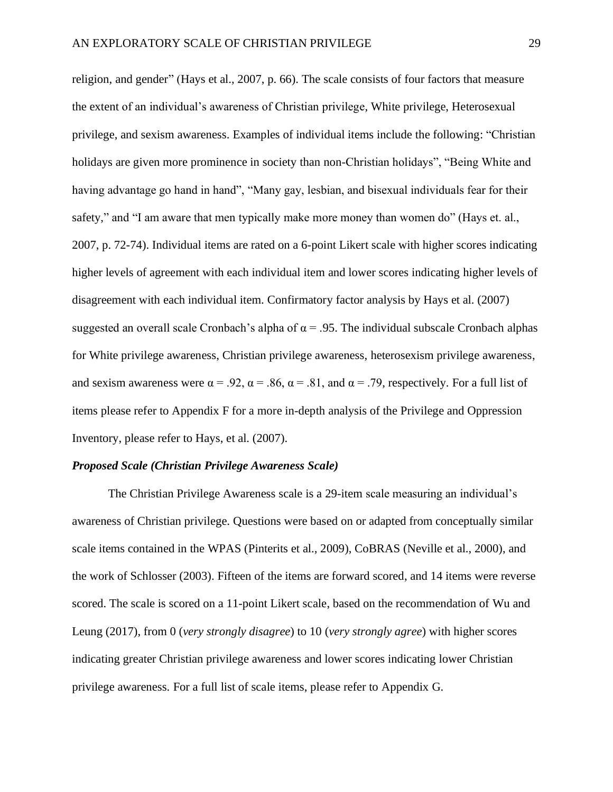religion, and gender" (Hays et al., 2007, p. 66). The scale consists of four factors that measure the extent of an individual's awareness of Christian privilege, White privilege, Heterosexual privilege, and sexism awareness. Examples of individual items include the following: "Christian holidays are given more prominence in society than non-Christian holidays", "Being White and having advantage go hand in hand", "Many gay, lesbian, and bisexual individuals fear for their safety," and "I am aware that men typically make more money than women do" (Hays et. al., 2007, p. 72-74). Individual items are rated on a 6-point Likert scale with higher scores indicating higher levels of agreement with each individual item and lower scores indicating higher levels of disagreement with each individual item. Confirmatory factor analysis by Hays et al. (2007) suggested an overall scale Cronbach's alpha of  $\alpha$  = .95. The individual subscale Cronbach alphas for White privilege awareness, Christian privilege awareness, heterosexism privilege awareness, and sexism awareness were  $\alpha = .92$ ,  $\alpha = .86$ ,  $\alpha = .81$ , and  $\alpha = .79$ , respectively. For a full list of items please refer to Appendix F for a more in-depth analysis of the Privilege and Oppression Inventory, please refer to Hays, et al. (2007).

#### *Proposed Scale (Christian Privilege Awareness Scale)*

The Christian Privilege Awareness scale is a 29-item scale measuring an individual's awareness of Christian privilege. Questions were based on or adapted from conceptually similar scale items contained in the WPAS (Pinterits et al., 2009), CoBRAS (Neville et al., 2000), and the work of Schlosser (2003). Fifteen of the items are forward scored, and 14 items were reverse scored. The scale is scored on a 11-point Likert scale, based on the recommendation of Wu and Leung (2017), from 0 (*very strongly disagree*) to 10 (*very strongly agree*) with higher scores indicating greater Christian privilege awareness and lower scores indicating lower Christian privilege awareness. For a full list of scale items, please refer to Appendix G.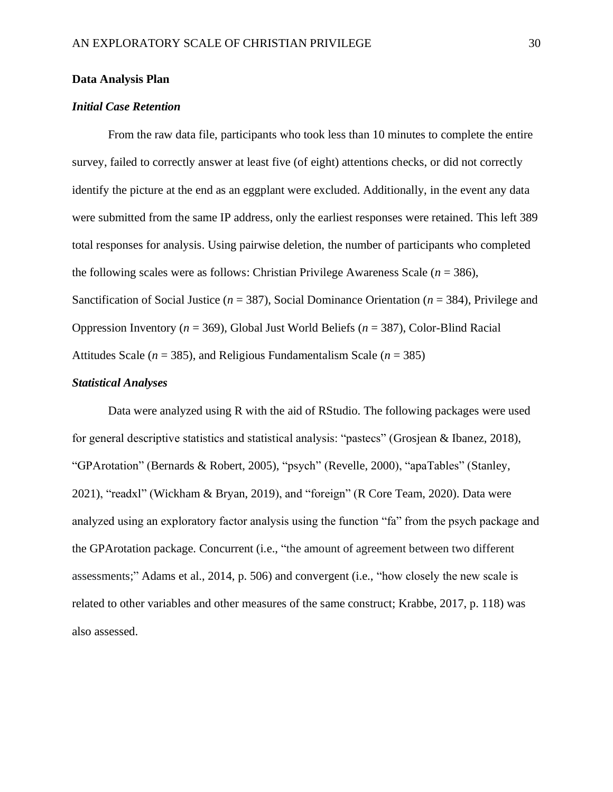## **Data Analysis Plan**

# *Initial Case Retention*

From the raw data file, participants who took less than 10 minutes to complete the entire survey, failed to correctly answer at least five (of eight) attentions checks, or did not correctly identify the picture at the end as an eggplant were excluded. Additionally, in the event any data were submitted from the same IP address, only the earliest responses were retained. This left 389 total responses for analysis. Using pairwise deletion, the number of participants who completed the following scales were as follows: Christian Privilege Awareness Scale (*n* = 386), Sanctification of Social Justice (*n* = 387), Social Dominance Orientation (*n* = 384), Privilege and Oppression Inventory (*n* = 369), Global Just World Beliefs (*n* = 387), Color-Blind Racial Attitudes Scale ( $n = 385$ ), and Religious Fundamentalism Scale ( $n = 385$ )

# *Statistical Analyses*

Data were analyzed using R with the aid of RStudio. The following packages were used for general descriptive statistics and statistical analysis: "pastecs" (Grosjean & Ibanez, 2018), "GPArotation" (Bernards & Robert, 2005), "psych" (Revelle, 2000), "apaTables" (Stanley, 2021), "readxl" (Wickham & Bryan, 2019), and "foreign" (R Core Team, 2020). Data were analyzed using an exploratory factor analysis using the function "fa" from the psych package and the GPArotation package. Concurrent (i.e., "the amount of agreement between two different assessments;" Adams et al., 2014, p. 506) and convergent (i.e., "how closely the new scale is related to other variables and other measures of the same construct; Krabbe, 2017, p. 118) was also assessed.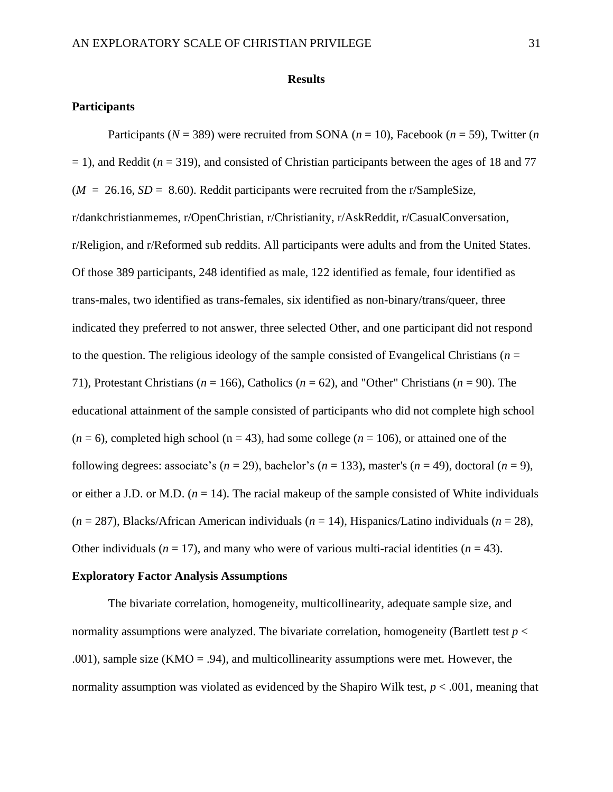#### **Results**

# **Participants**

Participants ( $N = 389$ ) were recruited from SONA ( $n = 10$ ), Facebook ( $n = 59$ ), Twitter (*n*)  $=$  1), and Reddit ( $n = 319$ ), and consisted of Christian participants between the ages of 18 and 77  $(M = 26.16, SD = 8.60)$ . Reddit participants were recruited from the r/SampleSize, r/dankchristianmemes, r/OpenChristian, r/Christianity, r/AskReddit, r/CasualConversation, r/Religion, and r/Reformed sub reddits. All participants were adults and from the United States. Of those 389 participants, 248 identified as male, 122 identified as female, four identified as trans-males, two identified as trans-females, six identified as non-binary/trans/queer, three indicated they preferred to not answer, three selected Other, and one participant did not respond to the question. The religious ideology of the sample consisted of Evangelical Christians ( $n =$ 71), Protestant Christians (*n* = 166), Catholics (*n* = 62), and "Other" Christians (*n* = 90). The educational attainment of the sample consisted of participants who did not complete high school  $(n = 6)$ , completed high school ( $n = 43$ ), had some college ( $n = 106$ ), or attained one of the following degrees: associate's  $(n = 29)$ , bachelor's  $(n = 133)$ , master's  $(n = 49)$ , doctoral  $(n = 9)$ , or either a J.D. or M.D.  $(n = 14)$ . The racial makeup of the sample consisted of White individuals (*n* = 287), Blacks/African American individuals (*n* = 14), Hispanics/Latino individuals (*n* = 28), Other individuals ( $n = 17$ ), and many who were of various multi-racial identities ( $n = 43$ ).

# **Exploratory Factor Analysis Assumptions**

The bivariate correlation, homogeneity, multicollinearity, adequate sample size, and normality assumptions were analyzed. The bivariate correlation, homogeneity (Bartlett test *p* < .001), sample size (KMO = .94), and multicollinearity assumptions were met. However, the normality assumption was violated as evidenced by the Shapiro Wilk test, *p* < .001, meaning that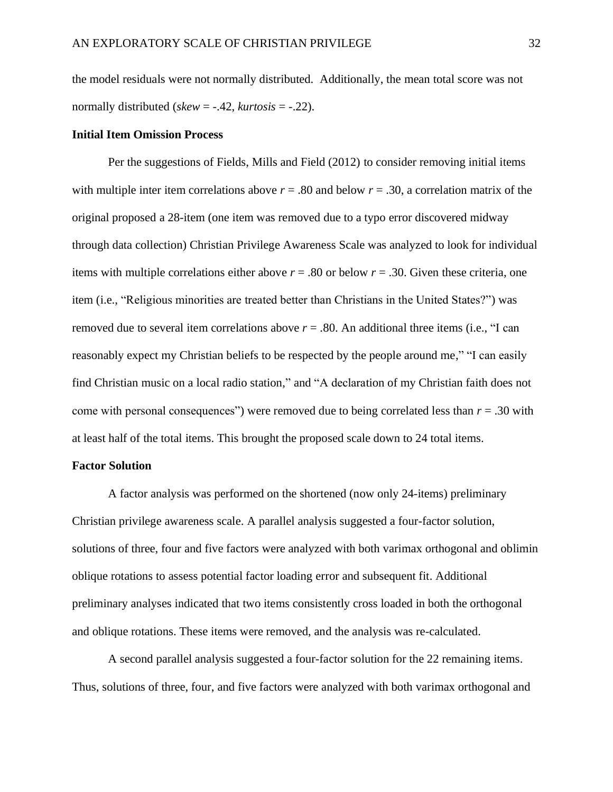the model residuals were not normally distributed. Additionally, the mean total score was not normally distributed (*skew* = -.42, *kurtosis* = -.22).

#### **Initial Item Omission Process**

Per the suggestions of Fields, Mills and Field (2012) to consider removing initial items with multiple inter item correlations above  $r = .80$  and below  $r = .30$ , a correlation matrix of the original proposed a 28-item (one item was removed due to a typo error discovered midway through data collection) Christian Privilege Awareness Scale was analyzed to look for individual items with multiple correlations either above  $r = .80$  or below  $r = .30$ . Given these criteria, one item (i.e., "Religious minorities are treated better than Christians in the United States?") was removed due to several item correlations above  $r = .80$ . An additional three items (i.e., "I can reasonably expect my Christian beliefs to be respected by the people around me," "I can easily find Christian music on a local radio station," and "A declaration of my Christian faith does not come with personal consequences") were removed due to being correlated less than *r* = .30 with at least half of the total items. This brought the proposed scale down to 24 total items.

# **Factor Solution**

A factor analysis was performed on the shortened (now only 24-items) preliminary Christian privilege awareness scale. A parallel analysis suggested a four-factor solution, solutions of three, four and five factors were analyzed with both varimax orthogonal and oblimin oblique rotations to assess potential factor loading error and subsequent fit. Additional preliminary analyses indicated that two items consistently cross loaded in both the orthogonal and oblique rotations. These items were removed, and the analysis was re-calculated.

A second parallel analysis suggested a four-factor solution for the 22 remaining items. Thus, solutions of three, four, and five factors were analyzed with both varimax orthogonal and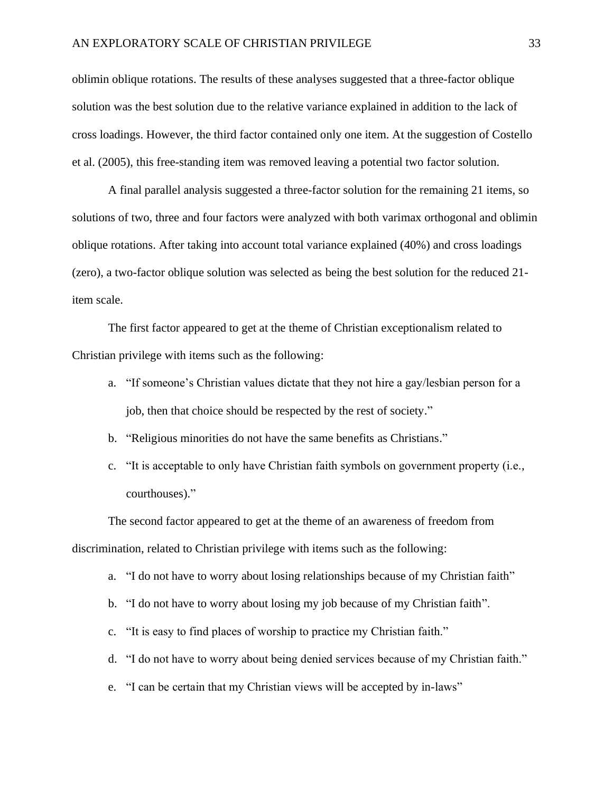oblimin oblique rotations. The results of these analyses suggested that a three-factor oblique solution was the best solution due to the relative variance explained in addition to the lack of cross loadings. However, the third factor contained only one item. At the suggestion of Costello et al. (2005), this free-standing item was removed leaving a potential two factor solution.

A final parallel analysis suggested a three-factor solution for the remaining 21 items, so solutions of two, three and four factors were analyzed with both varimax orthogonal and oblimin oblique rotations. After taking into account total variance explained (40%) and cross loadings (zero), a two-factor oblique solution was selected as being the best solution for the reduced 21 item scale.

The first factor appeared to get at the theme of Christian exceptionalism related to Christian privilege with items such as the following:

- a. "If someone's Christian values dictate that they not hire a gay/lesbian person for a job, then that choice should be respected by the rest of society."
- b. "Religious minorities do not have the same benefits as Christians."
- c. "It is acceptable to only have Christian faith symbols on government property (i.e., courthouses)."

The second factor appeared to get at the theme of an awareness of freedom from discrimination, related to Christian privilege with items such as the following:

- a. "I do not have to worry about losing relationships because of my Christian faith"
- b. "I do not have to worry about losing my job because of my Christian faith".
- c. "It is easy to find places of worship to practice my Christian faith."
- d. "I do not have to worry about being denied services because of my Christian faith."
- e. "I can be certain that my Christian views will be accepted by in-laws"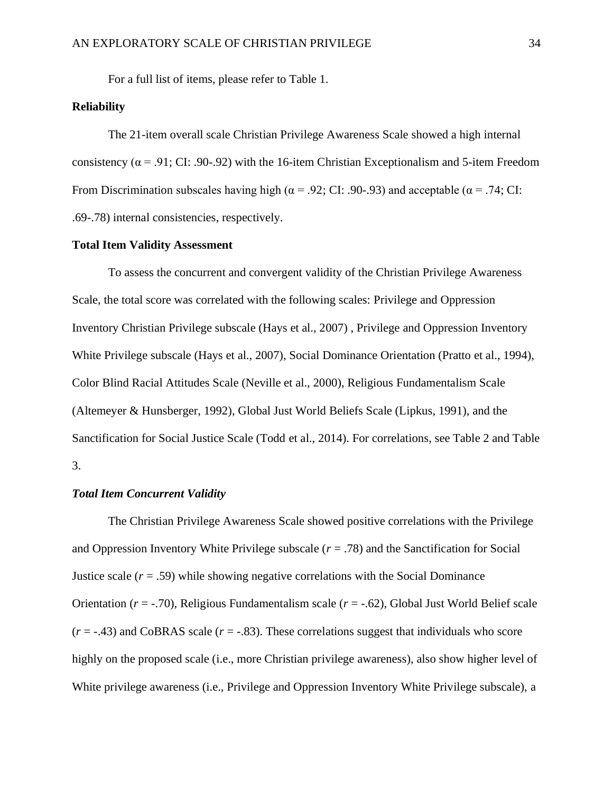For a full list of items, please refer to Table 1.

# **Reliability**

The 21-item overall scale Christian Privilege Awareness Scale showed a high internal consistency ( $\alpha$  = .91; CI: .90-.92) with the 16-item Christian Exceptionalism and 5-item Freedom From Discrimination subscales having high ( $\alpha$  = .92; CI: .90-.93) and acceptable ( $\alpha$  = .74; CI: .69-.78) internal consistencies, respectively.

## **Total Item Validity Assessment**

To assess the concurrent and convergent validity of the Christian Privilege Awareness Scale, the total score was correlated with the following scales: Privilege and Oppression Inventory Christian Privilege subscale (Hays et al., 2007) , Privilege and Oppression Inventory White Privilege subscale (Hays et al., 2007), Social Dominance Orientation (Pratto et al., 1994), Color Blind Racial Attitudes Scale (Neville et al., 2000), Religious Fundamentalism Scale (Altemeyer & Hunsberger, 1992), Global Just World Beliefs Scale (Lipkus, 1991), and the Sanctification for Social Justice Scale (Todd et al., 2014). For correlations, see Table 2 and Table 3.

### *Total Item Concurrent Validity*

The Christian Privilege Awareness Scale showed positive correlations with the Privilege and Oppression Inventory White Privilege subscale (*r* = .78) and the Sanctification for Social Justice scale  $(r = .59)$  while showing negative correlations with the Social Dominance Orientation (*r* = -.70), Religious Fundamentalism scale (*r* = -.62), Global Just World Belief scale  $(r = -0.43)$  and CoBRAS scale  $(r = -0.83)$ . These correlations suggest that individuals who score highly on the proposed scale (i.e., more Christian privilege awareness), also show higher level of White privilege awareness (i.e., Privilege and Oppression Inventory White Privilege subscale), a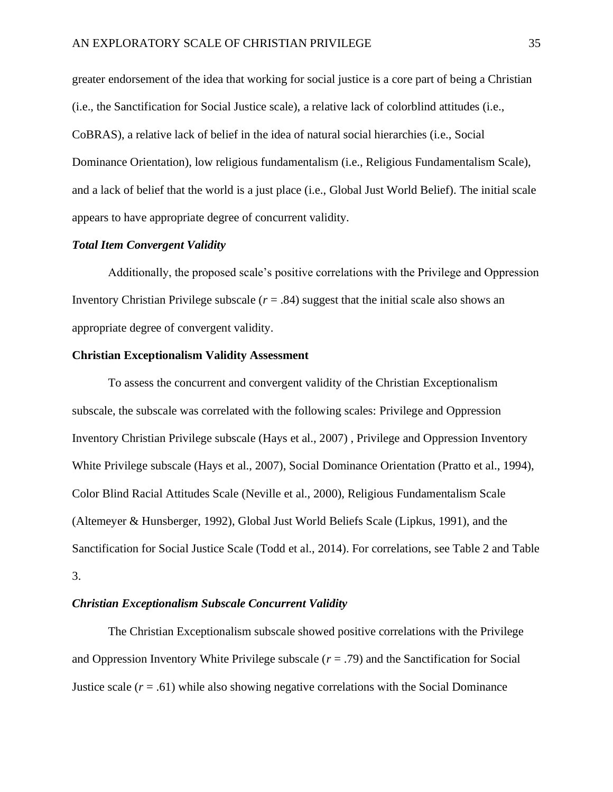greater endorsement of the idea that working for social justice is a core part of being a Christian (i.e., the Sanctification for Social Justice scale), a relative lack of colorblind attitudes (i.e., CoBRAS), a relative lack of belief in the idea of natural social hierarchies (i.e., Social Dominance Orientation), low religious fundamentalism (i.e., Religious Fundamentalism Scale), and a lack of belief that the world is a just place (i.e., Global Just World Belief). The initial scale appears to have appropriate degree of concurrent validity.

#### *Total Item Convergent Validity*

Additionally, the proposed scale's positive correlations with the Privilege and Oppression Inventory Christian Privilege subscale  $(r = .84)$  suggest that the initial scale also shows an appropriate degree of convergent validity.

## **Christian Exceptionalism Validity Assessment**

To assess the concurrent and convergent validity of the Christian Exceptionalism subscale, the subscale was correlated with the following scales: Privilege and Oppression Inventory Christian Privilege subscale (Hays et al., 2007) , Privilege and Oppression Inventory White Privilege subscale (Hays et al., 2007), Social Dominance Orientation (Pratto et al., 1994), Color Blind Racial Attitudes Scale (Neville et al., 2000), Religious Fundamentalism Scale (Altemeyer & Hunsberger, 1992), Global Just World Beliefs Scale (Lipkus, 1991), and the Sanctification for Social Justice Scale (Todd et al., 2014). For correlations, see Table 2 and Table 3.

# *Christian Exceptionalism Subscale Concurrent Validity*

The Christian Exceptionalism subscale showed positive correlations with the Privilege and Oppression Inventory White Privilege subscale (*r* = .79) and the Sanctification for Social Justice scale  $(r = .61)$  while also showing negative correlations with the Social Dominance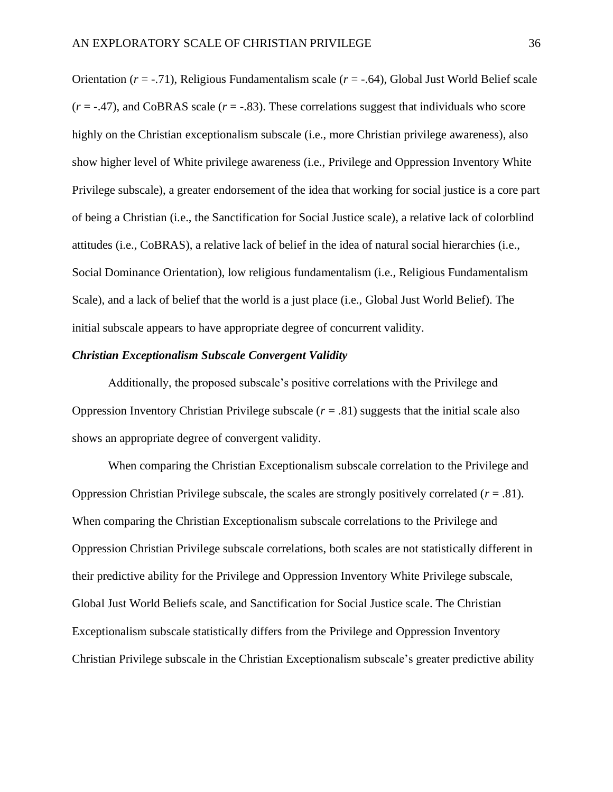Orientation (*r* = -.71), Religious Fundamentalism scale (*r* = -.64), Global Just World Belief scale  $(r = -.47)$ , and CoBRAS scale  $(r = -.83)$ . These correlations suggest that individuals who score highly on the Christian exceptionalism subscale (i.e., more Christian privilege awareness), also show higher level of White privilege awareness (i.e., Privilege and Oppression Inventory White Privilege subscale), a greater endorsement of the idea that working for social justice is a core part of being a Christian (i.e., the Sanctification for Social Justice scale), a relative lack of colorblind attitudes (i.e., CoBRAS), a relative lack of belief in the idea of natural social hierarchies (i.e., Social Dominance Orientation), low religious fundamentalism (i.e., Religious Fundamentalism Scale), and a lack of belief that the world is a just place (i.e., Global Just World Belief). The initial subscale appears to have appropriate degree of concurrent validity.

# *Christian Exceptionalism Subscale Convergent Validity*

Additionally, the proposed subscale's positive correlations with the Privilege and Oppression Inventory Christian Privilege subscale  $(r = .81)$  suggests that the initial scale also shows an appropriate degree of convergent validity.

When comparing the Christian Exceptionalism subscale correlation to the Privilege and Oppression Christian Privilege subscale, the scales are strongly positively correlated (*r* = .81). When comparing the Christian Exceptionalism subscale correlations to the Privilege and Oppression Christian Privilege subscale correlations, both scales are not statistically different in their predictive ability for the Privilege and Oppression Inventory White Privilege subscale, Global Just World Beliefs scale, and Sanctification for Social Justice scale. The Christian Exceptionalism subscale statistically differs from the Privilege and Oppression Inventory Christian Privilege subscale in the Christian Exceptionalism subscale's greater predictive ability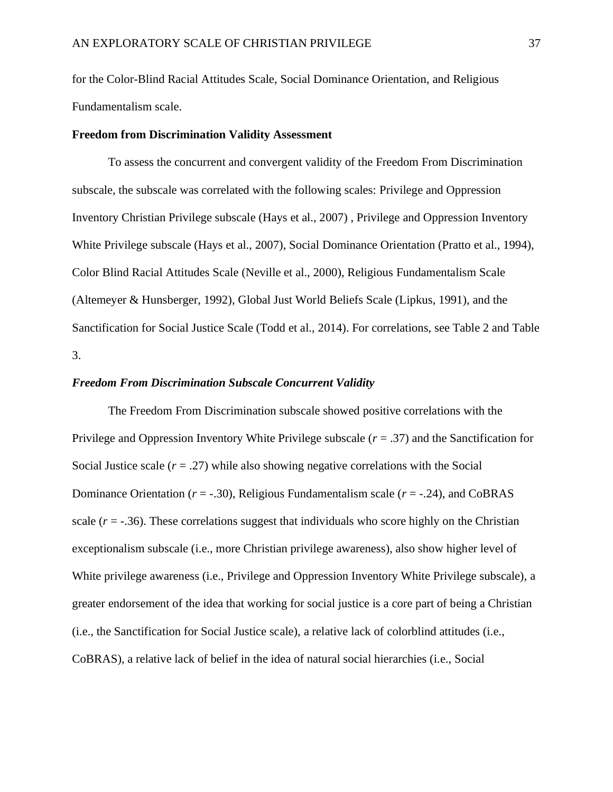for the Color-Blind Racial Attitudes Scale, Social Dominance Orientation, and Religious Fundamentalism scale.

# **Freedom from Discrimination Validity Assessment**

To assess the concurrent and convergent validity of the Freedom From Discrimination subscale, the subscale was correlated with the following scales: Privilege and Oppression Inventory Christian Privilege subscale (Hays et al., 2007) , Privilege and Oppression Inventory White Privilege subscale (Hays et al., 2007), Social Dominance Orientation (Pratto et al., 1994), Color Blind Racial Attitudes Scale (Neville et al., 2000), Religious Fundamentalism Scale (Altemeyer & Hunsberger, 1992), Global Just World Beliefs Scale (Lipkus, 1991), and the Sanctification for Social Justice Scale (Todd et al., 2014). For correlations, see Table 2 and Table 3.

#### *Freedom From Discrimination Subscale Concurrent Validity*

The Freedom From Discrimination subscale showed positive correlations with the Privilege and Oppression Inventory White Privilege subscale (*r* = .37) and the Sanctification for Social Justice scale  $(r = .27)$  while also showing negative correlations with the Social Dominance Orientation (*r* = -.30), Religious Fundamentalism scale (*r* = -.24), and CoBRAS scale  $(r = -.36)$ . These correlations suggest that individuals who score highly on the Christian exceptionalism subscale (i.e., more Christian privilege awareness), also show higher level of White privilege awareness (i.e., Privilege and Oppression Inventory White Privilege subscale), a greater endorsement of the idea that working for social justice is a core part of being a Christian (i.e., the Sanctification for Social Justice scale), a relative lack of colorblind attitudes (i.e., CoBRAS), a relative lack of belief in the idea of natural social hierarchies (i.e., Social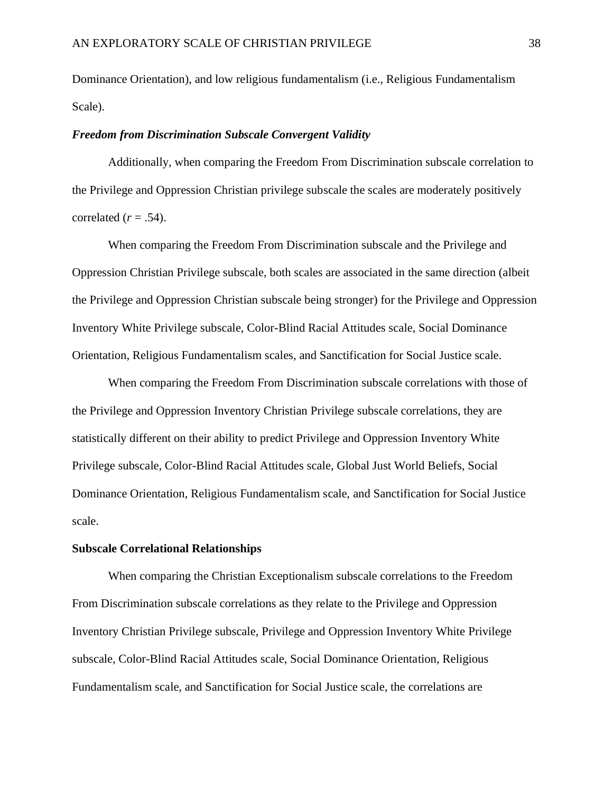Dominance Orientation), and low religious fundamentalism (i.e., Religious Fundamentalism Scale).

# *Freedom from Discrimination Subscale Convergent Validity*

Additionally, when comparing the Freedom From Discrimination subscale correlation to the Privilege and Oppression Christian privilege subscale the scales are moderately positively correlated  $(r = .54)$ .

When comparing the Freedom From Discrimination subscale and the Privilege and Oppression Christian Privilege subscale, both scales are associated in the same direction (albeit the Privilege and Oppression Christian subscale being stronger) for the Privilege and Oppression Inventory White Privilege subscale, Color-Blind Racial Attitudes scale, Social Dominance Orientation, Religious Fundamentalism scales, and Sanctification for Social Justice scale.

When comparing the Freedom From Discrimination subscale correlations with those of the Privilege and Oppression Inventory Christian Privilege subscale correlations, they are statistically different on their ability to predict Privilege and Oppression Inventory White Privilege subscale, Color-Blind Racial Attitudes scale, Global Just World Beliefs, Social Dominance Orientation, Religious Fundamentalism scale, and Sanctification for Social Justice scale.

#### **Subscale Correlational Relationships**

When comparing the Christian Exceptionalism subscale correlations to the Freedom From Discrimination subscale correlations as they relate to the Privilege and Oppression Inventory Christian Privilege subscale, Privilege and Oppression Inventory White Privilege subscale, Color-Blind Racial Attitudes scale, Social Dominance Orientation, Religious Fundamentalism scale, and Sanctification for Social Justice scale, the correlations are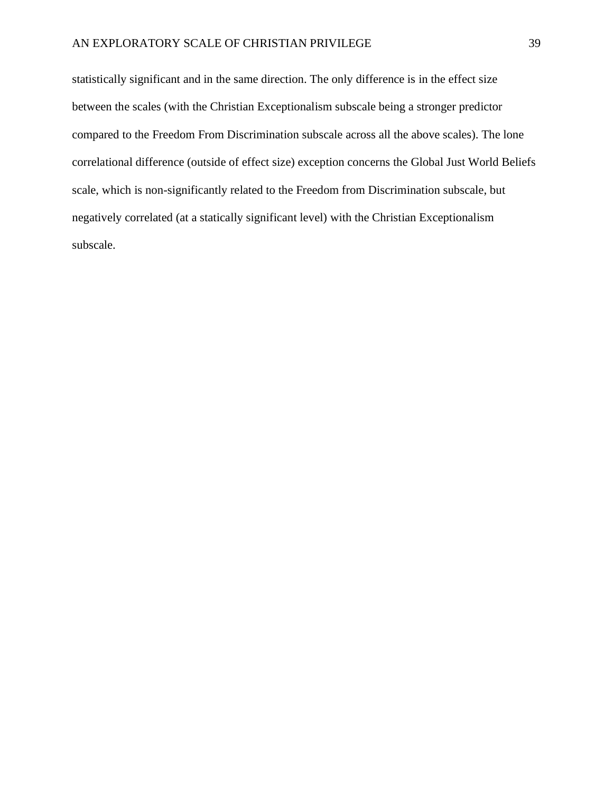# AN EXPLORATORY SCALE OF CHRISTIAN PRIVILEGE 39

statistically significant and in the same direction. The only difference is in the effect size between the scales (with the Christian Exceptionalism subscale being a stronger predictor compared to the Freedom From Discrimination subscale across all the above scales). The lone correlational difference (outside of effect size) exception concerns the Global Just World Beliefs scale, which is non-significantly related to the Freedom from Discrimination subscale, but negatively correlated (at a statically significant level) with the Christian Exceptionalism subscale.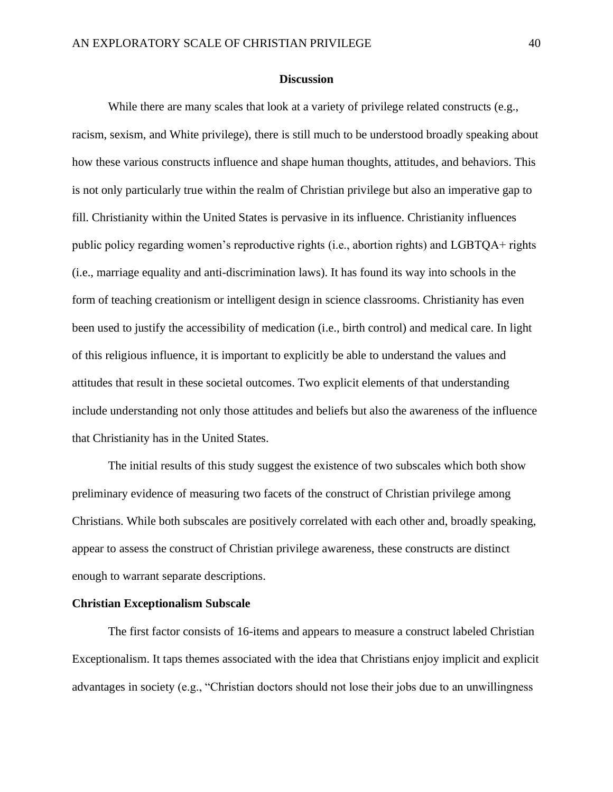## **Discussion**

While there are many scales that look at a variety of privilege related constructs (e.g., racism, sexism, and White privilege), there is still much to be understood broadly speaking about how these various constructs influence and shape human thoughts, attitudes, and behaviors. This is not only particularly true within the realm of Christian privilege but also an imperative gap to fill. Christianity within the United States is pervasive in its influence. Christianity influences public policy regarding women's reproductive rights (i.e., abortion rights) and LGBTQA+ rights (i.e., marriage equality and anti-discrimination laws). It has found its way into schools in the form of teaching creationism or intelligent design in science classrooms. Christianity has even been used to justify the accessibility of medication (i.e., birth control) and medical care. In light of this religious influence, it is important to explicitly be able to understand the values and attitudes that result in these societal outcomes. Two explicit elements of that understanding include understanding not only those attitudes and beliefs but also the awareness of the influence that Christianity has in the United States.

The initial results of this study suggest the existence of two subscales which both show preliminary evidence of measuring two facets of the construct of Christian privilege among Christians. While both subscales are positively correlated with each other and, broadly speaking, appear to assess the construct of Christian privilege awareness, these constructs are distinct enough to warrant separate descriptions.

# **Christian Exceptionalism Subscale**

The first factor consists of 16-items and appears to measure a construct labeled Christian Exceptionalism. It taps themes associated with the idea that Christians enjoy implicit and explicit advantages in society (e.g., "Christian doctors should not lose their jobs due to an unwillingness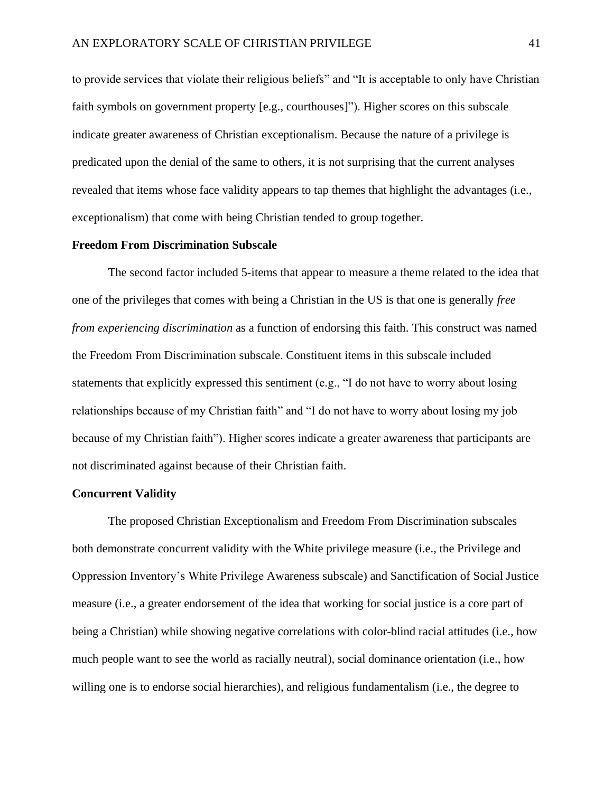to provide services that violate their religious beliefs" and "It is acceptable to only have Christian faith symbols on government property [e.g., courthouses]"). Higher scores on this subscale indicate greater awareness of Christian exceptionalism. Because the nature of a privilege is predicated upon the denial of the same to others, it is not surprising that the current analyses revealed that items whose face validity appears to tap themes that highlight the advantages (i.e., exceptionalism) that come with being Christian tended to group together.

#### **Freedom From Discrimination Subscale**

The second factor included 5-items that appear to measure a theme related to the idea that one of the privileges that comes with being a Christian in the US is that one is generally *free from experiencing discrimination* as a function of endorsing this faith. This construct was named the Freedom From Discrimination subscale. Constituent items in this subscale included statements that explicitly expressed this sentiment (e.g., "I do not have to worry about losing relationships because of my Christian faith" and "I do not have to worry about losing my job because of my Christian faith"). Higher scores indicate a greater awareness that participants are not discriminated against because of their Christian faith.

#### **Concurrent Validity**

The proposed Christian Exceptionalism and Freedom From Discrimination subscales both demonstrate concurrent validity with the White privilege measure (i.e., the Privilege and Oppression Inventory's White Privilege Awareness subscale) and Sanctification of Social Justice measure (i.e., a greater endorsement of the idea that working for social justice is a core part of being a Christian) while showing negative correlations with color-blind racial attitudes (i.e., how much people want to see the world as racially neutral), social dominance orientation (i.e., how willing one is to endorse social hierarchies), and religious fundamentalism (i.e., the degree to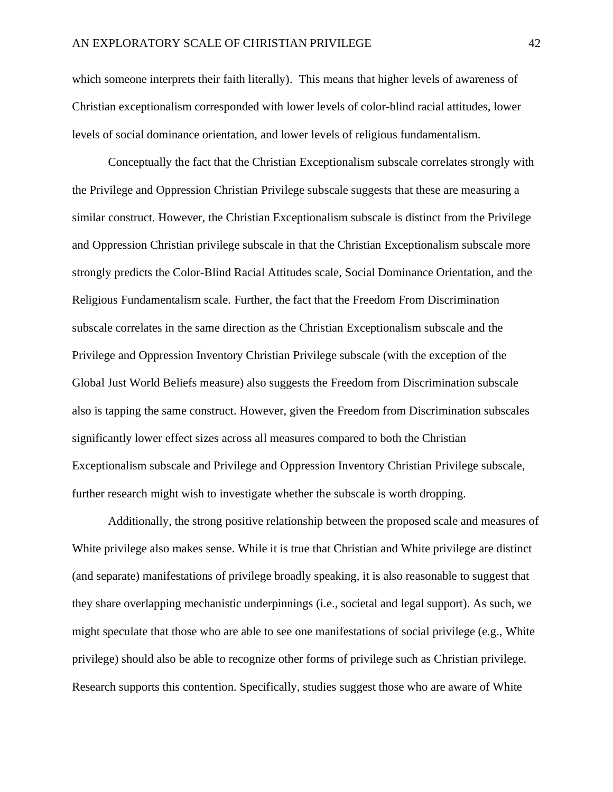which someone interprets their faith literally). This means that higher levels of awareness of Christian exceptionalism corresponded with lower levels of color-blind racial attitudes, lower levels of social dominance orientation, and lower levels of religious fundamentalism.

Conceptually the fact that the Christian Exceptionalism subscale correlates strongly with the Privilege and Oppression Christian Privilege subscale suggests that these are measuring a similar construct. However, the Christian Exceptionalism subscale is distinct from the Privilege and Oppression Christian privilege subscale in that the Christian Exceptionalism subscale more strongly predicts the Color-Blind Racial Attitudes scale, Social Dominance Orientation, and the Religious Fundamentalism scale. Further, the fact that the Freedom From Discrimination subscale correlates in the same direction as the Christian Exceptionalism subscale and the Privilege and Oppression Inventory Christian Privilege subscale (with the exception of the Global Just World Beliefs measure) also suggests the Freedom from Discrimination subscale also is tapping the same construct. However, given the Freedom from Discrimination subscales significantly lower effect sizes across all measures compared to both the Christian Exceptionalism subscale and Privilege and Oppression Inventory Christian Privilege subscale, further research might wish to investigate whether the subscale is worth dropping.

Additionally, the strong positive relationship between the proposed scale and measures of White privilege also makes sense. While it is true that Christian and White privilege are distinct (and separate) manifestations of privilege broadly speaking, it is also reasonable to suggest that they share overlapping mechanistic underpinnings (i.e., societal and legal support). As such, we might speculate that those who are able to see one manifestations of social privilege (e.g., White privilege) should also be able to recognize other forms of privilege such as Christian privilege. Research supports this contention. Specifically, studies suggest those who are aware of White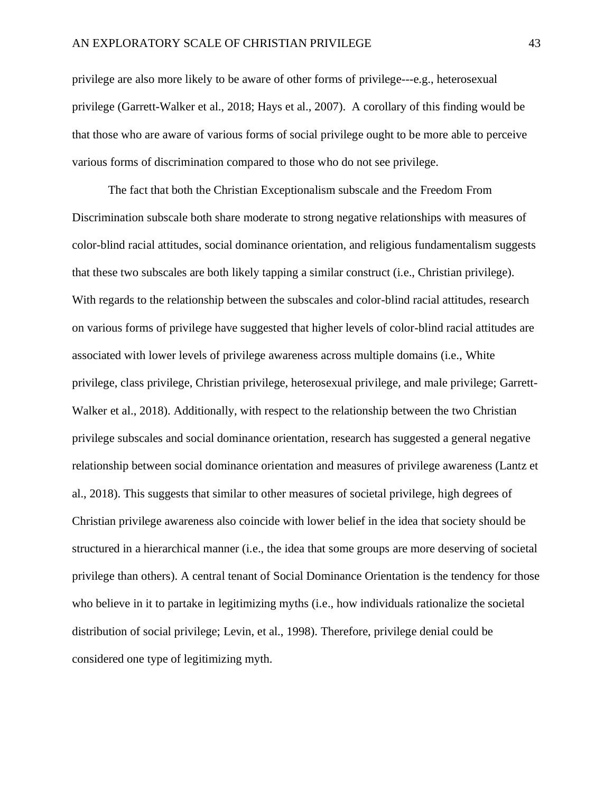privilege are also more likely to be aware of other forms of privilege---e.g., heterosexual privilege (Garrett-Walker et al., 2018; Hays et al., 2007). A corollary of this finding would be that those who are aware of various forms of social privilege ought to be more able to perceive various forms of discrimination compared to those who do not see privilege.

The fact that both the Christian Exceptionalism subscale and the Freedom From Discrimination subscale both share moderate to strong negative relationships with measures of color-blind racial attitudes, social dominance orientation, and religious fundamentalism suggests that these two subscales are both likely tapping a similar construct (i.e., Christian privilege). With regards to the relationship between the subscales and color-blind racial attitudes, research on various forms of privilege have suggested that higher levels of color-blind racial attitudes are associated with lower levels of privilege awareness across multiple domains (i.e., White privilege, class privilege, Christian privilege, heterosexual privilege, and male privilege; Garrett-Walker et al., 2018). Additionally, with respect to the relationship between the two Christian privilege subscales and social dominance orientation, research has suggested a general negative relationship between social dominance orientation and measures of privilege awareness (Lantz et al., 2018). This suggests that similar to other measures of societal privilege, high degrees of Christian privilege awareness also coincide with lower belief in the idea that society should be structured in a hierarchical manner (i.e., the idea that some groups are more deserving of societal privilege than others). A central tenant of Social Dominance Orientation is the tendency for those who believe in it to partake in legitimizing myths (i.e., how individuals rationalize the societal distribution of social privilege; Levin, et al., 1998). Therefore, privilege denial could be considered one type of legitimizing myth.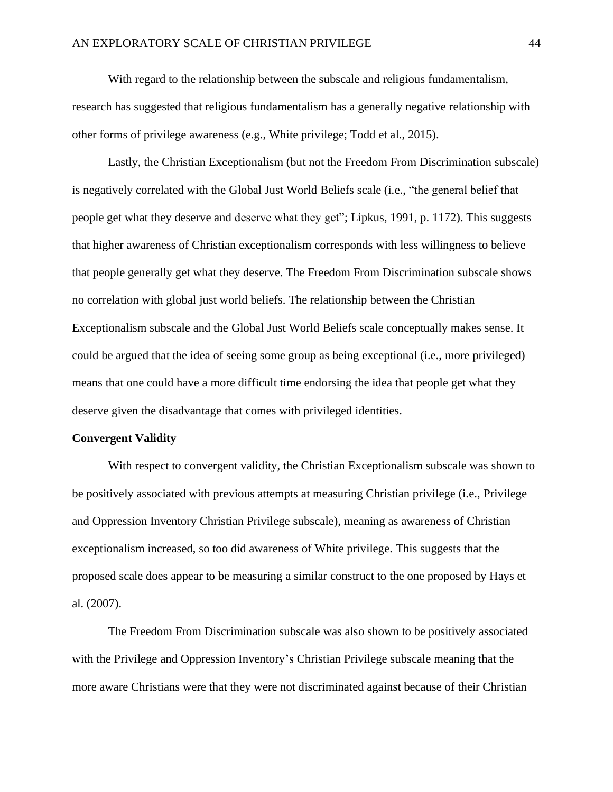With regard to the relationship between the subscale and religious fundamentalism, research has suggested that religious fundamentalism has a generally negative relationship with other forms of privilege awareness (e.g., White privilege; Todd et al., 2015).

Lastly, the Christian Exceptionalism (but not the Freedom From Discrimination subscale) is negatively correlated with the Global Just World Beliefs scale (i.e., "the general belief that people get what they deserve and deserve what they get"; Lipkus, 1991, p. 1172). This suggests that higher awareness of Christian exceptionalism corresponds with less willingness to believe that people generally get what they deserve. The Freedom From Discrimination subscale shows no correlation with global just world beliefs. The relationship between the Christian Exceptionalism subscale and the Global Just World Beliefs scale conceptually makes sense. It could be argued that the idea of seeing some group as being exceptional (i.e., more privileged) means that one could have a more difficult time endorsing the idea that people get what they deserve given the disadvantage that comes with privileged identities.

#### **Convergent Validity**

With respect to convergent validity, the Christian Exceptionalism subscale was shown to be positively associated with previous attempts at measuring Christian privilege (i.e., Privilege and Oppression Inventory Christian Privilege subscale), meaning as awareness of Christian exceptionalism increased, so too did awareness of White privilege. This suggests that the proposed scale does appear to be measuring a similar construct to the one proposed by Hays et al. (2007).

The Freedom From Discrimination subscale was also shown to be positively associated with the Privilege and Oppression Inventory's Christian Privilege subscale meaning that the more aware Christians were that they were not discriminated against because of their Christian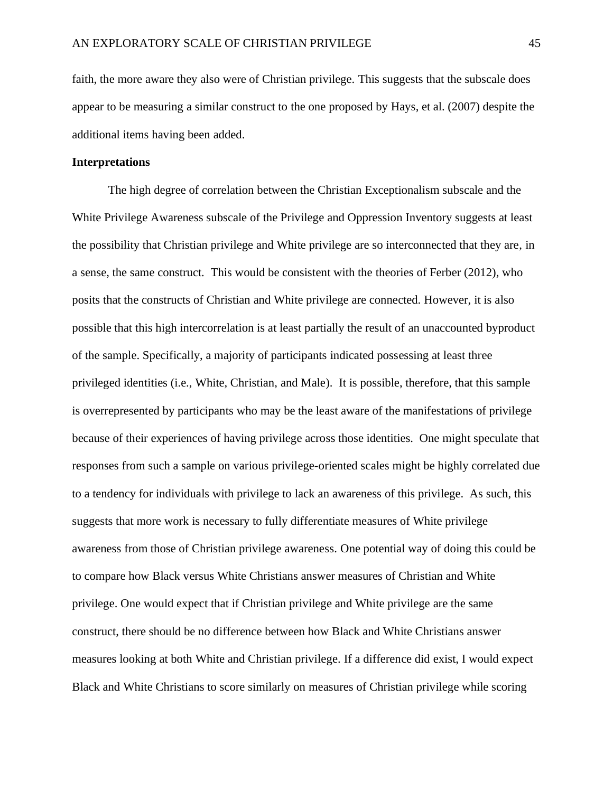faith, the more aware they also were of Christian privilege. This suggests that the subscale does appear to be measuring a similar construct to the one proposed by Hays, et al. (2007) despite the additional items having been added.

# **Interpretations**

The high degree of correlation between the Christian Exceptionalism subscale and the White Privilege Awareness subscale of the Privilege and Oppression Inventory suggests at least the possibility that Christian privilege and White privilege are so interconnected that they are, in a sense, the same construct. This would be consistent with the theories of Ferber (2012), who posits that the constructs of Christian and White privilege are connected. However, it is also possible that this high intercorrelation is at least partially the result of an unaccounted byproduct of the sample. Specifically, a majority of participants indicated possessing at least three privileged identities (i.e., White, Christian, and Male). It is possible, therefore, that this sample is overrepresented by participants who may be the least aware of the manifestations of privilege because of their experiences of having privilege across those identities. One might speculate that responses from such a sample on various privilege-oriented scales might be highly correlated due to a tendency for individuals with privilege to lack an awareness of this privilege. As such, this suggests that more work is necessary to fully differentiate measures of White privilege awareness from those of Christian privilege awareness. One potential way of doing this could be to compare how Black versus White Christians answer measures of Christian and White privilege. One would expect that if Christian privilege and White privilege are the same construct, there should be no difference between how Black and White Christians answer measures looking at both White and Christian privilege. If a difference did exist, I would expect Black and White Christians to score similarly on measures of Christian privilege while scoring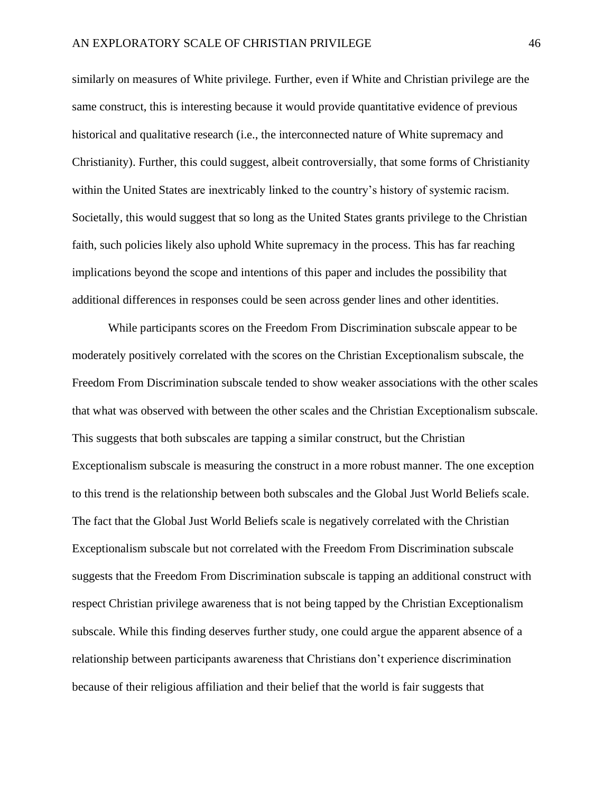similarly on measures of White privilege. Further, even if White and Christian privilege are the same construct, this is interesting because it would provide quantitative evidence of previous historical and qualitative research (i.e., the interconnected nature of White supremacy and Christianity). Further, this could suggest, albeit controversially, that some forms of Christianity within the United States are inextricably linked to the country's history of systemic racism. Societally, this would suggest that so long as the United States grants privilege to the Christian faith, such policies likely also uphold White supremacy in the process. This has far reaching implications beyond the scope and intentions of this paper and includes the possibility that additional differences in responses could be seen across gender lines and other identities.

While participants scores on the Freedom From Discrimination subscale appear to be moderately positively correlated with the scores on the Christian Exceptionalism subscale, the Freedom From Discrimination subscale tended to show weaker associations with the other scales that what was observed with between the other scales and the Christian Exceptionalism subscale. This suggests that both subscales are tapping a similar construct, but the Christian Exceptionalism subscale is measuring the construct in a more robust manner. The one exception to this trend is the relationship between both subscales and the Global Just World Beliefs scale. The fact that the Global Just World Beliefs scale is negatively correlated with the Christian Exceptionalism subscale but not correlated with the Freedom From Discrimination subscale suggests that the Freedom From Discrimination subscale is tapping an additional construct with respect Christian privilege awareness that is not being tapped by the Christian Exceptionalism subscale. While this finding deserves further study, one could argue the apparent absence of a relationship between participants awareness that Christians don't experience discrimination because of their religious affiliation and their belief that the world is fair suggests that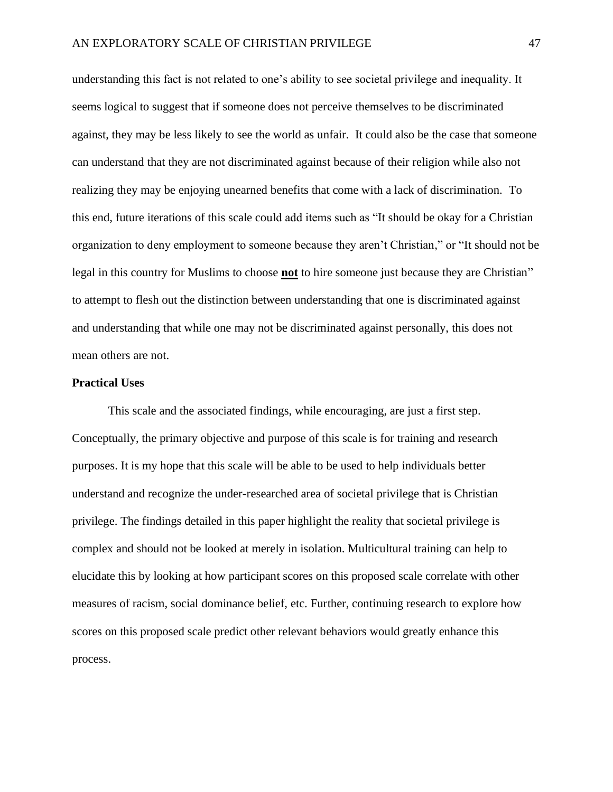understanding this fact is not related to one's ability to see societal privilege and inequality. It seems logical to suggest that if someone does not perceive themselves to be discriminated against, they may be less likely to see the world as unfair. It could also be the case that someone can understand that they are not discriminated against because of their religion while also not realizing they may be enjoying unearned benefits that come with a lack of discrimination. To this end, future iterations of this scale could add items such as "It should be okay for a Christian organization to deny employment to someone because they aren't Christian," or "It should not be legal in this country for Muslims to choose **not** to hire someone just because they are Christian" to attempt to flesh out the distinction between understanding that one is discriminated against and understanding that while one may not be discriminated against personally, this does not mean others are not.

# **Practical Uses**

This scale and the associated findings, while encouraging, are just a first step. Conceptually, the primary objective and purpose of this scale is for training and research purposes. It is my hope that this scale will be able to be used to help individuals better understand and recognize the under-researched area of societal privilege that is Christian privilege. The findings detailed in this paper highlight the reality that societal privilege is complex and should not be looked at merely in isolation. Multicultural training can help to elucidate this by looking at how participant scores on this proposed scale correlate with other measures of racism, social dominance belief, etc. Further, continuing research to explore how scores on this proposed scale predict other relevant behaviors would greatly enhance this process.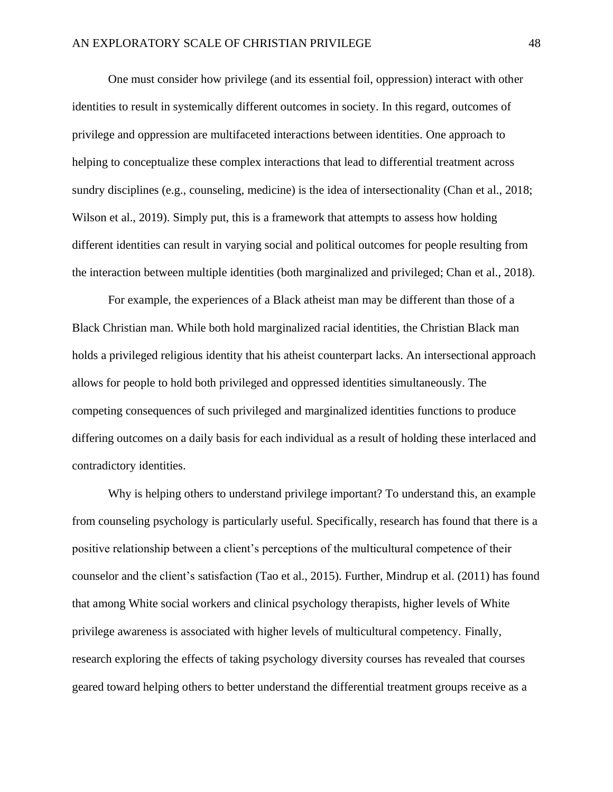One must consider how privilege (and its essential foil, oppression) interact with other identities to result in systemically different outcomes in society. In this regard, outcomes of privilege and oppression are multifaceted interactions between identities. One approach to helping to conceptualize these complex interactions that lead to differential treatment across sundry disciplines (e.g., counseling, medicine) is the idea of intersectionality (Chan et al., 2018; Wilson et al., 2019). Simply put, this is a framework that attempts to assess how holding different identities can result in varying social and political outcomes for people resulting from the interaction between multiple identities (both marginalized and privileged; Chan et al., 2018).

For example, the experiences of a Black atheist man may be different than those of a Black Christian man. While both hold marginalized racial identities, the Christian Black man holds a privileged religious identity that his atheist counterpart lacks. An intersectional approach allows for people to hold both privileged and oppressed identities simultaneously. The competing consequences of such privileged and marginalized identities functions to produce differing outcomes on a daily basis for each individual as a result of holding these interlaced and contradictory identities.

Why is helping others to understand privilege important? To understand this, an example from counseling psychology is particularly useful. Specifically, research has found that there is a positive relationship between a client's perceptions of the multicultural competence of their counselor and the client's satisfaction (Tao et al., 2015). Further, Mindrup et al. (2011) has found that among White social workers and clinical psychology therapists, higher levels of White privilege awareness is associated with higher levels of multicultural competency. Finally, research exploring the effects of taking psychology diversity courses has revealed that courses geared toward helping others to better understand the differential treatment groups receive as a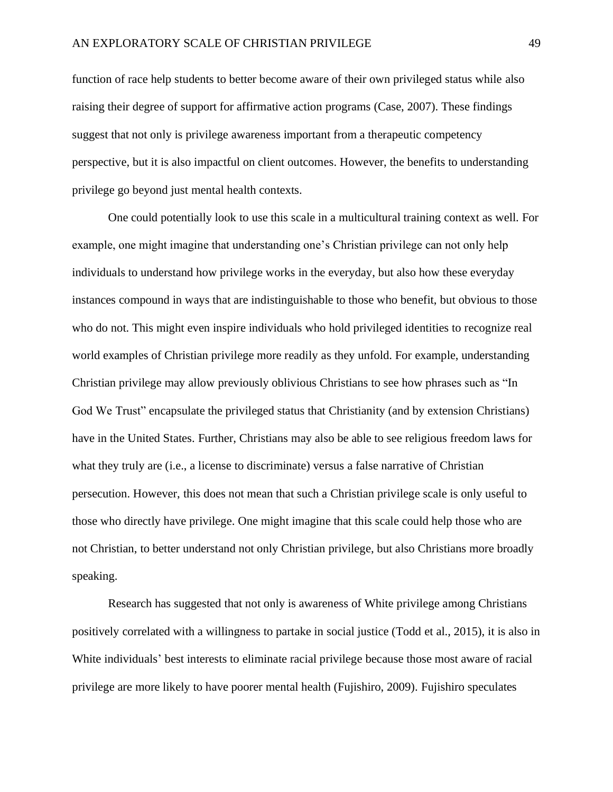function of race help students to better become aware of their own privileged status while also raising their degree of support for affirmative action programs (Case, 2007). These findings suggest that not only is privilege awareness important from a therapeutic competency perspective, but it is also impactful on client outcomes. However, the benefits to understanding privilege go beyond just mental health contexts.

One could potentially look to use this scale in a multicultural training context as well. For example, one might imagine that understanding one's Christian privilege can not only help individuals to understand how privilege works in the everyday, but also how these everyday instances compound in ways that are indistinguishable to those who benefit, but obvious to those who do not. This might even inspire individuals who hold privileged identities to recognize real world examples of Christian privilege more readily as they unfold. For example, understanding Christian privilege may allow previously oblivious Christians to see how phrases such as "In God We Trust" encapsulate the privileged status that Christianity (and by extension Christians) have in the United States. Further, Christians may also be able to see religious freedom laws for what they truly are (i.e., a license to discriminate) versus a false narrative of Christian persecution. However, this does not mean that such a Christian privilege scale is only useful to those who directly have privilege. One might imagine that this scale could help those who are not Christian, to better understand not only Christian privilege, but also Christians more broadly speaking.

Research has suggested that not only is awareness of White privilege among Christians positively correlated with a willingness to partake in social justice (Todd et al., 2015), it is also in White individuals' best interests to eliminate racial privilege because those most aware of racial privilege are more likely to have poorer mental health (Fujishiro, 2009). Fujishiro speculates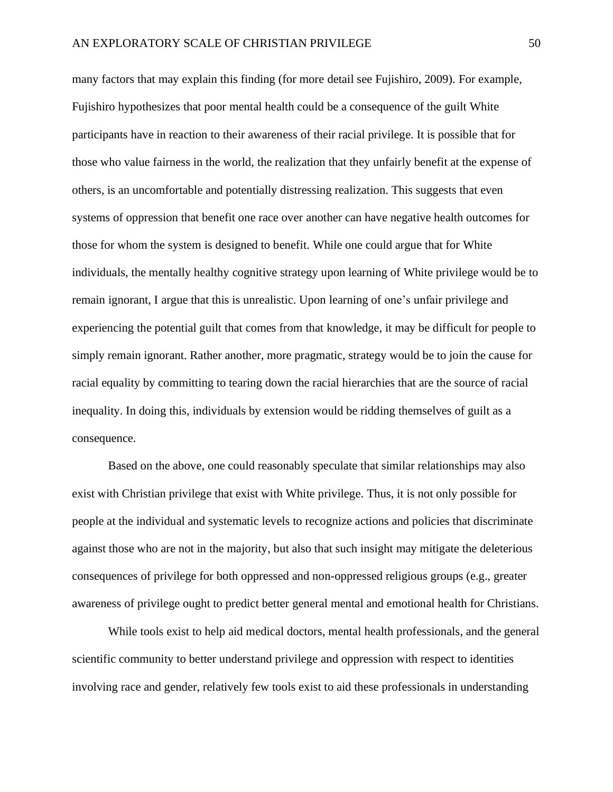many factors that may explain this finding (for more detail see Fujishiro, 2009). For example, Fujishiro hypothesizes that poor mental health could be a consequence of the guilt White participants have in reaction to their awareness of their racial privilege. It is possible that for those who value fairness in the world, the realization that they unfairly benefit at the expense of others, is an uncomfortable and potentially distressing realization. This suggests that even systems of oppression that benefit one race over another can have negative health outcomes for those for whom the system is designed to benefit. While one could argue that for White individuals, the mentally healthy cognitive strategy upon learning of White privilege would be to remain ignorant, I argue that this is unrealistic. Upon learning of one's unfair privilege and experiencing the potential guilt that comes from that knowledge, it may be difficult for people to simply remain ignorant. Rather another, more pragmatic, strategy would be to join the cause for racial equality by committing to tearing down the racial hierarchies that are the source of racial inequality. In doing this, individuals by extension would be ridding themselves of guilt as a consequence.

Based on the above, one could reasonably speculate that similar relationships may also exist with Christian privilege that exist with White privilege. Thus, it is not only possible for people at the individual and systematic levels to recognize actions and policies that discriminate against those who are not in the majority, but also that such insight may mitigate the deleterious consequences of privilege for both oppressed and non-oppressed religious groups (e.g., greater awareness of privilege ought to predict better general mental and emotional health for Christians.

While tools exist to help aid medical doctors, mental health professionals, and the general scientific community to better understand privilege and oppression with respect to identities involving race and gender, relatively few tools exist to aid these professionals in understanding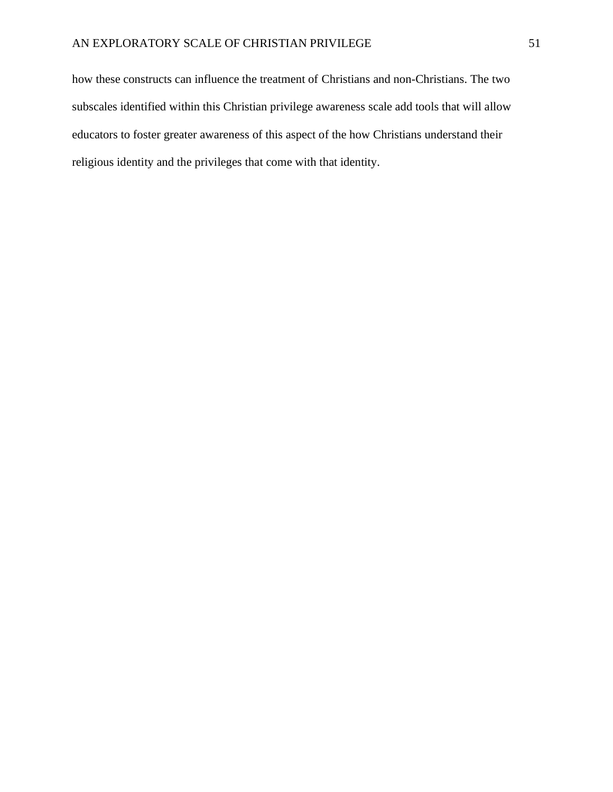how these constructs can influence the treatment of Christians and non-Christians. The two subscales identified within this Christian privilege awareness scale add tools that will allow educators to foster greater awareness of this aspect of the how Christians understand their religious identity and the privileges that come with that identity.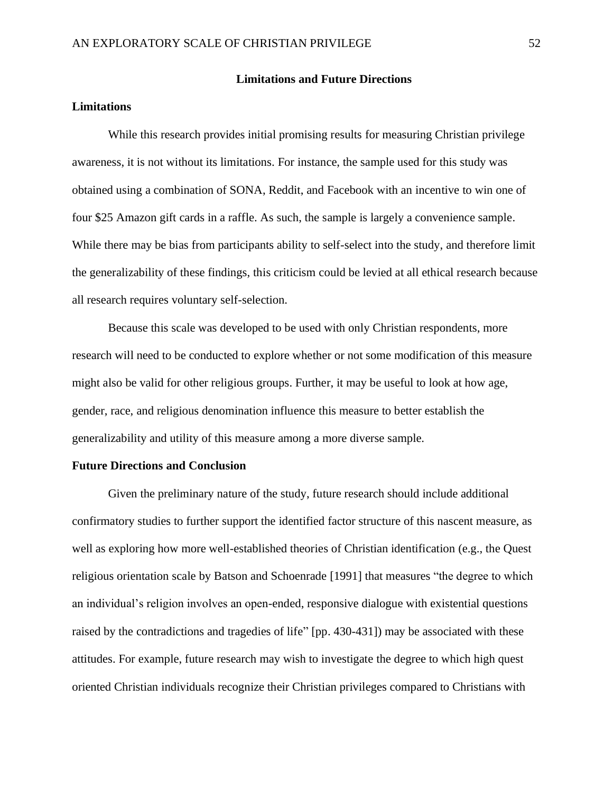#### **Limitations and Future Directions**

# **Limitations**

While this research provides initial promising results for measuring Christian privilege awareness, it is not without its limitations. For instance, the sample used for this study was obtained using a combination of SONA, Reddit, and Facebook with an incentive to win one of four \$25 Amazon gift cards in a raffle. As such, the sample is largely a convenience sample. While there may be bias from participants ability to self-select into the study, and therefore limit the generalizability of these findings, this criticism could be levied at all ethical research because all research requires voluntary self-selection.

Because this scale was developed to be used with only Christian respondents, more research will need to be conducted to explore whether or not some modification of this measure might also be valid for other religious groups. Further, it may be useful to look at how age, gender, race, and religious denomination influence this measure to better establish the generalizability and utility of this measure among a more diverse sample.

#### **Future Directions and Conclusion**

Given the preliminary nature of the study, future research should include additional confirmatory studies to further support the identified factor structure of this nascent measure, as well as exploring how more well-established theories of Christian identification (e.g., the Quest religious orientation scale by Batson and Schoenrade [1991] that measures "the degree to which an individual's religion involves an open-ended, responsive dialogue with existential questions raised by the contradictions and tragedies of life" [pp. 430-431]) may be associated with these attitudes. For example, future research may wish to investigate the degree to which high quest oriented Christian individuals recognize their Christian privileges compared to Christians with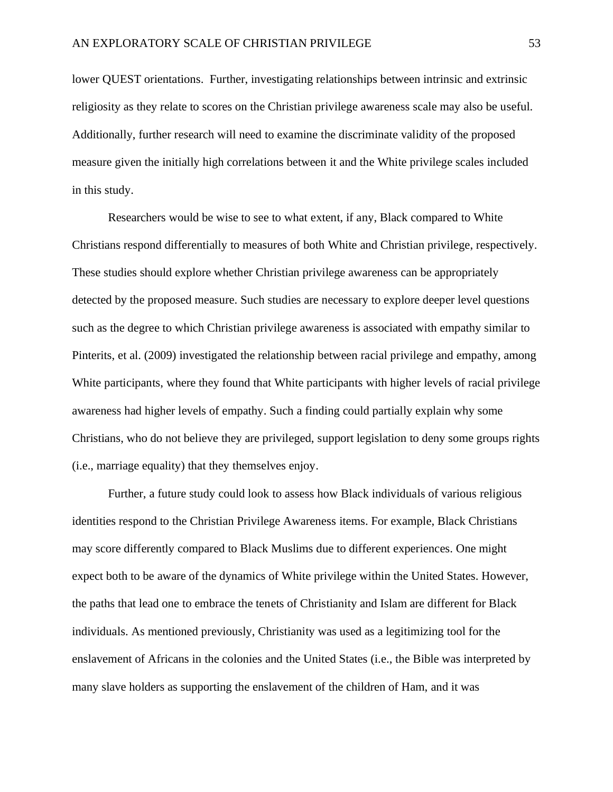lower QUEST orientations. Further, investigating relationships between intrinsic and extrinsic religiosity as they relate to scores on the Christian privilege awareness scale may also be useful. Additionally, further research will need to examine the discriminate validity of the proposed measure given the initially high correlations between it and the White privilege scales included in this study.

Researchers would be wise to see to what extent, if any, Black compared to White Christians respond differentially to measures of both White and Christian privilege, respectively. These studies should explore whether Christian privilege awareness can be appropriately detected by the proposed measure. Such studies are necessary to explore deeper level questions such as the degree to which Christian privilege awareness is associated with empathy similar to Pinterits, et al. (2009) investigated the relationship between racial privilege and empathy, among White participants, where they found that White participants with higher levels of racial privilege awareness had higher levels of empathy. Such a finding could partially explain why some Christians, who do not believe they are privileged, support legislation to deny some groups rights (i.e., marriage equality) that they themselves enjoy.

Further, a future study could look to assess how Black individuals of various religious identities respond to the Christian Privilege Awareness items. For example, Black Christians may score differently compared to Black Muslims due to different experiences. One might expect both to be aware of the dynamics of White privilege within the United States. However, the paths that lead one to embrace the tenets of Christianity and Islam are different for Black individuals. As mentioned previously, Christianity was used as a legitimizing tool for the enslavement of Africans in the colonies and the United States (i.e., the Bible was interpreted by many slave holders as supporting the enslavement of the children of Ham, and it was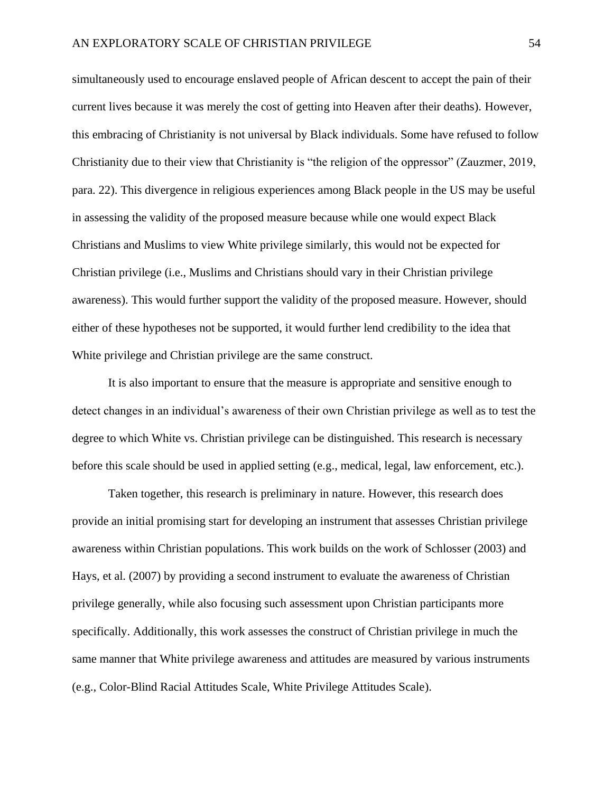simultaneously used to encourage enslaved people of African descent to accept the pain of their current lives because it was merely the cost of getting into Heaven after their deaths). However, this embracing of Christianity is not universal by Black individuals. Some have refused to follow Christianity due to their view that Christianity is "the religion of the oppressor" (Zauzmer, 2019, para. 22). This divergence in religious experiences among Black people in the US may be useful in assessing the validity of the proposed measure because while one would expect Black Christians and Muslims to view White privilege similarly, this would not be expected for Christian privilege (i.e., Muslims and Christians should vary in their Christian privilege awareness). This would further support the validity of the proposed measure. However, should either of these hypotheses not be supported, it would further lend credibility to the idea that White privilege and Christian privilege are the same construct.

It is also important to ensure that the measure is appropriate and sensitive enough to detect changes in an individual's awareness of their own Christian privilege as well as to test the degree to which White vs. Christian privilege can be distinguished. This research is necessary before this scale should be used in applied setting (e.g., medical, legal, law enforcement, etc.).

Taken together, this research is preliminary in nature. However, this research does provide an initial promising start for developing an instrument that assesses Christian privilege awareness within Christian populations. This work builds on the work of Schlosser (2003) and Hays, et al. (2007) by providing a second instrument to evaluate the awareness of Christian privilege generally, while also focusing such assessment upon Christian participants more specifically. Additionally, this work assesses the construct of Christian privilege in much the same manner that White privilege awareness and attitudes are measured by various instruments (e.g., Color-Blind Racial Attitudes Scale, White Privilege Attitudes Scale).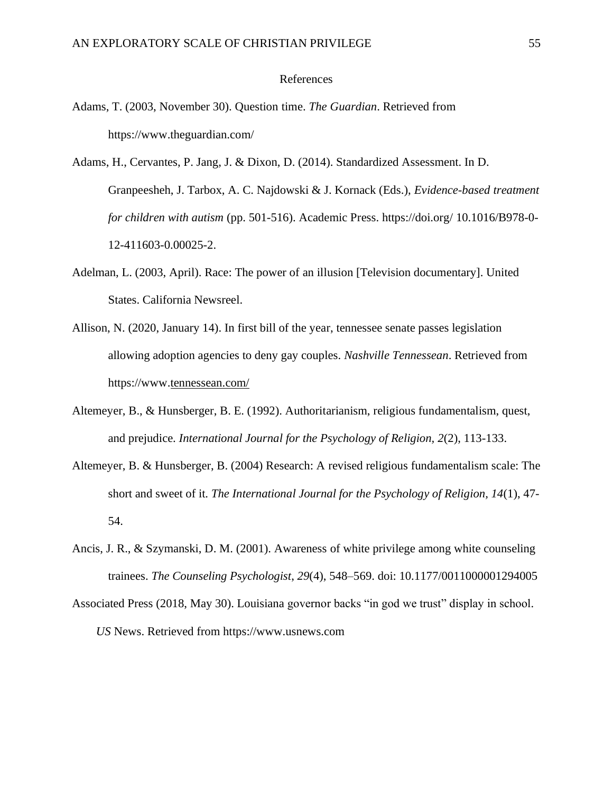## References

- Adams, T. (2003, November 30). Question time. *The Guardian*. Retrieved from <https://www.theguardian.com/>
- Adams, H., Cervantes, P. Jang, J. & Dixon, D. (2014). Standardized Assessment. In D. Granpeesheh, J. Tarbox, A. C. Najdowski & J. Kornack (Eds.), *Evidence-based treatment for children with autism* (pp. 501-516). Academic Press. https://doi.org/ 10.1016/B978-0- 12-411603-0.00025-2.
- Adelman, L. (2003, April). Race: The power of an illusion [Television documentary]. United States. California Newsreel.
- Allison, N. (2020, January 14). In first bill of the year, tennessee senate passes legislation allowing adoption agencies to deny gay couples. *Nashville Tennessean*. Retrieved from https://www[.tennessean.com/](https://www.tennessean.com/)
- Altemeyer, B., & Hunsberger, B. E. (1992). Authoritarianism, religious fundamentalism, quest, and prejudice. *International Journal for the Psychology of Religion, 2*(2), 113-133.
- Altemeyer, B. & Hunsberger, B. (2004) Research: A revised religious fundamentalism scale: The short and sweet of it. *The International Journal for the Psychology of Religion, 14*(1), 47- 54.
- Ancis, J. R., & Szymanski, D. M. (2001). Awareness of white privilege among white counseling trainees. *The Counseling Psychologist*, *29*(4), 548–569. doi: 10.1177/0011000001294005
- Associated Press (2018, May 30). Louisiana governor backs "in god we trust" display in school. *US* News. Retrieved from [https://www.usnews.com](https://www.usnews.com/)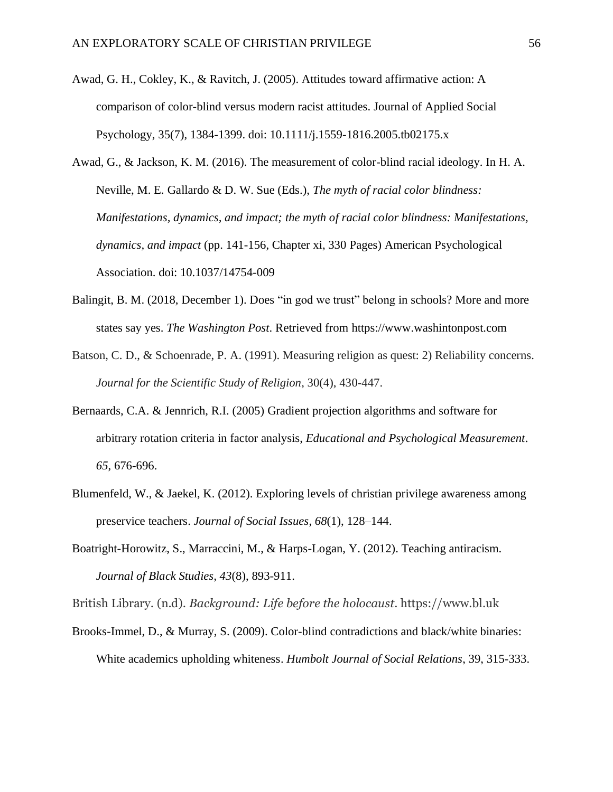- Awad, G. H., Cokley, K., & Ravitch, J. (2005). Attitudes toward affirmative action: A comparison of color-blind versus modern racist attitudes. Journal of Applied Social Psychology, 35(7), 1384-1399. doi: 10.1111/j.1559-1816.2005.tb02175.x
- Awad, G., & Jackson, K. M. (2016). The measurement of color-blind racial ideology. In H. A. Neville, M. E. Gallardo & D. W. Sue (Eds.), *The myth of racial color blindness: Manifestations, dynamics, and impact; the myth of racial color blindness: Manifestations, dynamics, and impact* (pp. 141-156, Chapter xi, 330 Pages) American Psychological Association. doi: 10.1037/14754-009
- Balingit, B. M. (2018, December 1). Does "in god we trust" belong in schools? More and more states say yes. *The Washington Post*. Retrieved from [https://www.washintonpost.com](https://www.washintonpost.com/)
- Batson, C. D., & Schoenrade, P. A. (1991). Measuring religion as quest: 2) Reliability concerns. *Journal for the Scientific Study of Religion*, 30(4), 430-447.
- Bernaards, C.A. & Jennrich, R.I. (2005) Gradient projection algorithms and software for arbitrary rotation criteria in factor analysis, *Educational and Psychological Measurement*. *65*, 676-696.
- Blumenfeld, W., & Jaekel, K. (2012). Exploring levels of christian privilege awareness among preservice teachers. *Journal of Social Issues*, *68*(1), 128–144.
- Boatright-Horowitz, S., Marraccini, M., & Harps-Logan, Y. (2012). Teaching antiracism. *Journal of Black Studies, 43*(8), 893-911.

British Library. (n.d). *Background: Life before the holocaust*. https://www.bl.uk

Brooks-Immel, D., & Murray, S. (2009). Color-blind contradictions and black/white binaries: White academics upholding whiteness. *Humbolt Journal of Social Relations*, 39, 315-333.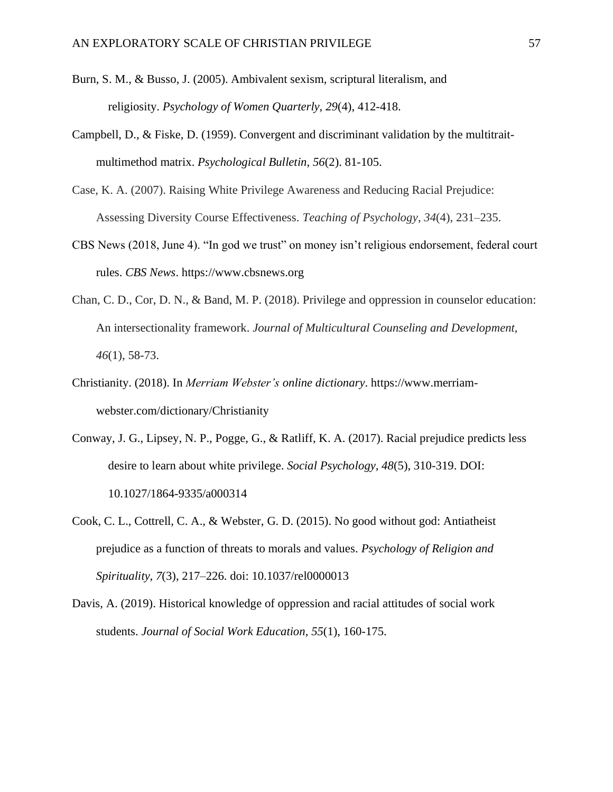- Burn, S. M., & Busso, J. (2005). Ambivalent sexism, scriptural literalism, and religiosity. *Psychology of Women Quarterly, 29*(4), 412-418.
- Campbell, D., & Fiske, D. (1959). Convergent and discriminant validation by the multitraitmultimethod matrix. *Psychological Bulletin*, *56*(2). 81-105.
- Case, K. A. (2007). Raising White Privilege Awareness and Reducing Racial Prejudice: Assessing Diversity Course Effectiveness. *Teaching of Psychology*, *34*(4), 231–235.
- CBS News (2018, June 4). "In god we trust" on money isn't religious endorsement, federal court rules. *CBS News*. [https://www.cbsnews.org](https://www.cbsnews.org/)
- Chan, C. D., Cor, D. N., & Band, M. P. (2018). Privilege and oppression in counselor education: An intersectionality framework. *Journal of Multicultural Counseling and Development*, *46*(1), 58-73.
- Christianity. (2018). In *Merriam Webster's online dictionary*. [https://www.merriam](https://www.merriam-webster.com/dictionary/Christianity)[webster.com/dictionary/Christianity](https://www.merriam-webster.com/dictionary/Christianity)
- Conway, J. G., Lipsey, N. P., Pogge, G., & Ratliff, K. A. (2017). Racial prejudice predicts less desire to learn about white privilege. *Social Psychology, 48*(5), 310-319. DOI: 10.1027/1864-9335/a000314
- Cook, C. L., Cottrell, C. A., & Webster, G. D. (2015). No good without god: Antiatheist prejudice as a function of threats to morals and values. *Psychology of Religion and Spirituality*, *7*(3), 217–226. doi: 10.1037/rel0000013
- Davis, A. (2019). Historical knowledge of oppression and racial attitudes of social work students. *Journal of Social Work Education*, *55*(1), 160-175.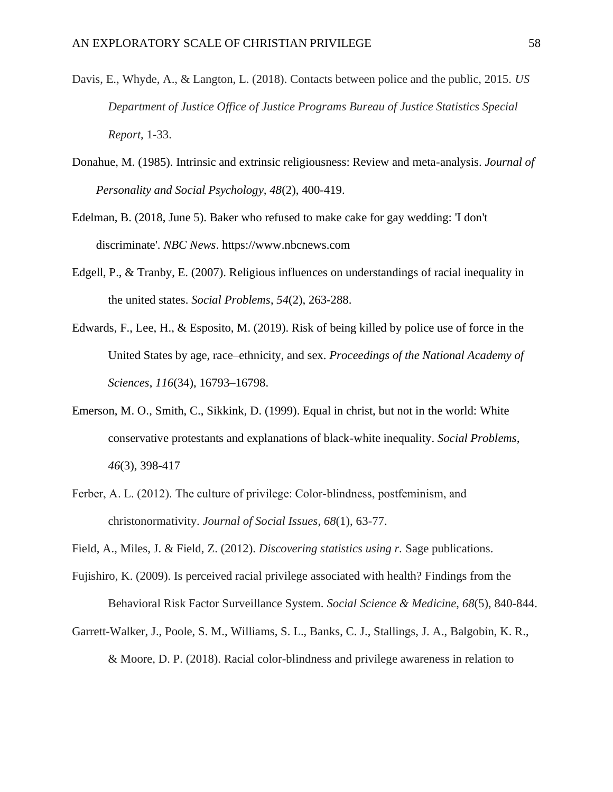- Davis, E., Whyde, A., & Langton, L. (2018). Contacts between police and the public, 2015. *US Department of Justice Office of Justice Programs Bureau of Justice Statistics Special Report*, 1-33.
- Donahue, M. (1985). Intrinsic and extrinsic religiousness: Review and meta-analysis. *Journal of Personality and Social Psychology, 48*(2), 400-419.
- Edelman, B. (2018, June 5). Baker who refused to make cake for gay wedding: 'I don't discriminate'. *NBC News*. [https://www.nbcnews.com](https://www.nbcnews.com/)
- Edgell, P., & Tranby, E. (2007). Religious influences on understandings of racial inequality in the united states. *Social Problems*, *54*(2), 263-288.
- Edwards, F., Lee, H., & Esposito, M. (2019). Risk of being killed by police use of force in the United States by age, race–ethnicity, and sex. *Proceedings of the National Academy of Sciences*, *116*(34), 16793–16798.
- Emerson, M. O., Smith, C., Sikkink, D. (1999). Equal in christ, but not in the world: White conservative protestants and explanations of black-white inequality. *Social Problems, 46*(3), 398-417
- Ferber, A. L. (2012). The culture of privilege: Color-blindness, postfeminism, and christonormativity. *Journal of Social Issues*, *68*(1), 63-77.
- Field, A., Miles, J. & Field, Z. (2012). *Discovering statistics using r.* Sage publications.
- Fujishiro, K. (2009). Is perceived racial privilege associated with health? Findings from the Behavioral Risk Factor Surveillance System. *Social Science & Medicine*, *68*(5), 840-844.
- Garrett-Walker, J., Poole, S. M., Williams, S. L., Banks, C. J., Stallings, J. A., Balgobin, K. R., & Moore, D. P. (2018). Racial color-blindness and privilege awareness in relation to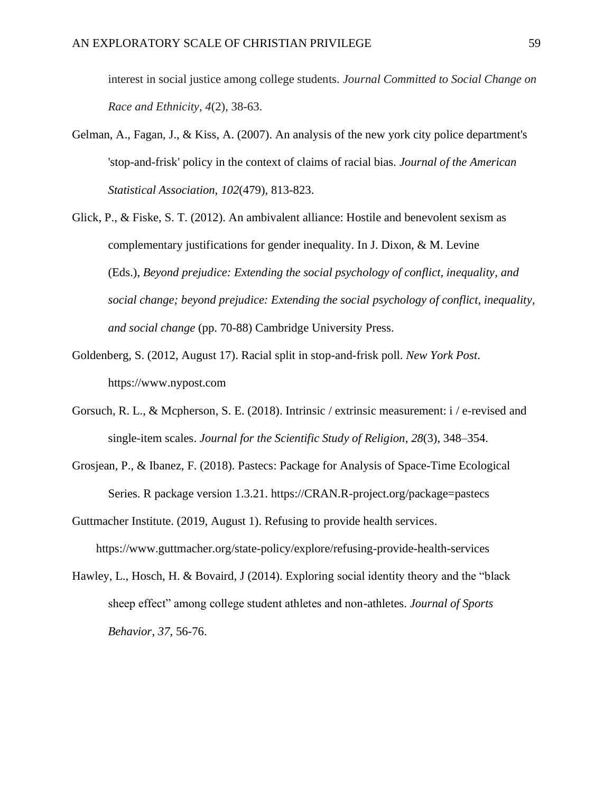interest in social justice among college students. *Journal Committed to Social Change on Race and Ethnicity*, *4*(2), 38-63.

- Gelman, A., Fagan, J., & Kiss, A. (2007). An analysis of the new york city police department's 'stop-and-frisk' policy in the context of claims of racial bias. *Journal of the American Statistical Association, 102*(479), 813-823.
- Glick, P., & Fiske, S. T. (2012). An ambivalent alliance: Hostile and benevolent sexism as complementary justifications for gender inequality. In J. Dixon, & M. Levine (Eds.), *Beyond prejudice: Extending the social psychology of conflict, inequality, and social change; beyond prejudice: Extending the social psychology of conflict, inequality, and social change* (pp. 70-88) Cambridge University Press.
- Goldenberg, S. (2012, August 17). Racial split in stop-and-frisk poll. *New York Post*. https://www.nypost.com
- Gorsuch, R. L., & Mcpherson, S. E. (2018). Intrinsic / extrinsic measurement: i / e-revised and single-item scales. *Journal for the Scientific Study of Religion*, *28*(3), 348–354.
- Grosjean, P., & Ibanez, F. (2018). Pastecs: Package for Analysis of Space-Time Ecological Series. R package version 1.3.21. https://CRAN.R-project.org/package=pastecs
- Guttmacher Institute. (2019, August 1). Refusing to provide health services. <https://www.guttmacher.org/state-policy/explore/refusing-provide-health-services>
- Hawley, L., Hosch, H. & Bovaird, J (2014). Exploring social identity theory and the "black sheep effect" among college student athletes and non-athletes. *Journal of Sports Behavior*, *37*, 56-76.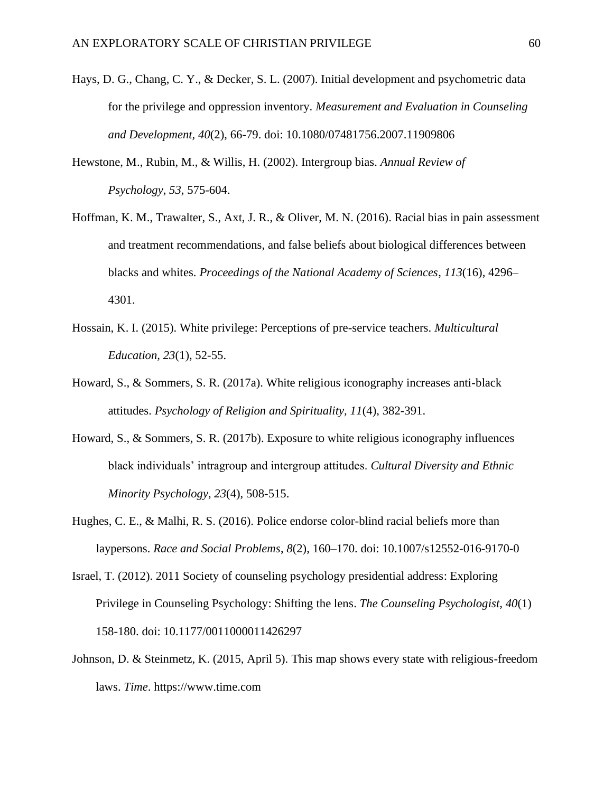- Hays, D. G., Chang, C. Y., & Decker, S. L. (2007). Initial development and psychometric data for the privilege and oppression inventory. *Measurement and Evaluation in Counseling and Development, 40*(2), 66-79. doi: 10.1080/07481756.2007.11909806
- Hewstone, M., Rubin, M., & Willis, H. (2002). Intergroup bias. *Annual Review of Psychology*, *53*, 575-604.
- Hoffman, K. M., Trawalter, S., Axt, J. R., & Oliver, M. N. (2016). Racial bias in pain assessment and treatment recommendations, and false beliefs about biological differences between blacks and whites. *Proceedings of the National Academy of Sciences*, *113*(16), 4296– 4301.
- Hossain, K. I. (2015). White privilege: Perceptions of pre-service teachers. *Multicultural Education, 23*(1), 52-55.
- Howard, S., & Sommers, S. R. (2017a). White religious iconography increases anti-black attitudes. *Psychology of Religion and Spirituality, 11*(4), 382-391.
- Howard, S., & Sommers, S. R. (2017b). Exposure to white religious iconography influences black individuals' intragroup and intergroup attitudes. *Cultural Diversity and Ethnic Minority Psychology*, *23*(4), 508-515.
- Hughes, C. E., & Malhi, R. S. (2016). Police endorse color-blind racial beliefs more than laypersons. *Race and Social Problems*, *8*(2), 160–170. doi: 10.1007/s12552-016-9170-0
- Israel, T. (2012). 2011 Society of counseling psychology presidential address: Exploring Privilege in Counseling Psychology: Shifting the lens. *The Counseling Psychologist*, *40*(1) 158-180. doi: 10.1177/0011000011426297
- Johnson, D. & Steinmetz, K. (2015, April 5). This map shows every state with religious-freedom laws. *Time*. https://www.time.com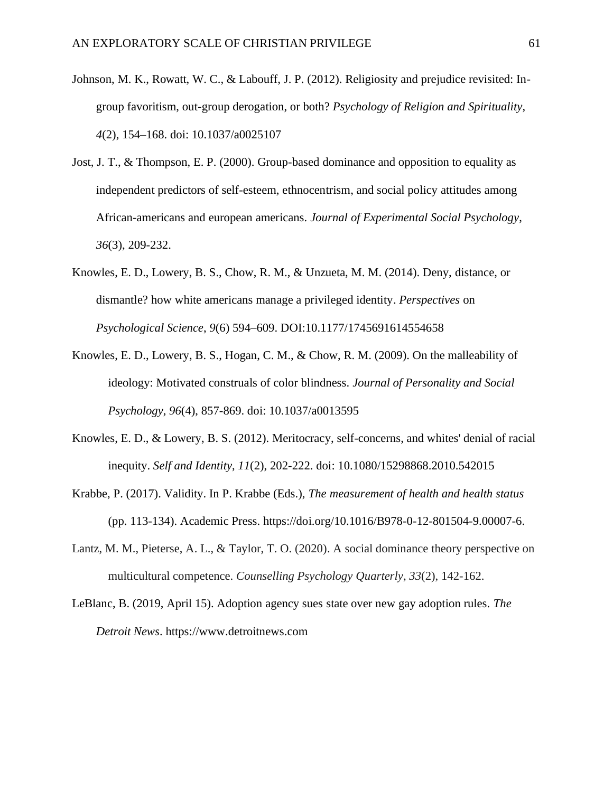- Johnson, M. K., Rowatt, W. C., & Labouff, J. P. (2012). Religiosity and prejudice revisited: Ingroup favoritism, out-group derogation, or both? *Psychology of Religion and Spirituality*, *4*(2), 154–168. doi: 10.1037/a0025107
- Jost, J. T., & Thompson, E. P. (2000). Group-based dominance and opposition to equality as independent predictors of self-esteem, ethnocentrism, and social policy attitudes among African-americans and european americans. *Journal of Experimental Social Psychology*, *36*(3), 209-232.
- Knowles, E. D., Lowery, B. S., Chow, R. M., & Unzueta, M. M. (2014). Deny, distance, or dismantle? how white americans manage a privileged identity. *Perspectives* on *Psychological Science*, *9*(6) 594–609. DOI:10.1177/1745691614554658
- Knowles, E. D., Lowery, B. S., Hogan, C. M., & Chow, R. M. (2009). On the malleability of ideology: Motivated construals of color blindness. *Journal of Personality and Social Psychology*, *96*(4), 857-869. doi: 10.1037/a0013595
- Knowles, E. D., & Lowery, B. S. (2012). Meritocracy, self-concerns, and whites' denial of racial inequity. *Self and Identity*, *11*(2), 202-222. doi: 10.1080/15298868.2010.542015
- Krabbe, P. (2017). Validity. In P. Krabbe (Eds.), *The measurement of health and health status* (pp. 113-134). Academic Press. https://doi.org/10.1016/B978-0-12-801504-9.00007-6.
- Lantz, M. M., Pieterse, A. L., & Taylor, T. O. (2020). A social dominance theory perspective on multicultural competence. *Counselling Psychology Quarterly*, *33*(2), 142-162.
- LeBlanc, B. (2019, April 15). Adoption agency sues state over new gay adoption rules. *The Detroit News*. [https://www.detroitnews.com](https://www.detroitnews.com/)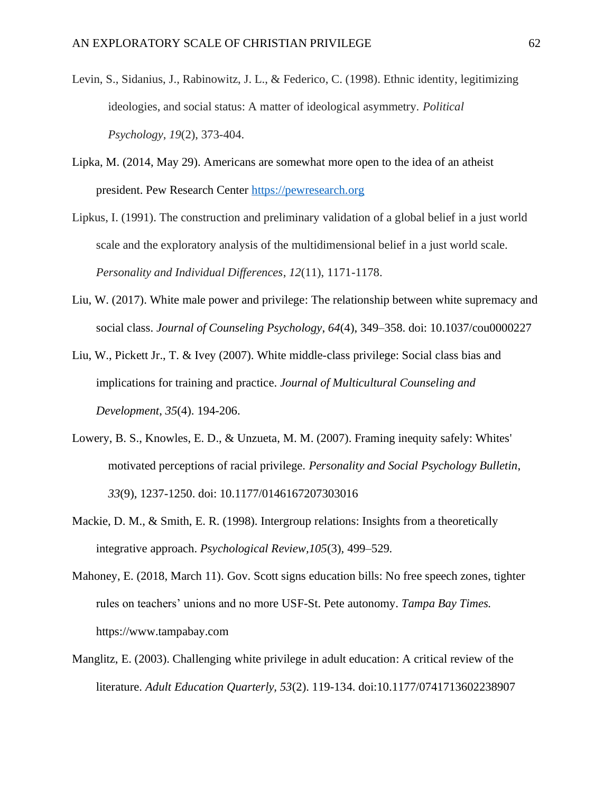- Levin, S., Sidanius, J., Rabinowitz, J. L., & Federico, C. (1998). Ethnic identity, legitimizing ideologies, and social status: A matter of ideological asymmetry. *Political Psychology*, *19*(2), 373-404.
- Lipka, M. (2014, May 29). Americans are somewhat more open to the idea of an atheist president. Pew Research Center [https://pewresearch.org](https://pewresearch.org/)
- Lipkus, I. (1991). The construction and preliminary validation of a global belief in a just world scale and the exploratory analysis of the multidimensional belief in a just world scale. *Personality and Individual Differences*, *12*(11), 1171-1178.
- Liu, W. (2017). White male power and privilege: The relationship between white supremacy and social class. *Journal of Counseling Psychology*, *64*(4), 349–358. doi: 10.1037/cou0000227
- Liu, W., Pickett Jr., T. & Ivey (2007). White middle-class privilege: Social class bias and implications for training and practice. *Journal of Multicultural Counseling and Development*, *35*(4). 194-206.
- Lowery, B. S., Knowles, E. D., & Unzueta, M. M. (2007). Framing inequity safely: Whites' motivated perceptions of racial privilege. *Personality and Social Psychology Bulletin*, *33*(9), 1237-1250. doi: 10.1177/0146167207303016
- Mackie, D. M., & Smith, E. R. (1998). Intergroup relations: Insights from a theoretically integrative approach. *Psychological Review,105*(3)*,* 499–529*.*
- Mahoney, E. (2018, March 11). Gov. Scott signs education bills: No free speech zones, tighter rules on teachers' unions and no more USF-St. Pete autonomy. *Tampa Bay Times.*  https://www.tampabay.com
- Manglitz, E. (2003). Challenging white privilege in adult education: A critical review of the literature. *Adult Education Quarterly, 53*(2). 119-134. doi:10.1177/0741713602238907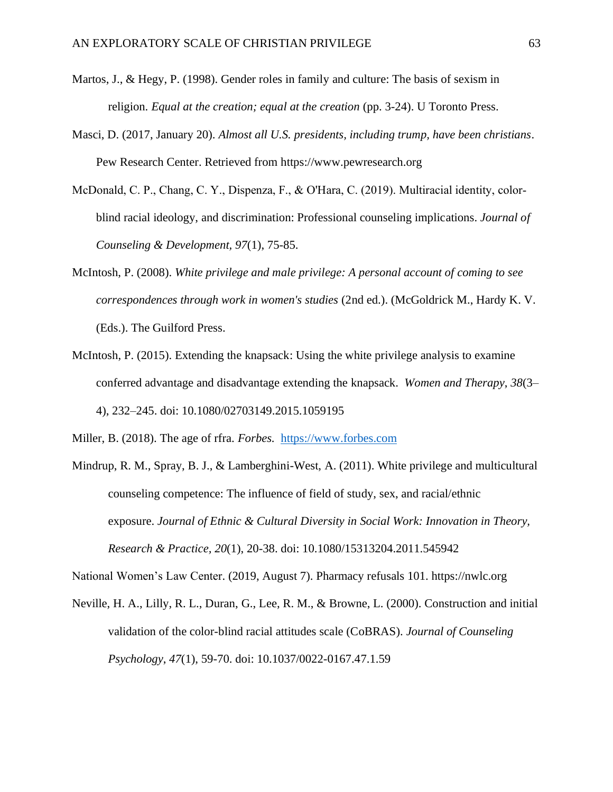- Martos, J., & Hegy, P. (1998). Gender roles in family and culture: The basis of sexism in religion. *Equal at the creation; equal at the creation* (pp. 3-24). U Toronto Press.
- Masci, D. (2017, January 20). *Almost all U.S. presidents, including trump, have been christians*. Pew Research Center. Retrieved from [https://www.pewresearch.org](https://www.pewresearch.org/)
- McDonald, C. P., Chang, C. Y., Dispenza, F., & O'Hara, C. (2019). Multiracial identity, colorblind racial ideology, and discrimination: Professional counseling implications. *Journal of Counseling & Development, 97*(1), 75-85.
- McIntosh, P. (2008). *White privilege and male privilege: A personal account of coming to see correspondences through work in women's studies* (2nd ed.). (McGoldrick M., Hardy K. V. (Eds.). The Guilford Press.
- McIntosh, P. (2015). Extending the knapsack: Using the white privilege analysis to examine conferred advantage and disadvantage extending the knapsack. *Women and Therapy*, *38*(3– 4), 232–245. doi: 10.1080/02703149.2015.1059195

Miller, B. (2018). The age of rfra. *Forbes.* [https://www.forbes.com](https://www.forbes.com/)

Mindrup, R. M., Spray, B. J., & Lamberghini-West, A. (2011). White privilege and multicultural counseling competence: The influence of field of study, sex, and racial/ethnic exposure. *Journal of Ethnic & Cultural Diversity in Social Work: Innovation in Theory, Research & Practice, 20*(1), 20-38. doi: 10.1080/15313204.2011.545942

National Women's Law Center. (2019, August 7). Pharmacy refusals 101. https://nwlc.org

Neville, H. A., Lilly, R. L., Duran, G., Lee, R. M., & Browne, L. (2000). Construction and initial validation of the color-blind racial attitudes scale (CoBRAS). *Journal of Counseling Psychology*, *47*(1), 59-70. doi: 10.1037/0022-0167.47.1.59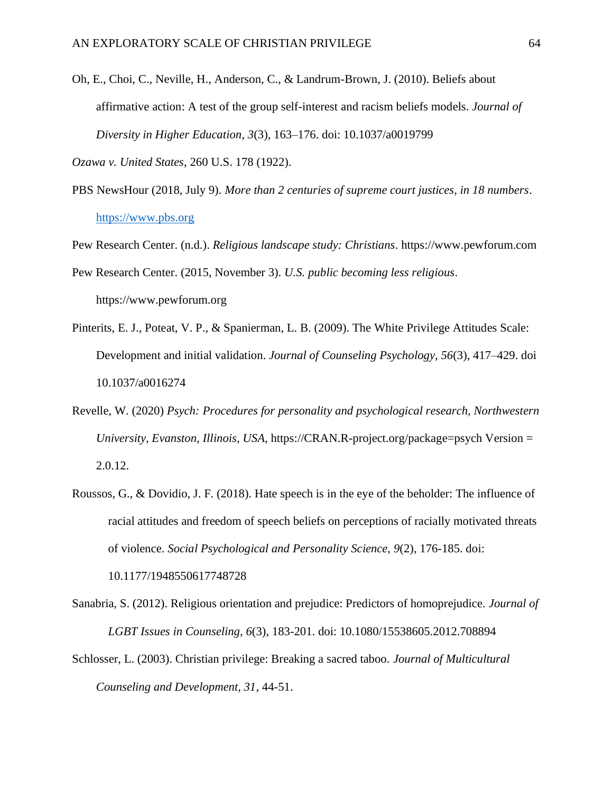Oh, E., Choi, C., Neville, H., Anderson, C., & Landrum-Brown, J. (2010). Beliefs about affirmative action: A test of the group self-interest and racism beliefs models. *Journal of Diversity in Higher Education*, *3*(3), 163–176. doi: 10.1037/a0019799

*Ozawa v. United States*, 260 U.S. 178 (1922).

- PBS NewsHour (2018, July 9). *More than 2 centuries of supreme court justices, in 18 numbers*. [https://www.pbs.org](https://www.pbs.org/)
- Pew Research Center. (n.d.). *Religious landscape study: Christians*. https://www.pewforum.com
- Pew Research Center. (2015, November 3). *U.S. public becoming less religious*. https://www.pewforum.org
- Pinterits, E. J., Poteat, V. P., & Spanierman, L. B. (2009). The White Privilege Attitudes Scale: Development and initial validation. *Journal of Counseling Psychology*, *56*(3), 417–429. doi 10.1037/a0016274
- Revelle, W. (2020) *Psych: Procedures for personality and psychological research, Northwestern University, Evanston, Illinois, USA*, https://CRAN.R-project.org/package=psych Version = 2.0.12.
- Roussos, G., & Dovidio, J. F. (2018). Hate speech is in the eye of the beholder: The influence of racial attitudes and freedom of speech beliefs on perceptions of racially motivated threats of violence. *Social Psychological and Personality Science, 9*(2), 176-185. doi:

10.1177/1948550617748728

- Sanabria, S. (2012). Religious orientation and prejudice: Predictors of homoprejudice. *Journal of LGBT Issues in Counseling, 6*(3), 183-201. doi: 10.1080/15538605.2012.708894
- Schlosser, L. (2003). Christian privilege: Breaking a sacred taboo*. Journal of Multicultural Counseling and Development, 31*, 44-51.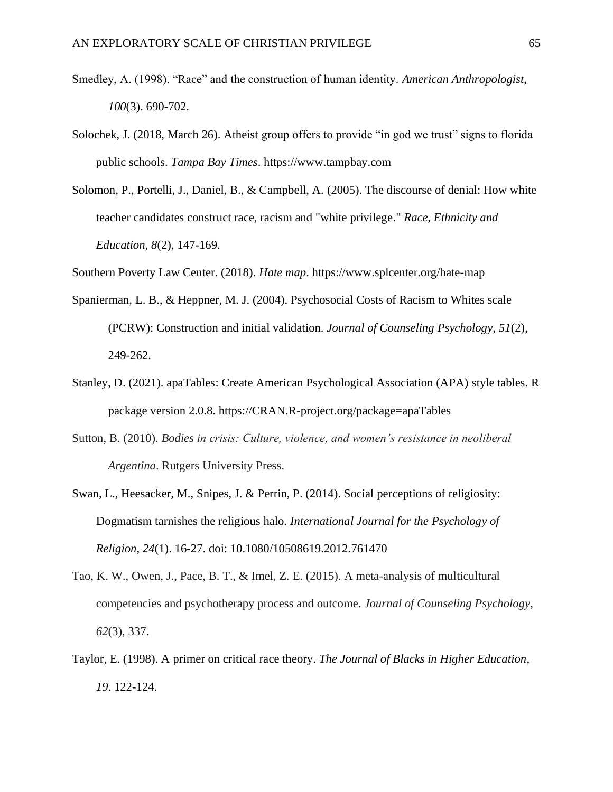- Smedley, A. (1998). "Race" and the construction of human identity. *American Anthropologist*, *100*(3). 690-702.
- Solochek, J. (2018, March 26). Atheist group offers to provide "in god we trust" signs to florida public schools. *Tampa Bay Times*. [https://www.tampbay.com](https://www.tampbay.com/)
- Solomon, P., Portelli, J., Daniel, B., & Campbell, A. (2005). The discourse of denial: How white teacher candidates construct race, racism and "white privilege." *Race, Ethnicity and Education*, *8*(2), 147-169.

Southern Poverty Law Center. (2018). *Hate map*. https://www.splcenter.org/hate-map

- Spanierman, L. B., & Heppner, M. J. (2004). Psychosocial Costs of Racism to Whites scale (PCRW): Construction and initial validation. *Journal of Counseling Psychology*, *51*(2), 249-262.
- Stanley, D. (2021). apaTables: Create American Psychological Association (APA) style tables. R package version 2.0.8. https://CRAN.R-project.org/package=apaTables
- Sutton, B. (2010). *Bodies in crisis: Culture, violence, and women's resistance in neoliberal Argentina*. Rutgers University Press.
- Swan, L., Heesacker, M., Snipes, J. & Perrin, P. (2014). Social perceptions of religiosity: Dogmatism tarnishes the religious halo. *International Journal for the Psychology of Religion*, *24*(1). 16-27. doi: 10.1080/10508619.2012.761470
- Tao, K. W., Owen, J., Pace, B. T., & Imel, Z. E. (2015). A meta-analysis of multicultural competencies and psychotherapy process and outcome. *Journal of Counseling Psychology*, *62*(3), 337.
- Taylor, E. (1998). A primer on critical race theory. *The Journal of Blacks in Higher Education*, *19*. 122-124.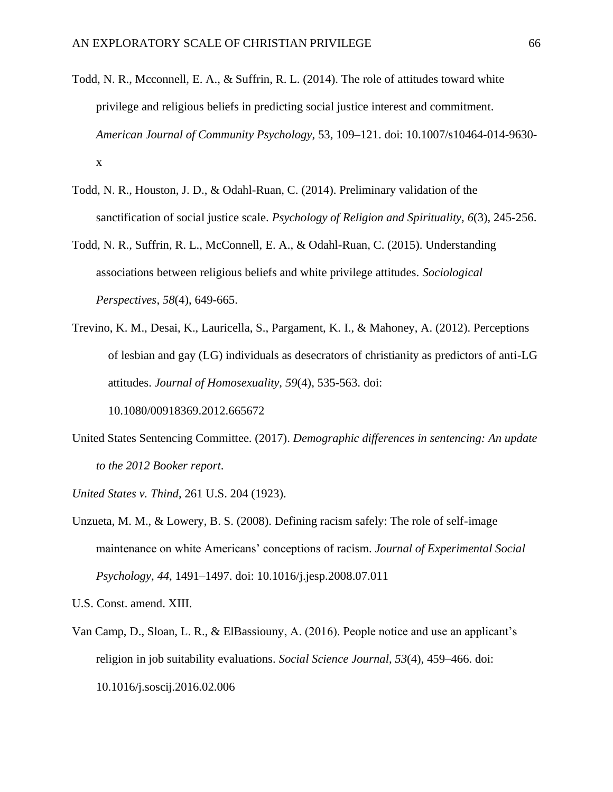- Todd, N. R., Mcconnell, E. A., & Suffrin, R. L. (2014). The role of attitudes toward white privilege and religious beliefs in predicting social justice interest and commitment. *American Journal of Community Psychology*, 53, 109–121. doi: 10.1007/s10464-014-9630 x
- Todd, N. R., Houston, J. D., & Odahl-Ruan, C. (2014). Preliminary validation of the sanctification of social justice scale. *Psychology of Religion and Spirituality, 6*(3), 245-256.
- Todd, N. R., Suffrin, R. L., McConnell, E. A., & Odahl-Ruan, C. (2015). Understanding associations between religious beliefs and white privilege attitudes. *Sociological Perspectives*, *58*(4), 649-665.
- Trevino, K. M., Desai, K., Lauricella, S., Pargament, K. I., & Mahoney, A. (2012). Perceptions of lesbian and gay (LG) individuals as desecrators of christianity as predictors of anti-LG attitudes. *Journal of Homosexuality, 59*(4), 535-563. doi:

10.1080/00918369.2012.665672

United States Sentencing Committee. (2017). *Demographic differences in sentencing: An update to the 2012 Booker report*.

*United States v. Thind*, 261 U.S. 204 (1923).

Unzueta, M. M., & Lowery, B. S. (2008). Defining racism safely: The role of self-image maintenance on white Americans' conceptions of racism. *Journal of Experimental Social Psychology*, *44*, 1491–1497. doi: 10.1016/j.jesp.2008.07.011

U.S. Const. amend. XIII.

Van Camp, D., Sloan, L. R., & ElBassiouny, A. (2016). People notice and use an applicant's religion in job suitability evaluations. *Social Science Journal*, *53*(4), 459–466. doi: 10.1016/j.soscij.2016.02.006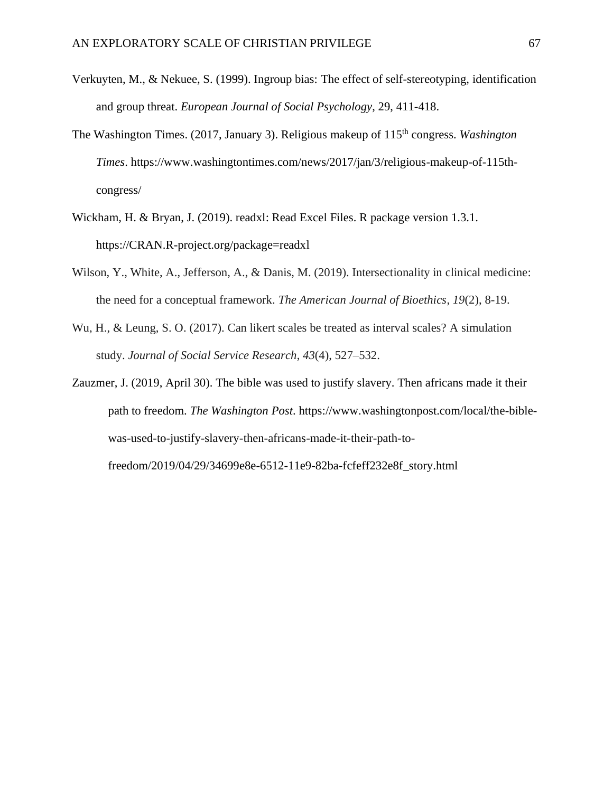- Verkuyten, M., & Nekuee, S. (1999). Ingroup bias: The effect of self-stereotyping, identification and group threat. *European Journal of Social Psychology*, 29, 411-418.
- The Washington Times. (2017, January 3). Religious makeup of 115th congress. *Washington Times*. [https://www.washingtontimes.com/news/2017/jan/3/religious-makeup-of-115th](https://www.washingtontimes.com/news/2017/jan/3/religious-makeup-of-115th-congress/)[congress/](https://www.washingtontimes.com/news/2017/jan/3/religious-makeup-of-115th-congress/)
- Wickham, H. & Bryan, J. (2019). readxl: Read Excel Files. R package version 1.3.1. https://CRAN.R-project.org/package=readxl
- Wilson, Y., White, A., Jefferson, A., & Danis, M. (2019). Intersectionality in clinical medicine: the need for a conceptual framework. *The American Journal of Bioethics*, *19*(2), 8-19.
- Wu, H., & Leung, S. O. (2017). Can likert scales be treated as interval scales? A simulation study. *Journal of Social Service Research*, *43*(4), 527–532.
- Zauzmer, J. (2019, April 30). The bible was used to justify slavery. Then africans made it their path to freedom. *The Washington Post*. https://www.washingtonpost.com/local/the-biblewas-used-to-justify-slavery-then-africans-made-it-their-path-tofreedom/2019/04/29/34699e8e-6512-11e9-82ba-fcfeff232e8f\_story.html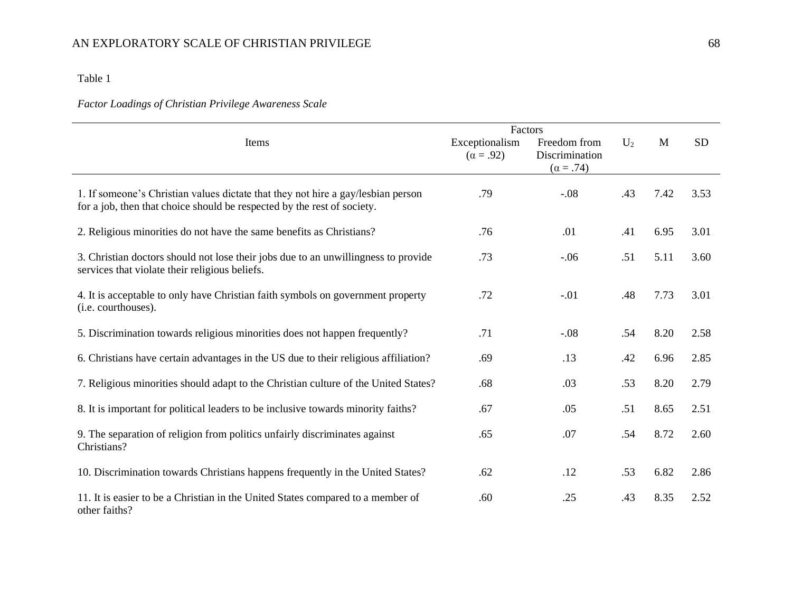## Table 1

## *Factor Loadings of Christian Privilege Awareness Scale*

|                                                                                                                                                             | Factors                            |                                                    |       |             |           |
|-------------------------------------------------------------------------------------------------------------------------------------------------------------|------------------------------------|----------------------------------------------------|-------|-------------|-----------|
| Items                                                                                                                                                       | Exceptionalism<br>$(\alpha = .92)$ | Freedom from<br>Discrimination<br>$(\alpha = .74)$ | $U_2$ | $\mathbf M$ | <b>SD</b> |
| 1. If someone's Christian values dictate that they not hire a gay/lesbian person<br>for a job, then that choice should be respected by the rest of society. | .79                                | $-.08$                                             | .43   | 7.42        | 3.53      |
| 2. Religious minorities do not have the same benefits as Christians?                                                                                        | .76                                | .01                                                | .41   | 6.95        | 3.01      |
| 3. Christian doctors should not lose their jobs due to an unwillingness to provide<br>services that violate their religious beliefs.                        | .73                                | $-.06$                                             | .51   | 5.11        | 3.60      |
| 4. It is acceptable to only have Christian faith symbols on government property<br>(i.e. courthouses).                                                      | .72                                | $-.01$                                             | .48   | 7.73        | 3.01      |
| 5. Discrimination towards religious minorities does not happen frequently?                                                                                  | .71                                | $-.08$                                             | .54   | 8.20        | 2.58      |
| 6. Christians have certain advantages in the US due to their religious affiliation?                                                                         | .69                                | .13                                                | .42   | 6.96        | 2.85      |
| 7. Religious minorities should adapt to the Christian culture of the United States?                                                                         | .68                                | .03                                                | .53   | 8.20        | 2.79      |
| 8. It is important for political leaders to be inclusive towards minority faiths?                                                                           | .67                                | .05                                                | .51   | 8.65        | 2.51      |
| 9. The separation of religion from politics unfairly discriminates against<br>Christians?                                                                   | .65                                | .07                                                | .54   | 8.72        | 2.60      |
| 10. Discrimination towards Christians happens frequently in the United States?                                                                              | .62                                | .12                                                | .53   | 6.82        | 2.86      |
| 11. It is easier to be a Christian in the United States compared to a member of<br>other faiths?                                                            | .60                                | .25                                                | .43   | 8.35        | 2.52      |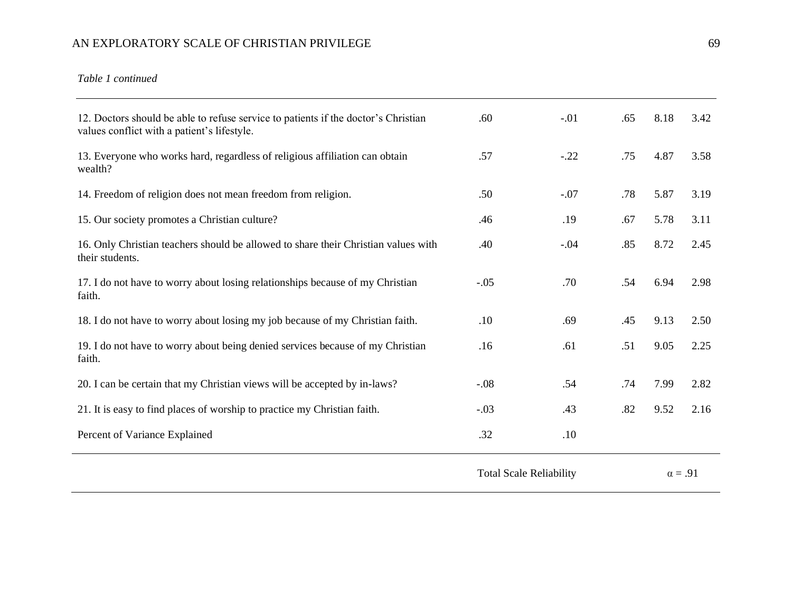*Table 1 continued* 

| 12. Doctors should be able to refuse service to patients if the doctor's Christian<br>values conflict with a patient's lifestyle. | .60                            | $-.01$ | .65 | 8.18           | 3.42 |
|-----------------------------------------------------------------------------------------------------------------------------------|--------------------------------|--------|-----|----------------|------|
| 13. Everyone who works hard, regardless of religious affiliation can obtain<br>wealth?                                            | .57                            | $-.22$ | .75 | 4.87           | 3.58 |
| 14. Freedom of religion does not mean freedom from religion.                                                                      | .50                            | $-.07$ | .78 | 5.87           | 3.19 |
| 15. Our society promotes a Christian culture?                                                                                     | .46                            | .19    | .67 | 5.78           | 3.11 |
| 16. Only Christian teachers should be allowed to share their Christian values with<br>their students.                             | .40                            | $-.04$ | .85 | 8.72           | 2.45 |
| 17. I do not have to worry about losing relationships because of my Christian<br>faith.                                           | $-.05$                         | .70    | .54 | 6.94           | 2.98 |
| 18. I do not have to worry about losing my job because of my Christian faith.                                                     | .10                            | .69    | .45 | 9.13           | 2.50 |
| 19. I do not have to worry about being denied services because of my Christian<br>faith.                                          | .16                            | .61    | .51 | 9.05           | 2.25 |
| 20. I can be certain that my Christian views will be accepted by in-laws?                                                         | $-.08$                         | .54    | .74 | 7.99           | 2.82 |
| 21. It is easy to find places of worship to practice my Christian faith.                                                          | $-.03$                         | .43    | .82 | 9.52           | 2.16 |
| Percent of Variance Explained                                                                                                     | .32                            | .10    |     |                |      |
|                                                                                                                                   | <b>Total Scale Reliability</b> |        |     | $\alpha = .91$ |      |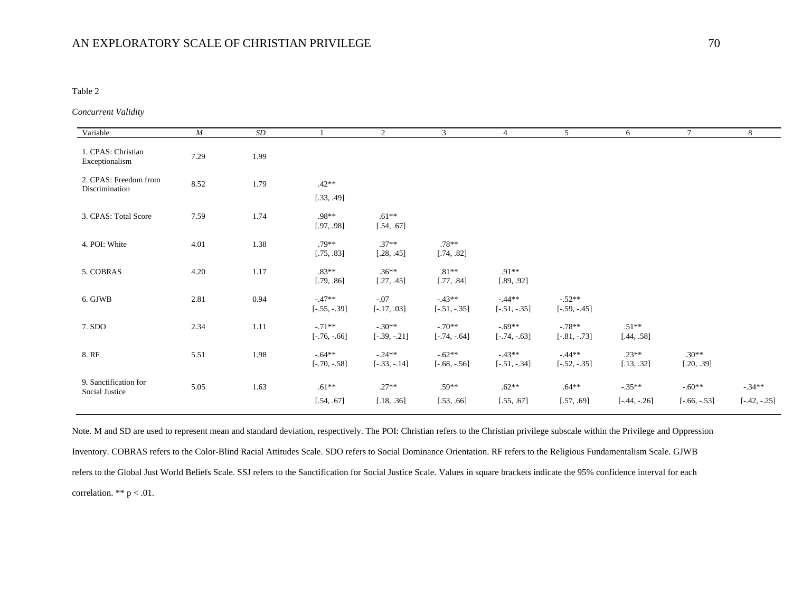#### Table 2

#### *Concurrent Validity*

| Variable                                | $\boldsymbol{M}$ | SD       |                            | $\overline{2}$             | $\mathfrak{Z}$             | 4                          | 5                           | 6                          | $\tau$                     | 8                          |
|-----------------------------------------|------------------|----------|----------------------------|----------------------------|----------------------------|----------------------------|-----------------------------|----------------------------|----------------------------|----------------------------|
| 1. CPAS: Christian<br>Exceptionalism    | 7.29             | 1.99     |                            |                            |                            |                            |                             |                            |                            |                            |
| 2. CPAS: Freedom from<br>Discrimination | 8.52             | 1.79     | $.42**$<br>[.33, .49]      |                            |                            |                            |                             |                            |                            |                            |
| 3. CPAS: Total Score                    | 7.59             | 1.74     | $.98**$<br>[.97, .98]      | $.61**$<br>[.54, .67]      |                            |                            |                             |                            |                            |                            |
| 4. POI: White                           | 4.01             | 1.38     | $.79**$<br>[.75, .83]      | $.37**$<br>[.28, .45]      | $.78**$<br>[.74, .82]      |                            |                             |                            |                            |                            |
| 5. COBRAS                               | 4.20             | 1.17     | $.83**$<br>[.79, .86]      | $.36**$<br>[.27, .45]      | $.81**$<br>[.77, .84]      | $.91**$<br>[.89, .92]      |                             |                            |                            |                            |
| 6. GJWB                                 | 2.81             | 0.94     | $-47**$<br>$[-.55, -.39]$  | $-.07$<br>$[-.17, .03]$    | $-43**$<br>$[-.51, -.35]$  | $-44**$<br>$[-.51, -.35]$  | $-.52**$<br>$[-.59, -0.45]$ |                            |                            |                            |
| 7. SDO                                  | 2.34             | $1.11\,$ | $-.71**$<br>$[-.76, -.66]$ | $-.30**$<br>$[-.39, -.21]$ | $-.70**$<br>$[-.74, -.64]$ | $-.69**$<br>$[-.74, -.63]$ | $-78**$<br>$[-.81, -.73]$   | $.51**$<br>[.44, .58]      |                            |                            |
| 8. RF                                   | 5.51             | 1.98     | $-64**$<br>$[-.70, -.58]$  | $-.24**$<br>$[-.33, -.14]$ | $-.62**$<br>$[-.68, -.56]$ | $-43**$<br>$[-.51, -.34]$  | $-44**$<br>$[-.52, -.35]$   | $.23**$<br>[.13, .32]      | $.30**$<br>[.20, .39]      |                            |
| 9. Sanctification for<br>Social Justice | 5.05             | 1.63     | $.61**$<br>[.54, .67]      | $.27**$<br>[.18, .36]      | $.59**$<br>[.53, .66]      | $.62**$<br>[.55, .67]      | $.64**$<br>[.57, .69]       | $-.35**$<br>$[-.44, -.26]$ | $-.60**$<br>$[-.66, -.53]$ | $-.34**$<br>$[-.42, -.25]$ |
|                                         |                  |          |                            |                            |                            |                            |                             |                            |                            |                            |

Note. M and SD are used to represent mean and standard deviation, respectively. The POI: Christian refers to the Christian privilege subscale within the Privilege and Oppression Inventory. COBRAS refers to the Color-Blind Racial Attitudes Scale. SDO refers to Social Dominance Orientation. RF refers to the Religious Fundamentalism Scale. GJWB refers to the Global Just World Beliefs Scale. SSJ refers to the Sanctification for Social Justice Scale. Values in square brackets indicate the 95% confidence interval for each correlation. \*\* p < .01.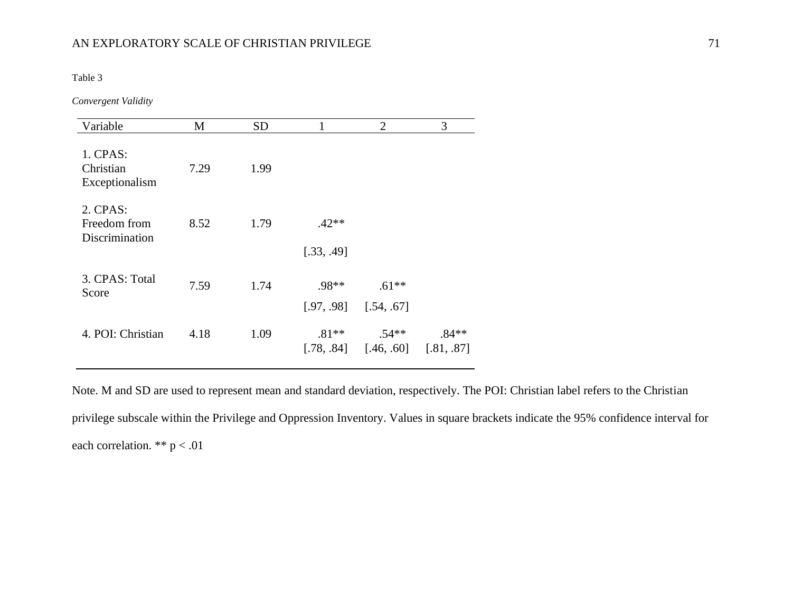Table 3

*Convergent Validity*

| Variable                                   | M    | <b>SD</b> |                       | $\overline{2}$                                    | 3       |
|--------------------------------------------|------|-----------|-----------------------|---------------------------------------------------|---------|
| 1. CPAS:<br>Christian<br>Exceptionalism    | 7.29 | 1.99      |                       |                                                   |         |
| 2. CPAS:<br>Freedom from<br>Discrimination | 8.52 | 1.79      | $.42**$<br>[.33, .49] |                                                   |         |
| 3. CPAS: Total<br>Score                    | 7.59 | 1.74      | .98**                 | $.61**$<br>$[.97, .98]$ $[.54, .67]$              |         |
| 4. POI: Christian                          | 4.18 | 1.09      | $.81**$               | $.54**$<br>$[.78, .84]$ $[.46, .60]$ $[.81, .87]$ | $.84**$ |

Note. M and SD are used to represent mean and standard deviation, respectively. The POI: Christian label refers to the Christian privilege subscale within the Privilege and Oppression Inventory. Values in square brackets indicate the 95% confidence interval for each correlation. \*\*  $p < .01$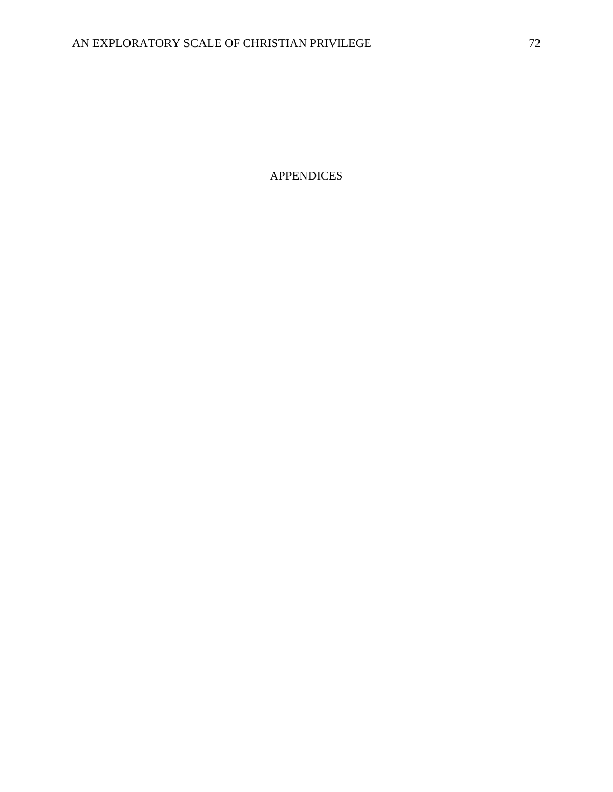APPENDICES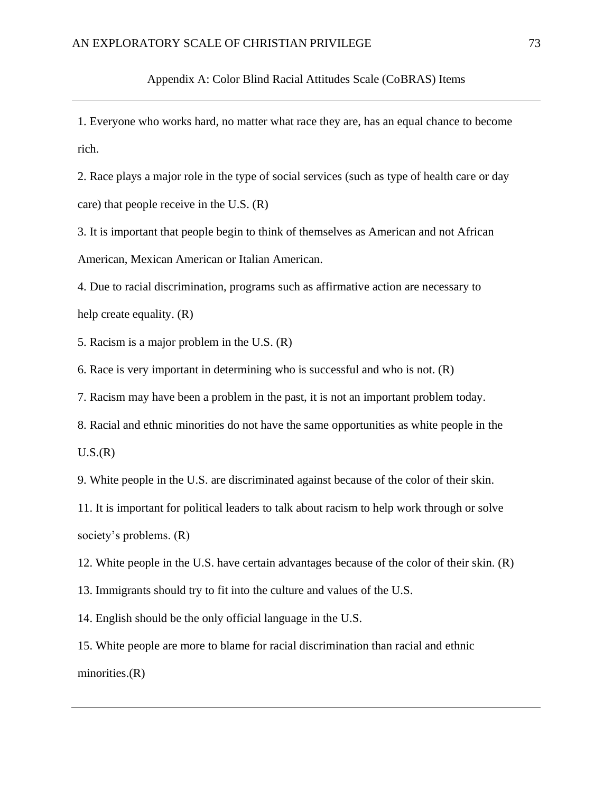Appendix A: Color Blind Racial Attitudes Scale (CoBRAS) Items

1. Everyone who works hard, no matter what race they are, has an equal chance to become rich.

2. Race plays a major role in the type of social services (such as type of health care or day care) that people receive in the U.S. (R)

3. It is important that people begin to think of themselves as American and not African American, Mexican American or Italian American.

4. Due to racial discrimination, programs such as affirmative action are necessary to help create equality. (R)

5. Racism is a major problem in the U.S. (R)

6. Race is very important in determining who is successful and who is not. (R)

7. Racism may have been a problem in the past, it is not an important problem today.

8. Racial and ethnic minorities do not have the same opportunities as white people in the

 $U.S.(R)$ 

9. White people in the U.S. are discriminated against because of the color of their skin.

11. It is important for political leaders to talk about racism to help work through or solve society's problems. (R)

12. White people in the U.S. have certain advantages because of the color of their skin. (R)

13. Immigrants should try to fit into the culture and values of the U.S.

14. English should be the only official language in the U.S.

15. White people are more to blame for racial discrimination than racial and ethnic minorities.(R)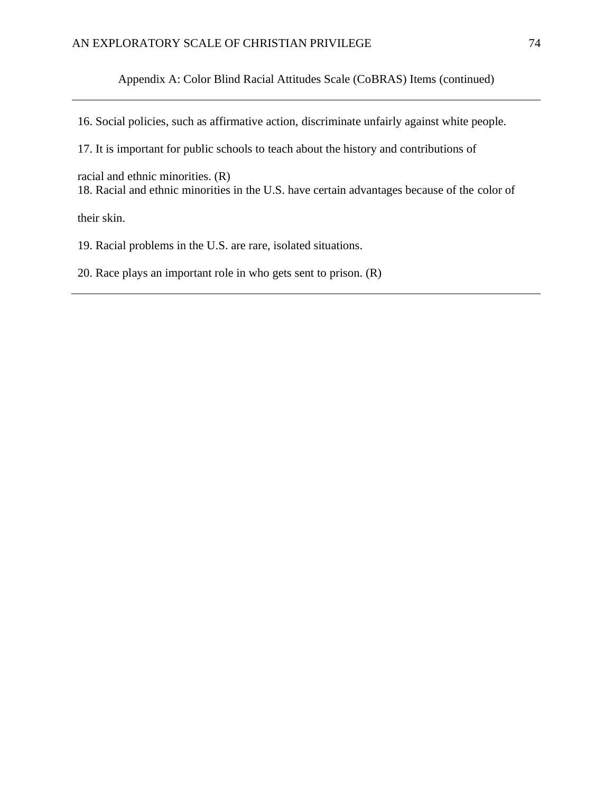Appendix A: Color Blind Racial Attitudes Scale (CoBRAS) Items (continued)

16. Social policies, such as affirmative action, discriminate unfairly against white people.

17. It is important for public schools to teach about the history and contributions of

racial and ethnic minorities. (R)

18. Racial and ethnic minorities in the U.S. have certain advantages because of the color of

their skin.

19. Racial problems in the U.S. are rare, isolated situations.

20. Race plays an important role in who gets sent to prison. (R)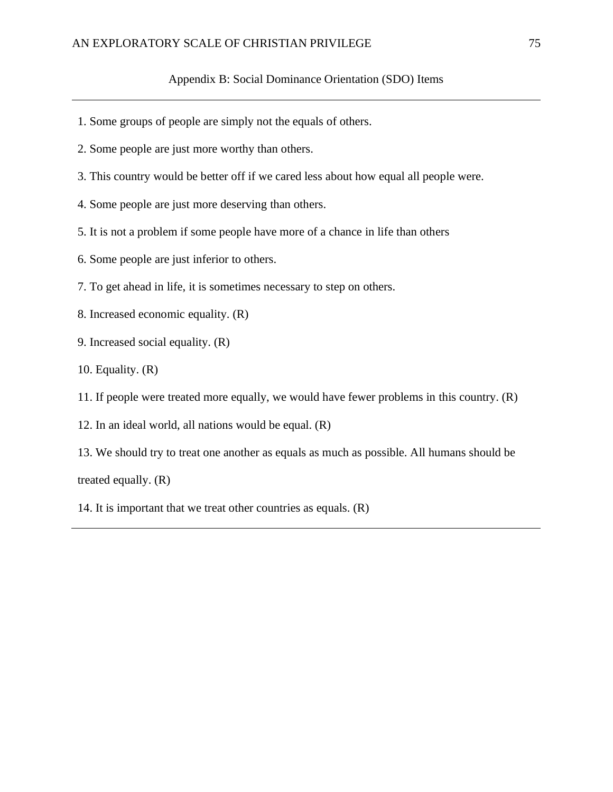#### Appendix B: Social Dominance Orientation (SDO) Items

- 1. Some groups of people are simply not the equals of others.
- 2. Some people are just more worthy than others.
- 3. This country would be better off if we cared less about how equal all people were.
- 4. Some people are just more deserving than others.
- 5. It is not a problem if some people have more of a chance in life than others
- 6. Some people are just inferior to others.
- 7. To get ahead in life, it is sometimes necessary to step on others.
- 8. Increased economic equality. (R)
- 9. Increased social equality. (R)
- 10. Equality. (R)
- 11. If people were treated more equally, we would have fewer problems in this country. (R)
- 12. In an ideal world, all nations would be equal. (R)
- 13. We should try to treat one another as equals as much as possible. All humans should be treated equally. (R)
- 14. It is important that we treat other countries as equals. (R)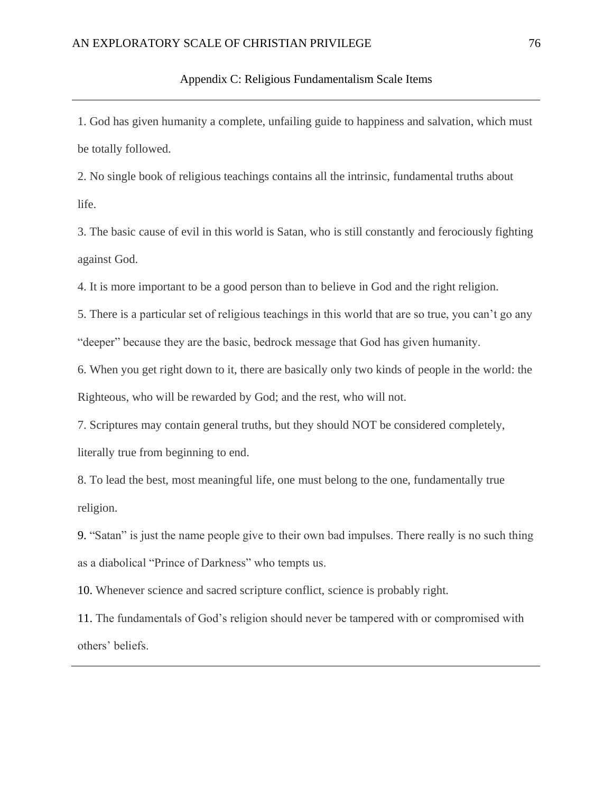1. God has given humanity a complete, unfailing guide to happiness and salvation, which must be totally followed.

2. No single book of religious teachings contains all the intrinsic, fundamental truths about life.

3. The basic cause of evil in this world is Satan, who is still constantly and ferociously fighting against God.

4. It is more important to be a good person than to believe in God and the right religion.

5. There is a particular set of religious teachings in this world that are so true, you can't go any "deeper" because they are the basic, bedrock message that God has given humanity.

6. When you get right down to it, there are basically only two kinds of people in the world: the Righteous, who will be rewarded by God; and the rest, who will not.

7. Scriptures may contain general truths, but they should NOT be considered completely,

literally true from beginning to end.

8. To lead the best, most meaningful life, one must belong to the one, fundamentally true religion.

9. "Satan" is just the name people give to their own bad impulses. There really is no such thing as a diabolical "Prince of Darkness" who tempts us.

10. Whenever science and sacred scripture conflict, science is probably right.

11. The fundamentals of God's religion should never be tampered with or compromised with others' beliefs.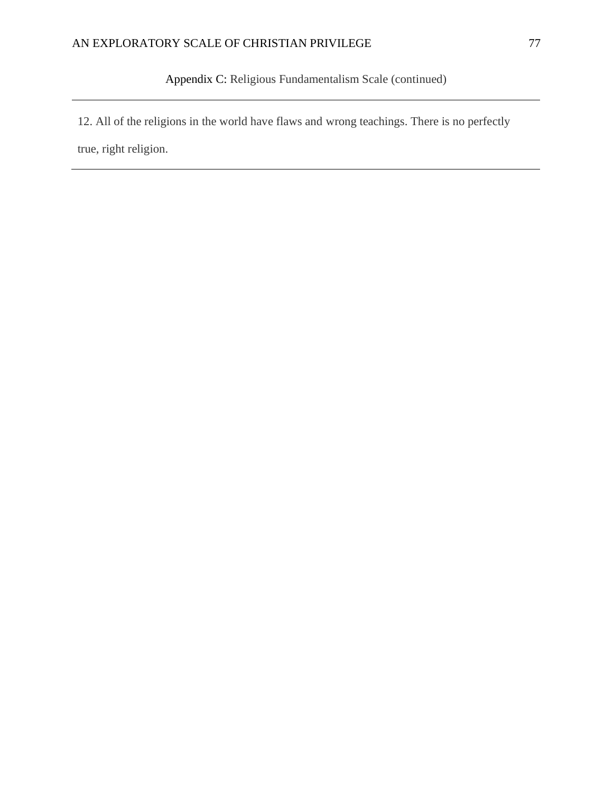Appendix C: Religious Fundamentalism Scale (continued)

12. All of the religions in the world have flaws and wrong teachings. There is no perfectly

true, right religion.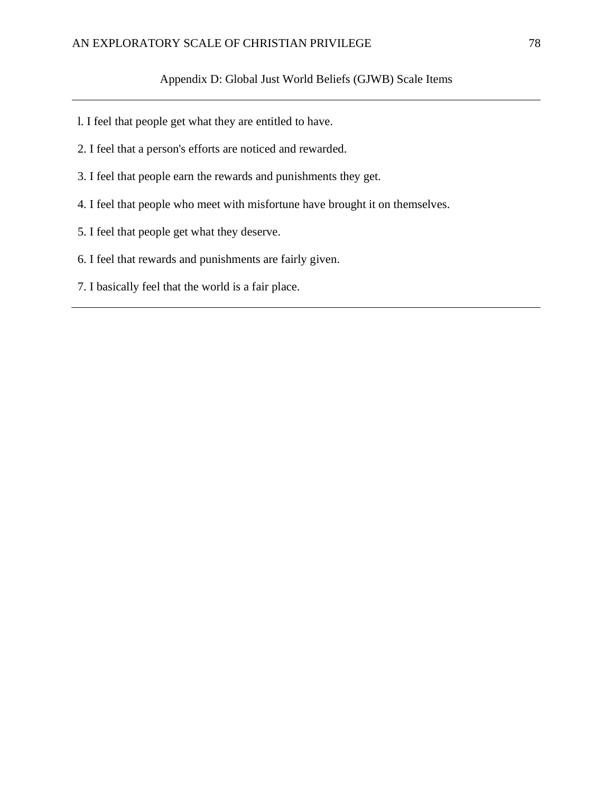### Appendix D: Global Just World Beliefs (GJWB) Scale Items

- l. I feel that people get what they are entitled to have.
- 2. I feel that a person's efforts are noticed and rewarded.
- 3. I feel that people earn the rewards and punishments they get.
- 4. I feel that people who meet with misfortune have brought it on themselves.
- 5. I feel that people get what they deserve.
- 6. I feel that rewards and punishments are fairly given.
- 7. I basically feel that the world is a fair place.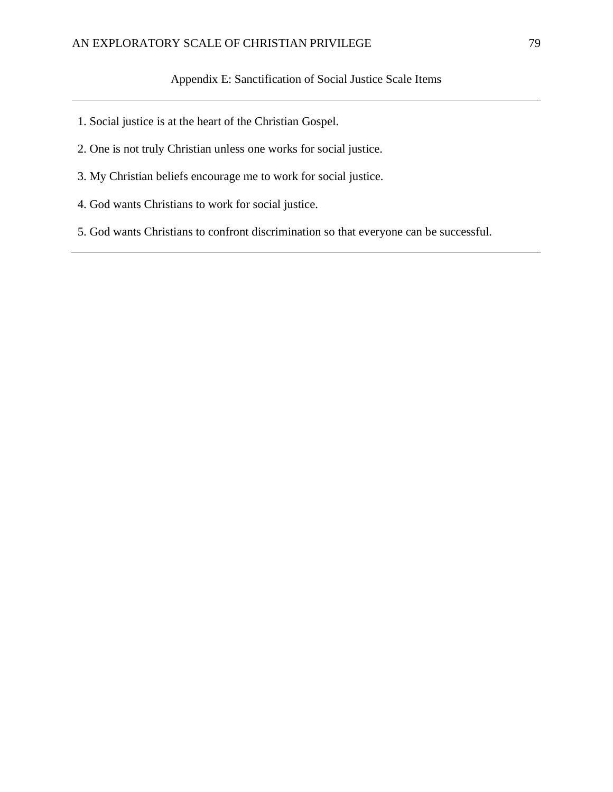- 1. Social justice is at the heart of the Christian Gospel.
- 2. One is not truly Christian unless one works for social justice.
- 3. My Christian beliefs encourage me to work for social justice.
- 4. God wants Christians to work for social justice.
- 5. God wants Christians to confront discrimination so that everyone can be successful.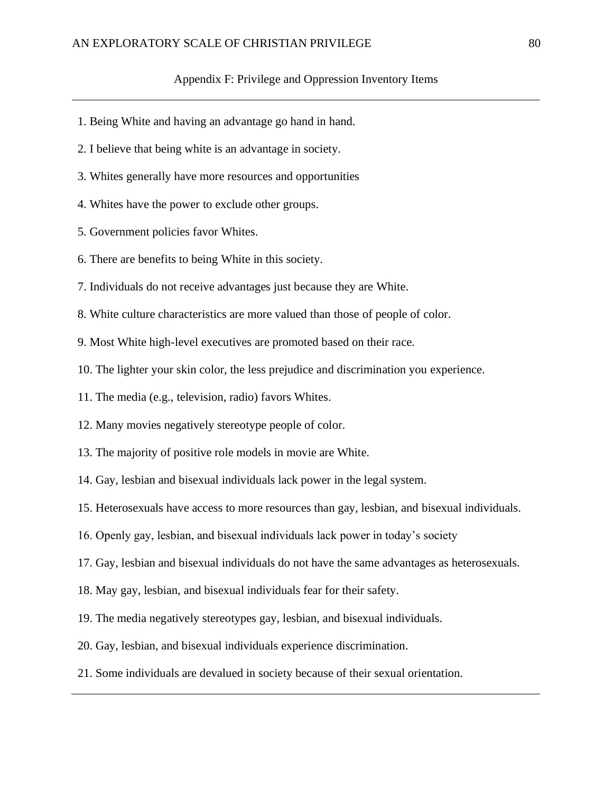#### Appendix F: Privilege and Oppression Inventory Items

- 1. Being White and having an advantage go hand in hand.
- 2. I believe that being white is an advantage in society.
- 3. Whites generally have more resources and opportunities
- 4. Whites have the power to exclude other groups.
- 5. Government policies favor Whites.
- 6. There are benefits to being White in this society.
- 7. Individuals do not receive advantages just because they are White.
- 8. White culture characteristics are more valued than those of people of color.
- 9. Most White high-level executives are promoted based on their race.
- 10. The lighter your skin color, the less prejudice and discrimination you experience.
- 11. The media (e.g., television, radio) favors Whites.
- 12. Many movies negatively stereotype people of color.
- 13. The majority of positive role models in movie are White.
- 14. Gay, lesbian and bisexual individuals lack power in the legal system.
- 15. Heterosexuals have access to more resources than gay, lesbian, and bisexual individuals.
- 16. Openly gay, lesbian, and bisexual individuals lack power in today's society
- 17. Gay, lesbian and bisexual individuals do not have the same advantages as heterosexuals.
- 18. May gay, lesbian, and bisexual individuals fear for their safety.
- 19. The media negatively stereotypes gay, lesbian, and bisexual individuals.
- 20. Gay, lesbian, and bisexual individuals experience discrimination.
- 21. Some individuals are devalued in society because of their sexual orientation.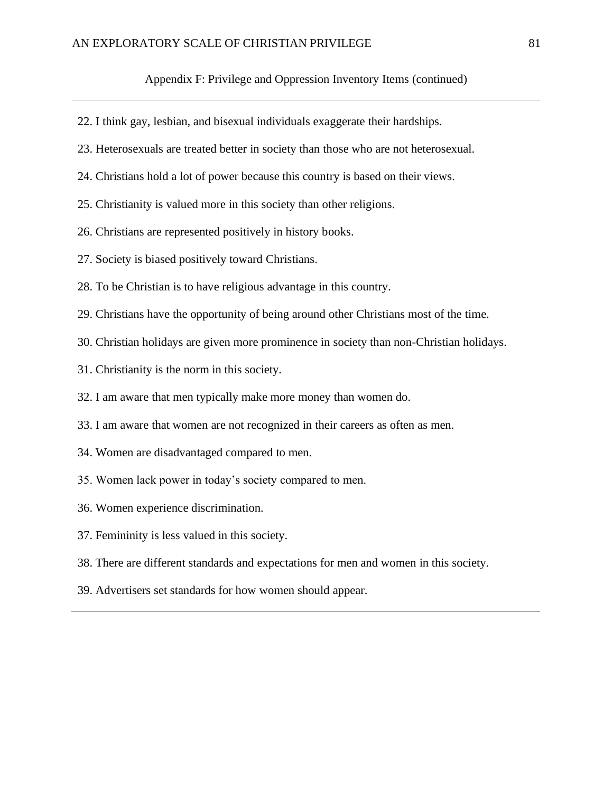#### Appendix F: Privilege and Oppression Inventory Items (continued)

- 22. I think gay, lesbian, and bisexual individuals exaggerate their hardships.
- 23. Heterosexuals are treated better in society than those who are not heterosexual.
- 24. Christians hold a lot of power because this country is based on their views.
- 25. Christianity is valued more in this society than other religions.
- 26. Christians are represented positively in history books.
- 27. Society is biased positively toward Christians.
- 28. To be Christian is to have religious advantage in this country.
- 29. Christians have the opportunity of being around other Christians most of the time.
- 30. Christian holidays are given more prominence in society than non-Christian holidays.
- 31. Christianity is the norm in this society.
- 32. I am aware that men typically make more money than women do.
- 33. I am aware that women are not recognized in their careers as often as men.
- 34. Women are disadvantaged compared to men.
- 35. Women lack power in today's society compared to men.
- 36. Women experience discrimination.
- 37. Femininity is less valued in this society.
- 38. There are different standards and expectations for men and women in this society.
- 39. Advertisers set standards for how women should appear.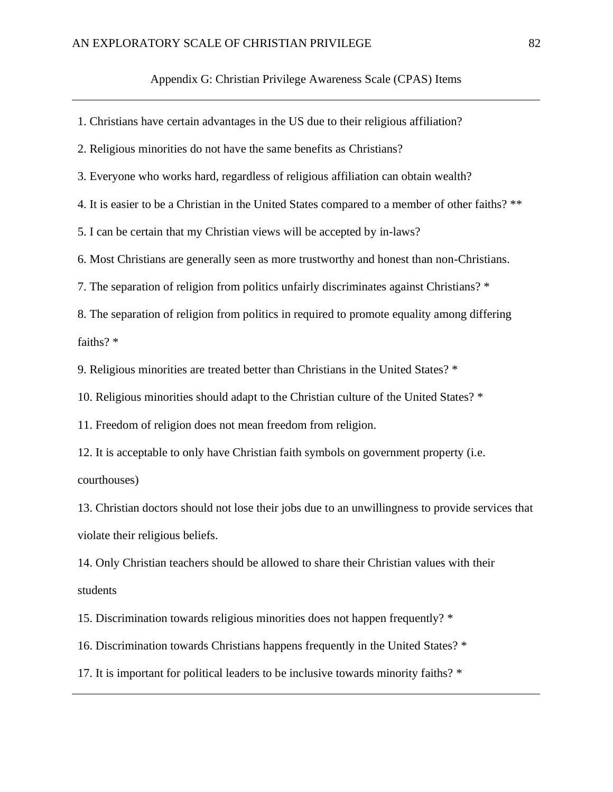1. Christians have certain advantages in the US due to their religious affiliation? 2. Religious minorities do not have the same benefits as Christians? 3. Everyone who works hard, regardless of religious affiliation can obtain wealth? 4. It is easier to be a Christian in the United States compared to a member of other faiths? \*\* 5. I can be certain that my Christian views will be accepted by in-laws? 6. Most Christians are generally seen as more trustworthy and honest than non-Christians. 7. The separation of religion from politics unfairly discriminates against Christians? \* 8. The separation of religion from politics in required to promote equality among differing faiths? \* 9. Religious minorities are treated better than Christians in the United States? \* 10. Religious minorities should adapt to the Christian culture of the United States? \* 11. Freedom of religion does not mean freedom from religion. 12. It is acceptable to only have Christian faith symbols on government property (i.e. courthouses) 13. Christian doctors should not lose their jobs due to an unwillingness to provide services that violate their religious beliefs. 14. Only Christian teachers should be allowed to share their Christian values with their students 15. Discrimination towards religious minorities does not happen frequently? \* 16. Discrimination towards Christians happens frequently in the United States? \*

17. It is important for political leaders to be inclusive towards minority faiths? \*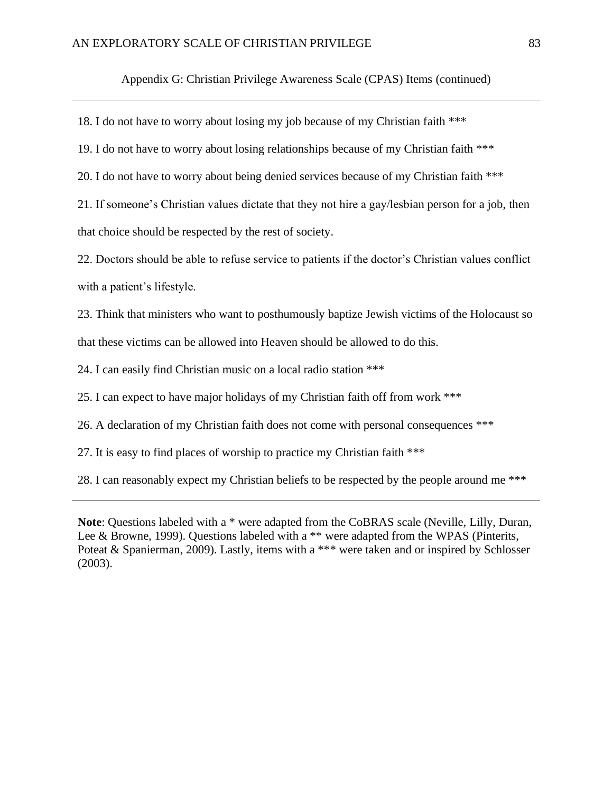Appendix G: Christian Privilege Awareness Scale (CPAS) Items (continued)

18. I do not have to worry about losing my job because of my Christian faith \*\*\*

19. I do not have to worry about losing relationships because of my Christian faith \*\*\*

20. I do not have to worry about being denied services because of my Christian faith \*\*\*

21. If someone's Christian values dictate that they not hire a gay/lesbian person for a job, then that choice should be respected by the rest of society.

22. Doctors should be able to refuse service to patients if the doctor's Christian values conflict with a patient's lifestyle.

23. Think that ministers who want to posthumously baptize Jewish victims of the Holocaust so that these victims can be allowed into Heaven should be allowed to do this.

24. I can easily find Christian music on a local radio station \*\*\*

25. I can expect to have major holidays of my Christian faith off from work \*\*\*

26. A declaration of my Christian faith does not come with personal consequences \*\*\*

27. It is easy to find places of worship to practice my Christian faith \*\*\*

28. I can reasonably expect my Christian beliefs to be respected by the people around me \*\*\*

**Note**: Questions labeled with a \* were adapted from the CoBRAS scale (Neville, Lilly, Duran, Lee & Browne, 1999). Questions labeled with a \*\* were adapted from the WPAS (Pinterits, Poteat & Spanierman, 2009). Lastly, items with a \*\*\* were taken and or inspired by Schlosser (2003).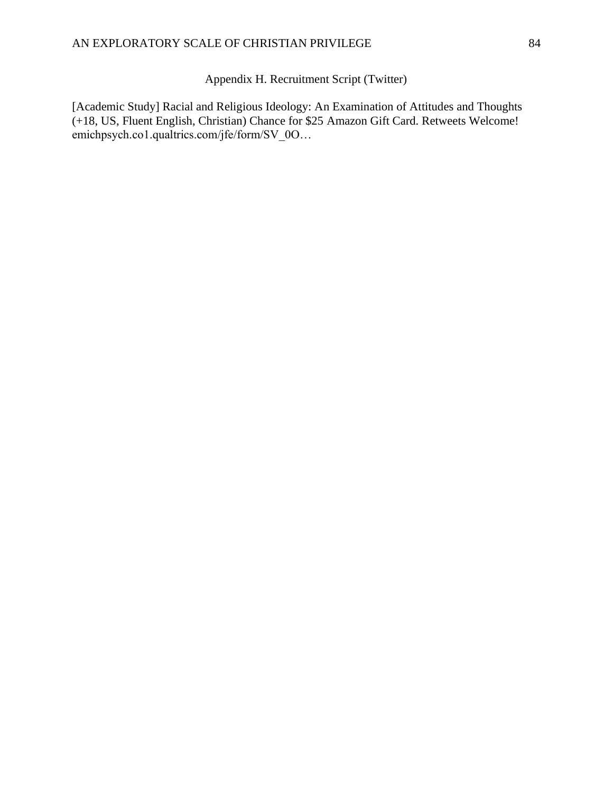Appendix H. Recruitment Script (Twitter)

[Academic Study] Racial and Religious Ideology: An Examination of Attitudes and Thoughts (+18, US, Fluent English, Christian) Chance for \$25 Amazon Gift Card. Retweets Welcome! emichpsych.co1.qualtrics.com/jfe/form/SV\_0O…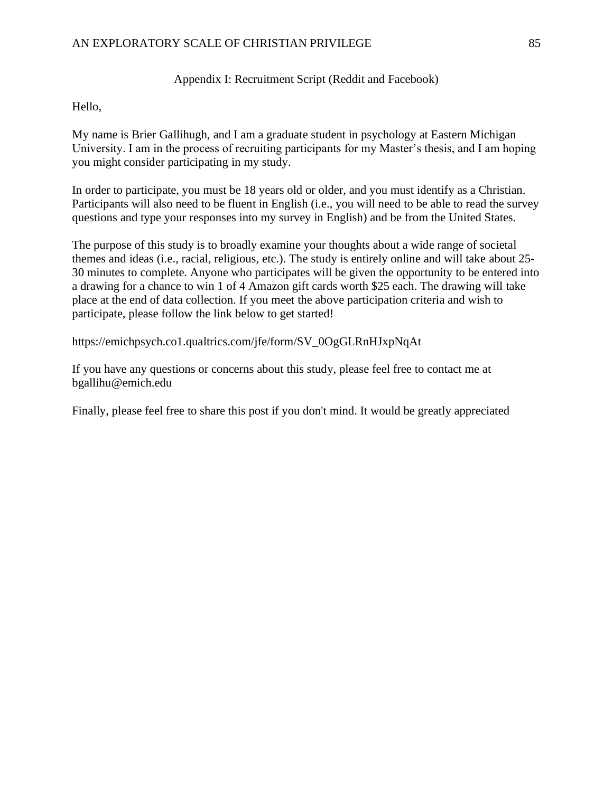### Appendix I: Recruitment Script (Reddit and Facebook)

Hello,

My name is Brier Gallihugh, and I am a graduate student in psychology at Eastern Michigan University. I am in the process of recruiting participants for my Master's thesis, and I am hoping you might consider participating in my study.

In order to participate, you must be 18 years old or older, and you must identify as a Christian. Participants will also need to be fluent in English (i.e., you will need to be able to read the survey questions and type your responses into my survey in English) and be from the United States.

The purpose of this study is to broadly examine your thoughts about a wide range of societal themes and ideas (i.e., racial, religious, etc.). The study is entirely online and will take about 25- 30 minutes to complete. Anyone who participates will be given the opportunity to be entered into a drawing for a chance to win 1 of 4 Amazon gift cards worth \$25 each. The drawing will take place at the end of data collection. If you meet the above participation criteria and wish to participate, please follow the link below to get started!

https://emichpsych.co1.qualtrics.com/jfe/form/SV\_0OgGLRnHJxpNqAt

If you have any questions or concerns about this study, please feel free to contact me at bgallihu@emich.edu

Finally, please feel free to share this post if you don't mind. It would be greatly appreciated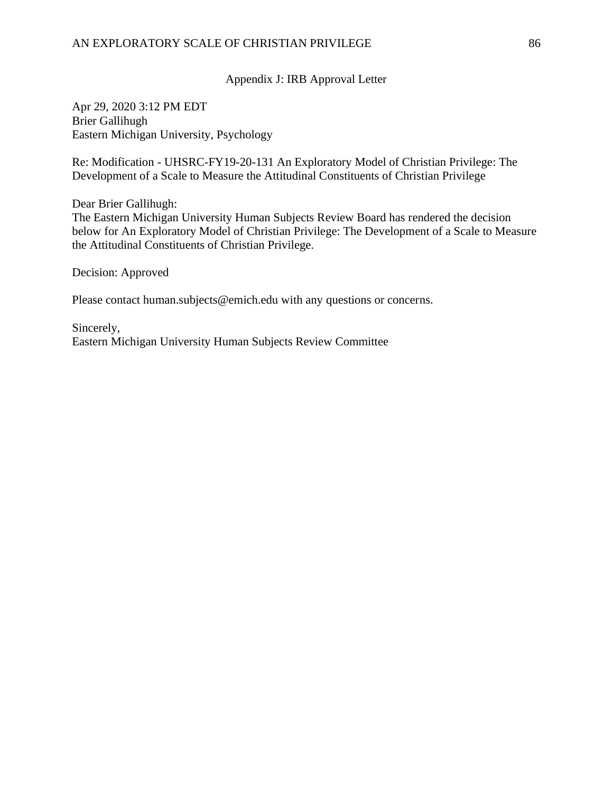Appendix J: IRB Approval Letter

Apr 29, 2020 3:12 PM EDT Brier Gallihugh Eastern Michigan University, Psychology

Re: Modification - UHSRC-FY19-20-131 An Exploratory Model of Christian Privilege: The Development of a Scale to Measure the Attitudinal Constituents of Christian Privilege

Dear Brier Gallihugh:

The Eastern Michigan University Human Subjects Review Board has rendered the decision below for An Exploratory Model of Christian Privilege: The Development of a Scale to Measure the Attitudinal Constituents of Christian Privilege.

Decision: Approved

Please contact human.subjects@emich.edu with any questions or concerns.

Sincerely, Eastern Michigan University Human Subjects Review Committee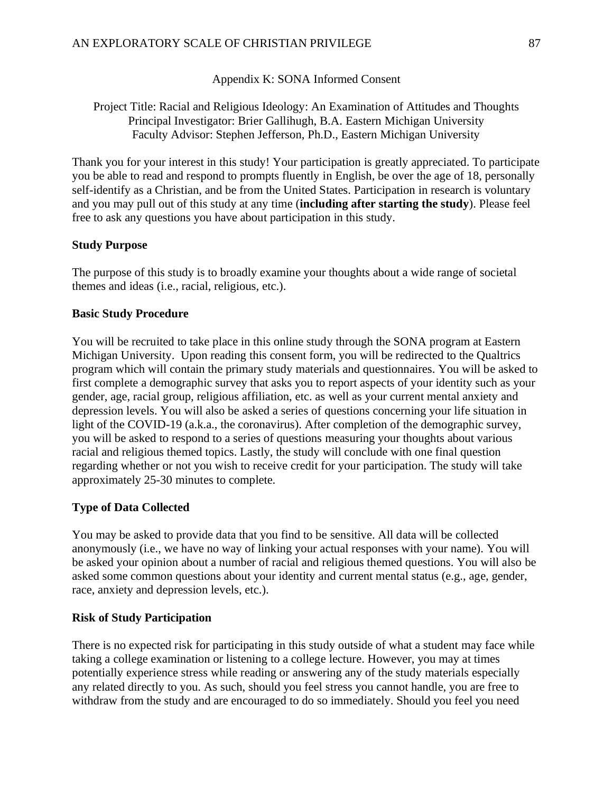Appendix K: SONA Informed Consent

Project Title: Racial and Religious Ideology: An Examination of Attitudes and Thoughts Principal Investigator: Brier Gallihugh, B.A. Eastern Michigan University Faculty Advisor: Stephen Jefferson, Ph.D., Eastern Michigan University

Thank you for your interest in this study! Your participation is greatly appreciated. To participate you be able to read and respond to prompts fluently in English, be over the age of 18, personally self-identify as a Christian, and be from the United States. Participation in research is voluntary and you may pull out of this study at any time (**including after starting the study**). Please feel free to ask any questions you have about participation in this study.

### **Study Purpose**

The purpose of this study is to broadly examine your thoughts about a wide range of societal themes and ideas (i.e., racial, religious, etc.).

#### **Basic Study Procedure**

You will be recruited to take place in this online study through the SONA program at Eastern Michigan University. Upon reading this consent form, you will be redirected to the Qualtrics program which will contain the primary study materials and questionnaires. You will be asked to first complete a demographic survey that asks you to report aspects of your identity such as your gender, age, racial group, religious affiliation, etc. as well as your current mental anxiety and depression levels. You will also be asked a series of questions concerning your life situation in light of the COVID-19 (a.k.a., the coronavirus). After completion of the demographic survey, you will be asked to respond to a series of questions measuring your thoughts about various racial and religious themed topics. Lastly, the study will conclude with one final question regarding whether or not you wish to receive credit for your participation. The study will take approximately 25-30 minutes to complete.

#### **Type of Data Collected**

You may be asked to provide data that you find to be sensitive. All data will be collected anonymously (i.e., we have no way of linking your actual responses with your name). You will be asked your opinion about a number of racial and religious themed questions. You will also be asked some common questions about your identity and current mental status (e.g., age, gender, race, anxiety and depression levels, etc.).

#### **Risk of Study Participation**

There is no expected risk for participating in this study outside of what a student may face while taking a college examination or listening to a college lecture. However, you may at times potentially experience stress while reading or answering any of the study materials especially any related directly to you. As such, should you feel stress you cannot handle, you are free to withdraw from the study and are encouraged to do so immediately. Should you feel you need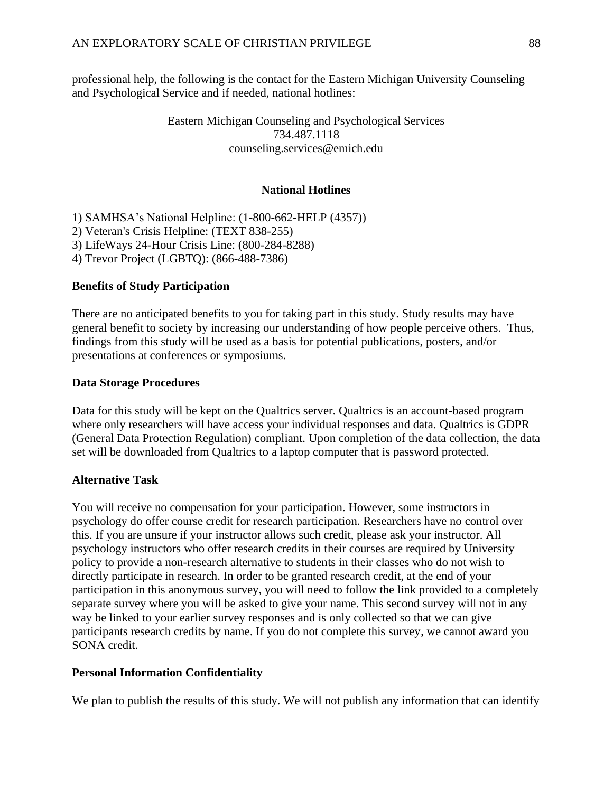professional help, the following is the contact for the Eastern Michigan University Counseling and Psychological Service and if needed, national hotlines:

### Eastern Michigan Counseling and Psychological Services 734.487.1118 counseling.services@emich.edu

#### **National Hotlines**

1) SAMHSA's National Helpline: (1-800-662-HELP (4357)) 2) Veteran's Crisis Helpline: (TEXT 838-255) 3) LifeWays 24-Hour Crisis Line: (800-284-8288) 4) Trevor Project (LGBTQ): (866-488-7386)

### **Benefits of Study Participation**

There are no anticipated benefits to you for taking part in this study. Study results may have general benefit to society by increasing our understanding of how people perceive others. Thus, findings from this study will be used as a basis for potential publications, posters, and/or presentations at conferences or symposiums.

#### **Data Storage Procedures**

Data for this study will be kept on the Qualtrics server. Qualtrics is an account-based program where only researchers will have access your individual responses and data. Qualtrics is GDPR (General Data Protection Regulation) compliant. Upon completion of the data collection, the data set will be downloaded from Qualtrics to a laptop computer that is password protected.

#### **Alternative Task**

You will receive no compensation for your participation. However, some instructors in psychology do offer course credit for research participation. Researchers have no control over this. If you are unsure if your instructor allows such credit, please ask your instructor. All psychology instructors who offer research credits in their courses are required by University policy to provide a non-research alternative to students in their classes who do not wish to directly participate in research. In order to be granted research credit, at the end of your participation in this anonymous survey, you will need to follow the link provided to a completely separate survey where you will be asked to give your name. This second survey will not in any way be linked to your earlier survey responses and is only collected so that we can give participants research credits by name. If you do not complete this survey, we cannot award you SONA credit.

#### **Personal Information Confidentiality**

We plan to publish the results of this study. We will not publish any information that can identify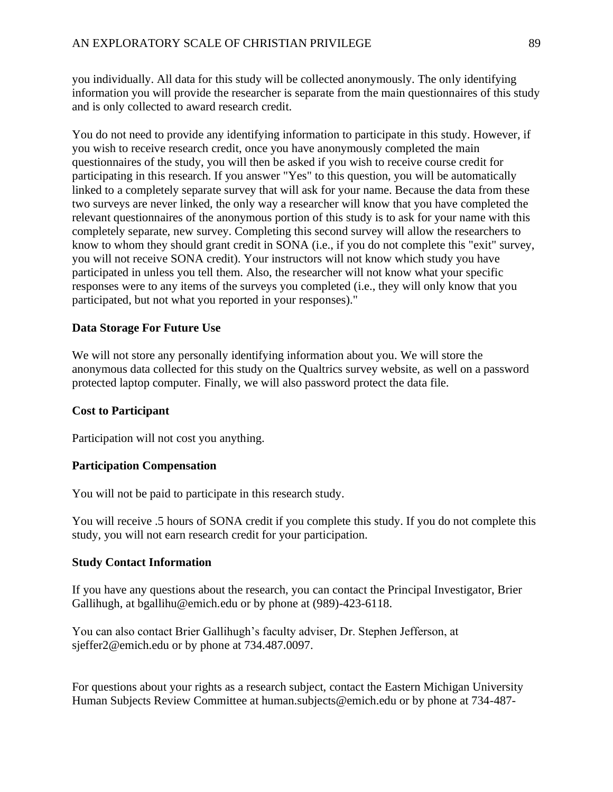you individually. All data for this study will be collected anonymously. The only identifying information you will provide the researcher is separate from the main questionnaires of this study and is only collected to award research credit.

You do not need to provide any identifying information to participate in this study. However, if you wish to receive research credit, once you have anonymously completed the main questionnaires of the study, you will then be asked if you wish to receive course credit for participating in this research. If you answer "Yes" to this question, you will be automatically linked to a completely separate survey that will ask for your name. Because the data from these two surveys are never linked, the only way a researcher will know that you have completed the relevant questionnaires of the anonymous portion of this study is to ask for your name with this completely separate, new survey. Completing this second survey will allow the researchers to know to whom they should grant credit in SONA (i.e., if you do not complete this "exit" survey, you will not receive SONA credit). Your instructors will not know which study you have participated in unless you tell them. Also, the researcher will not know what your specific responses were to any items of the surveys you completed (i.e., they will only know that you participated, but not what you reported in your responses)."

### **Data Storage For Future Use**

We will not store any personally identifying information about you. We will store the anonymous data collected for this study on the Qualtrics survey website, as well on a password protected laptop computer. Finally, we will also password protect the data file.

### **Cost to Participant**

Participation will not cost you anything.

### **Participation Compensation**

You will not be paid to participate in this research study.

You will receive .5 hours of SONA credit if you complete this study. If you do not complete this study, you will not earn research credit for your participation.

### **Study Contact Information**

If you have any questions about the research, you can contact the Principal Investigator, Brier Gallihugh, at bgallihu@emich.edu or by phone at (989)-423-6118.

You can also contact Brier Gallihugh's faculty adviser, Dr. Stephen Jefferson, at sjeffer2@emich.edu or by phone at 734.487.0097.

For questions about your rights as a research subject, contact the Eastern Michigan University Human Subjects Review Committee at human.subjects@emich.edu or by phone at 734-487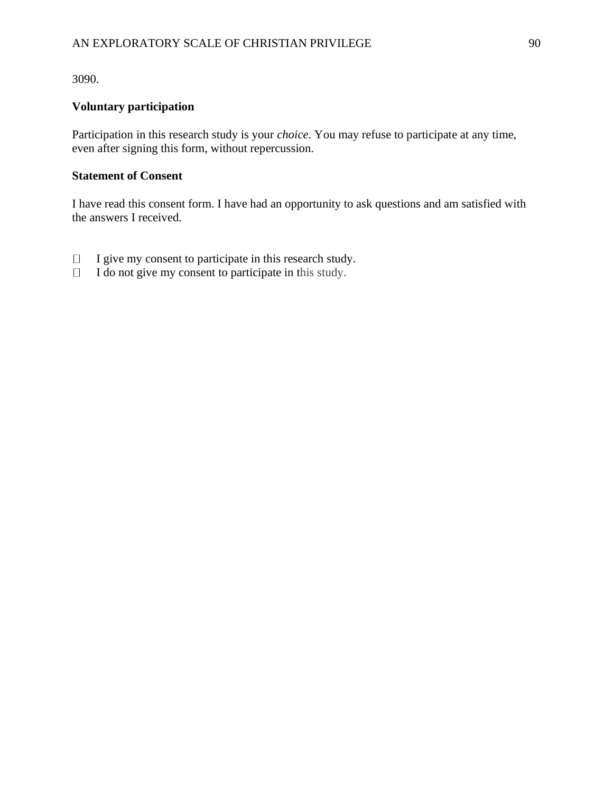3090.

## **Voluntary participation**

Participation in this research study is your *choice*. You may refuse to participate at any time, even after signing this form, without repercussion.

### **Statement of Consent**

I have read this consent form. I have had an opportunity to ask questions and am satisfied with the answers I received.

- $\Box$  I give my consent to participate in this research study.
- $\Box$  I do not give my consent to participate in this study.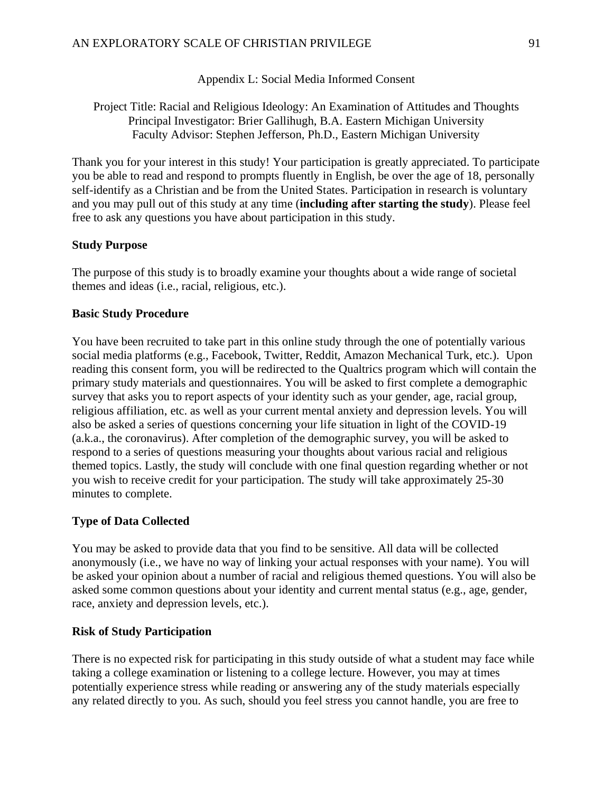Appendix L: Social Media Informed Consent

Project Title: Racial and Religious Ideology: An Examination of Attitudes and Thoughts Principal Investigator: Brier Gallihugh, B.A. Eastern Michigan University Faculty Advisor: Stephen Jefferson, Ph.D., Eastern Michigan University

Thank you for your interest in this study! Your participation is greatly appreciated. To participate you be able to read and respond to prompts fluently in English, be over the age of 18, personally self-identify as a Christian and be from the United States. Participation in research is voluntary and you may pull out of this study at any time (**including after starting the study**). Please feel free to ask any questions you have about participation in this study.

#### **Study Purpose**

The purpose of this study is to broadly examine your thoughts about a wide range of societal themes and ideas (i.e., racial, religious, etc.).

#### **Basic Study Procedure**

You have been recruited to take part in this online study through the one of potentially various social media platforms (e.g., Facebook, Twitter, Reddit, Amazon Mechanical Turk, etc.). Upon reading this consent form, you will be redirected to the Qualtrics program which will contain the primary study materials and questionnaires. You will be asked to first complete a demographic survey that asks you to report aspects of your identity such as your gender, age, racial group, religious affiliation, etc. as well as your current mental anxiety and depression levels. You will also be asked a series of questions concerning your life situation in light of the COVID-19 (a.k.a., the coronavirus). After completion of the demographic survey, you will be asked to respond to a series of questions measuring your thoughts about various racial and religious themed topics. Lastly, the study will conclude with one final question regarding whether or not you wish to receive credit for your participation. The study will take approximately 25-30 minutes to complete.

#### **Type of Data Collected**

You may be asked to provide data that you find to be sensitive. All data will be collected anonymously (i.e., we have no way of linking your actual responses with your name). You will be asked your opinion about a number of racial and religious themed questions. You will also be asked some common questions about your identity and current mental status (e.g., age, gender, race, anxiety and depression levels, etc.).

#### **Risk of Study Participation**

There is no expected risk for participating in this study outside of what a student may face while taking a college examination or listening to a college lecture. However, you may at times potentially experience stress while reading or answering any of the study materials especially any related directly to you. As such, should you feel stress you cannot handle, you are free to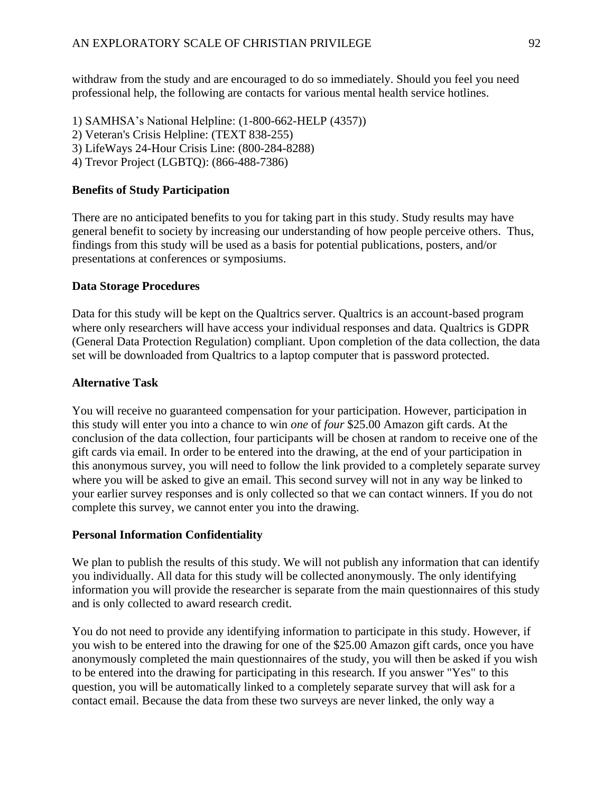withdraw from the study and are encouraged to do so immediately. Should you feel you need professional help, the following are contacts for various mental health service hotlines.

1) SAMHSA's National Helpline: (1-800-662-HELP (4357)) 2) Veteran's Crisis Helpline: (TEXT 838-255) 3) LifeWays 24-Hour Crisis Line: (800-284-8288) 4) Trevor Project (LGBTQ): (866-488-7386)

### **Benefits of Study Participation**

There are no anticipated benefits to you for taking part in this study. Study results may have general benefit to society by increasing our understanding of how people perceive others. Thus, findings from this study will be used as a basis for potential publications, posters, and/or presentations at conferences or symposiums.

#### **Data Storage Procedures**

Data for this study will be kept on the Qualtrics server. Qualtrics is an account-based program where only researchers will have access your individual responses and data. Qualtrics is GDPR (General Data Protection Regulation) compliant. Upon completion of the data collection, the data set will be downloaded from Qualtrics to a laptop computer that is password protected.

#### **Alternative Task**

You will receive no guaranteed compensation for your participation. However, participation in this study will enter you into a chance to win *one* of *four* \$25.00 Amazon gift cards. At the conclusion of the data collection, four participants will be chosen at random to receive one of the gift cards via email. In order to be entered into the drawing, at the end of your participation in this anonymous survey, you will need to follow the link provided to a completely separate survey where you will be asked to give an email. This second survey will not in any way be linked to your earlier survey responses and is only collected so that we can contact winners. If you do not complete this survey, we cannot enter you into the drawing.

#### **Personal Information Confidentiality**

We plan to publish the results of this study. We will not publish any information that can identify you individually. All data for this study will be collected anonymously. The only identifying information you will provide the researcher is separate from the main questionnaires of this study and is only collected to award research credit.

You do not need to provide any identifying information to participate in this study. However, if you wish to be entered into the drawing for one of the \$25.00 Amazon gift cards, once you have anonymously completed the main questionnaires of the study, you will then be asked if you wish to be entered into the drawing for participating in this research. If you answer "Yes" to this question, you will be automatically linked to a completely separate survey that will ask for a contact email. Because the data from these two surveys are never linked, the only way a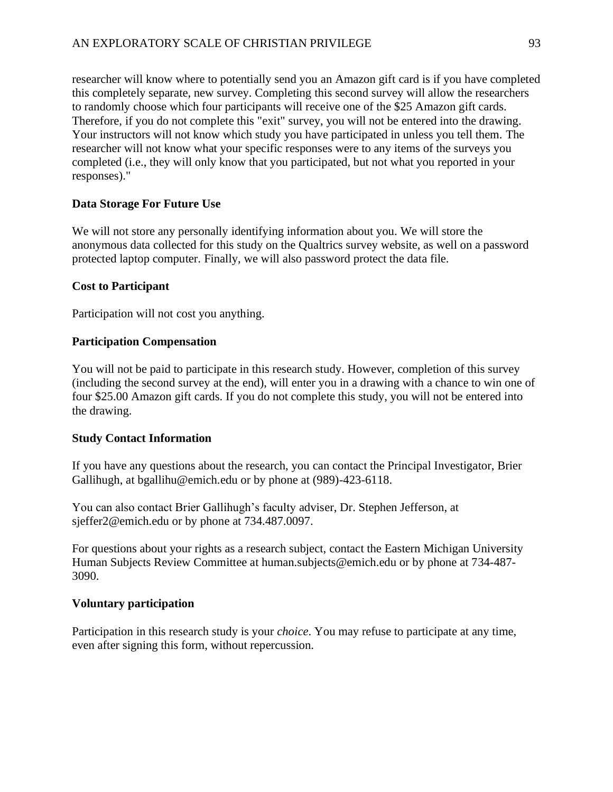researcher will know where to potentially send you an Amazon gift card is if you have completed this completely separate, new survey. Completing this second survey will allow the researchers to randomly choose which four participants will receive one of the \$25 Amazon gift cards. Therefore, if you do not complete this "exit" survey, you will not be entered into the drawing. Your instructors will not know which study you have participated in unless you tell them. The researcher will not know what your specific responses were to any items of the surveys you completed (i.e., they will only know that you participated, but not what you reported in your responses)."

### **Data Storage For Future Use**

We will not store any personally identifying information about you. We will store the anonymous data collected for this study on the Qualtrics survey website, as well on a password protected laptop computer. Finally, we will also password protect the data file.

### **Cost to Participant**

Participation will not cost you anything.

### **Participation Compensation**

You will not be paid to participate in this research study. However, completion of this survey (including the second survey at the end), will enter you in a drawing with a chance to win one of four \$25.00 Amazon gift cards. If you do not complete this study, you will not be entered into the drawing.

### **Study Contact Information**

If you have any questions about the research, you can contact the Principal Investigator, Brier Gallihugh, at bgallihu@emich.edu or by phone at (989)-423-6118.

You can also contact Brier Gallihugh's faculty adviser, Dr. Stephen Jefferson, at sjeffer2@emich.edu or by phone at 734.487.0097.

For questions about your rights as a research subject, contact the Eastern Michigan University Human Subjects Review Committee at human.subjects@emich.edu or by phone at 734-487- 3090.

### **Voluntary participation**

Participation in this research study is your *choice*. You may refuse to participate at any time, even after signing this form, without repercussion.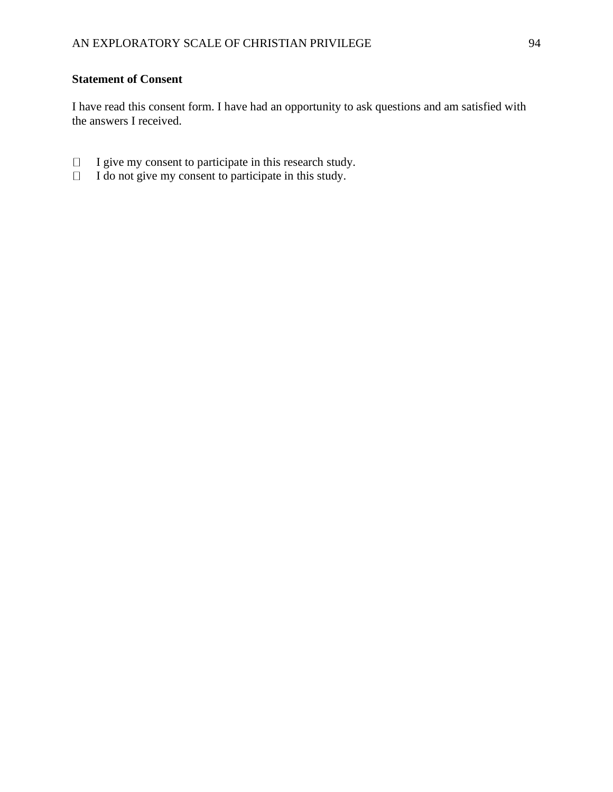## **Statement of Consent**

I have read this consent form. I have had an opportunity to ask questions and am satisfied with the answers I received.

- I give my consent to participate in this research study.
- I do not give my consent to participate in this study.